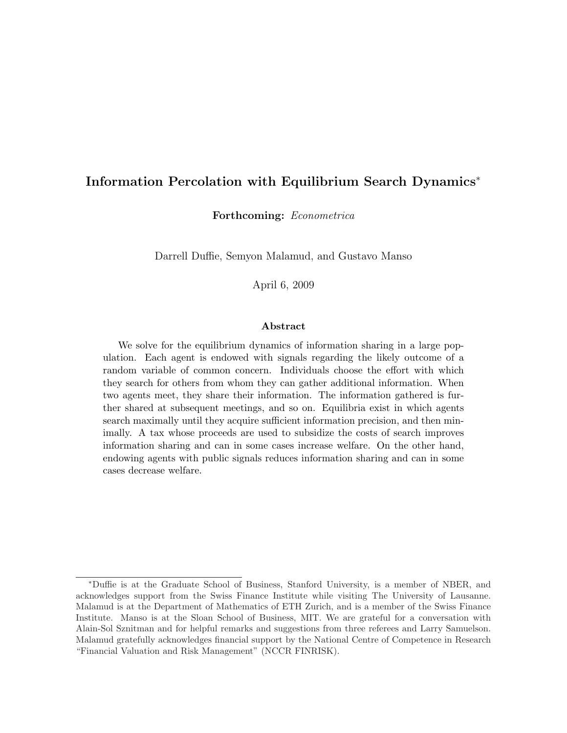## Information Percolation with Equilibrium Search Dynamics<sup>∗</sup>

Forthcoming: Econometrica

Darrell Duffie, Semyon Malamud, and Gustavo Manso

April 6, 2009

#### Abstract

We solve for the equilibrium dynamics of information sharing in a large population. Each agent is endowed with signals regarding the likely outcome of a random variable of common concern. Individuals choose the effort with which they search for others from whom they can gather additional information. When two agents meet, they share their information. The information gathered is further shared at subsequent meetings, and so on. Equilibria exist in which agents search maximally until they acquire sufficient information precision, and then minimally. A tax whose proceeds are used to subsidize the costs of search improves information sharing and can in some cases increase welfare. On the other hand, endowing agents with public signals reduces information sharing and can in some cases decrease welfare.

<sup>∗</sup>Duffie is at the Graduate School of Business, Stanford University, is a member of NBER, and acknowledges support from the Swiss Finance Institute while visiting The University of Lausanne. Malamud is at the Department of Mathematics of ETH Zurich, and is a member of the Swiss Finance Institute. Manso is at the Sloan School of Business, MIT. We are grateful for a conversation with Alain-Sol Sznitman and for helpful remarks and suggestions from three referees and Larry Samuelson. Malamud gratefully acknowledges financial support by the National Centre of Competence in Research "Financial Valuation and Risk Management" (NCCR FINRISK).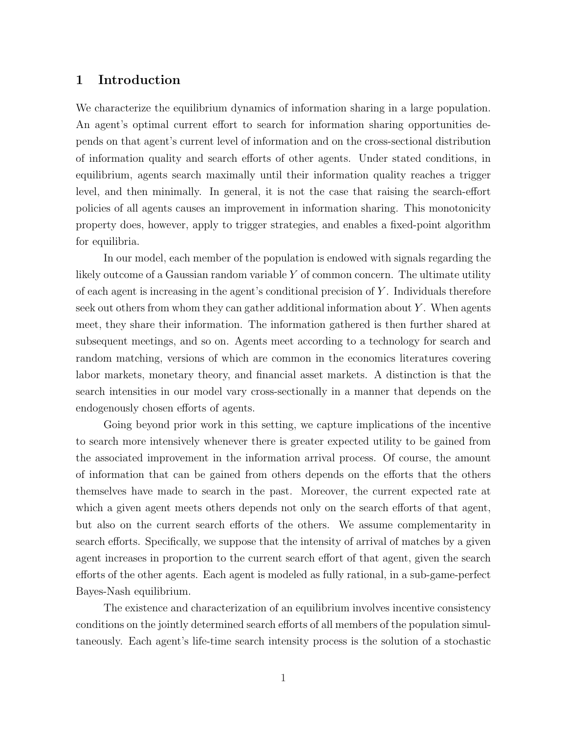## 1 Introduction

We characterize the equilibrium dynamics of information sharing in a large population. An agent's optimal current effort to search for information sharing opportunities depends on that agent's current level of information and on the cross-sectional distribution of information quality and search efforts of other agents. Under stated conditions, in equilibrium, agents search maximally until their information quality reaches a trigger level, and then minimally. In general, it is not the case that raising the search-effort policies of all agents causes an improvement in information sharing. This monotonicity property does, however, apply to trigger strategies, and enables a fixed-point algorithm for equilibria.

In our model, each member of the population is endowed with signals regarding the likely outcome of a Gaussian random variable  $Y$  of common concern. The ultimate utility of each agent is increasing in the agent's conditional precision of  $Y$ . Individuals therefore seek out others from whom they can gather additional information about  $Y$ . When agents meet, they share their information. The information gathered is then further shared at subsequent meetings, and so on. Agents meet according to a technology for search and random matching, versions of which are common in the economics literatures covering labor markets, monetary theory, and financial asset markets. A distinction is that the search intensities in our model vary cross-sectionally in a manner that depends on the endogenously chosen efforts of agents.

Going beyond prior work in this setting, we capture implications of the incentive to search more intensively whenever there is greater expected utility to be gained from the associated improvement in the information arrival process. Of course, the amount of information that can be gained from others depends on the efforts that the others themselves have made to search in the past. Moreover, the current expected rate at which a given agent meets others depends not only on the search efforts of that agent, but also on the current search efforts of the others. We assume complementarity in search efforts. Specifically, we suppose that the intensity of arrival of matches by a given agent increases in proportion to the current search effort of that agent, given the search efforts of the other agents. Each agent is modeled as fully rational, in a sub-game-perfect Bayes-Nash equilibrium.

The existence and characterization of an equilibrium involves incentive consistency conditions on the jointly determined search efforts of all members of the population simultaneously. Each agent's life-time search intensity process is the solution of a stochastic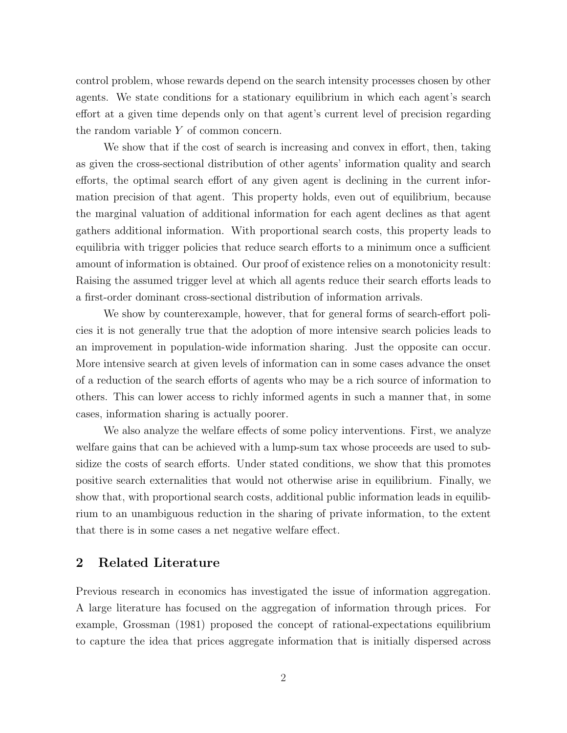control problem, whose rewards depend on the search intensity processes chosen by other agents. We state conditions for a stationary equilibrium in which each agent's search effort at a given time depends only on that agent's current level of precision regarding the random variable Y of common concern.

We show that if the cost of search is increasing and convex in effort, then, taking as given the cross-sectional distribution of other agents' information quality and search efforts, the optimal search effort of any given agent is declining in the current information precision of that agent. This property holds, even out of equilibrium, because the marginal valuation of additional information for each agent declines as that agent gathers additional information. With proportional search costs, this property leads to equilibria with trigger policies that reduce search efforts to a minimum once a sufficient amount of information is obtained. Our proof of existence relies on a monotonicity result: Raising the assumed trigger level at which all agents reduce their search efforts leads to a first-order dominant cross-sectional distribution of information arrivals.

We show by counterexample, however, that for general forms of search-effort policies it is not generally true that the adoption of more intensive search policies leads to an improvement in population-wide information sharing. Just the opposite can occur. More intensive search at given levels of information can in some cases advance the onset of a reduction of the search efforts of agents who may be a rich source of information to others. This can lower access to richly informed agents in such a manner that, in some cases, information sharing is actually poorer.

We also analyze the welfare effects of some policy interventions. First, we analyze welfare gains that can be achieved with a lump-sum tax whose proceeds are used to subsidize the costs of search efforts. Under stated conditions, we show that this promotes positive search externalities that would not otherwise arise in equilibrium. Finally, we show that, with proportional search costs, additional public information leads in equilibrium to an unambiguous reduction in the sharing of private information, to the extent that there is in some cases a net negative welfare effect.

## 2 Related Literature

Previous research in economics has investigated the issue of information aggregation. A large literature has focused on the aggregation of information through prices. For example, Grossman (1981) proposed the concept of rational-expectations equilibrium to capture the idea that prices aggregate information that is initially dispersed across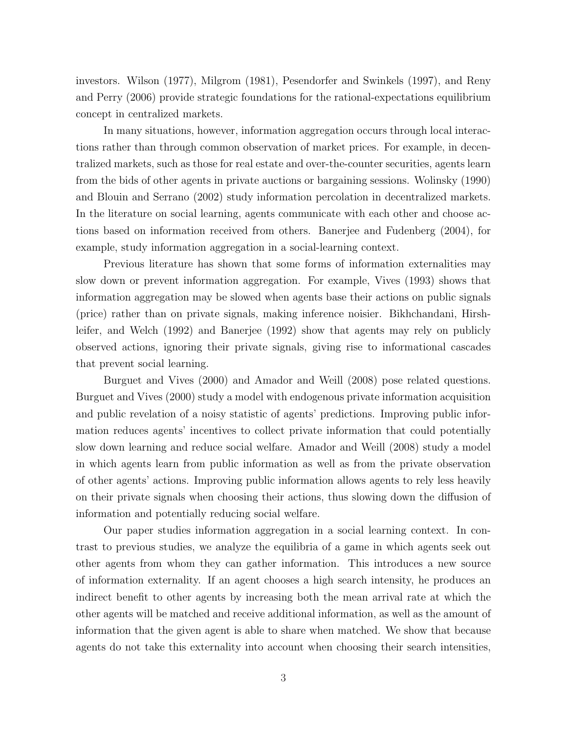investors. Wilson (1977), Milgrom (1981), Pesendorfer and Swinkels (1997), and Reny and Perry (2006) provide strategic foundations for the rational-expectations equilibrium concept in centralized markets.

In many situations, however, information aggregation occurs through local interactions rather than through common observation of market prices. For example, in decentralized markets, such as those for real estate and over-the-counter securities, agents learn from the bids of other agents in private auctions or bargaining sessions. Wolinsky (1990) and Blouin and Serrano (2002) study information percolation in decentralized markets. In the literature on social learning, agents communicate with each other and choose actions based on information received from others. Banerjee and Fudenberg (2004), for example, study information aggregation in a social-learning context.

Previous literature has shown that some forms of information externalities may slow down or prevent information aggregation. For example, Vives (1993) shows that information aggregation may be slowed when agents base their actions on public signals (price) rather than on private signals, making inference noisier. Bikhchandani, Hirshleifer, and Welch (1992) and Banerjee (1992) show that agents may rely on publicly observed actions, ignoring their private signals, giving rise to informational cascades that prevent social learning.

Burguet and Vives (2000) and Amador and Weill (2008) pose related questions. Burguet and Vives (2000) study a model with endogenous private information acquisition and public revelation of a noisy statistic of agents' predictions. Improving public information reduces agents' incentives to collect private information that could potentially slow down learning and reduce social welfare. Amador and Weill (2008) study a model in which agents learn from public information as well as from the private observation of other agents' actions. Improving public information allows agents to rely less heavily on their private signals when choosing their actions, thus slowing down the diffusion of information and potentially reducing social welfare.

Our paper studies information aggregation in a social learning context. In contrast to previous studies, we analyze the equilibria of a game in which agents seek out other agents from whom they can gather information. This introduces a new source of information externality. If an agent chooses a high search intensity, he produces an indirect benefit to other agents by increasing both the mean arrival rate at which the other agents will be matched and receive additional information, as well as the amount of information that the given agent is able to share when matched. We show that because agents do not take this externality into account when choosing their search intensities,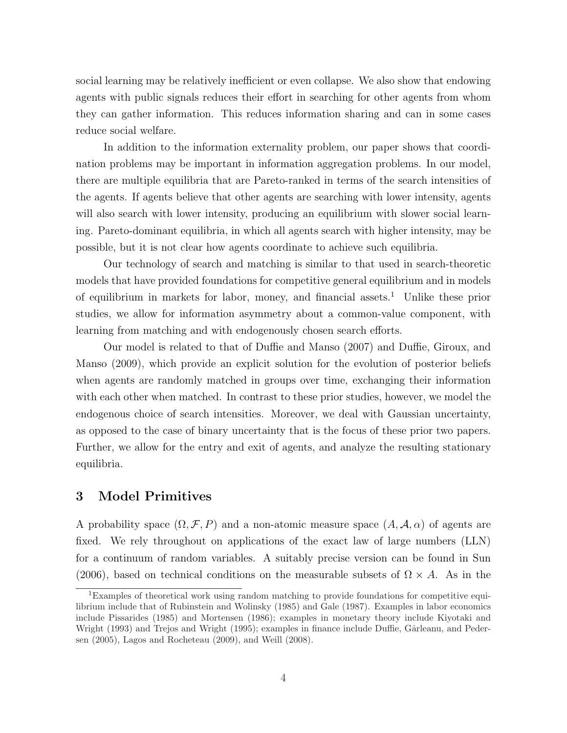social learning may be relatively inefficient or even collapse. We also show that endowing agents with public signals reduces their effort in searching for other agents from whom they can gather information. This reduces information sharing and can in some cases reduce social welfare.

In addition to the information externality problem, our paper shows that coordination problems may be important in information aggregation problems. In our model, there are multiple equilibria that are Pareto-ranked in terms of the search intensities of the agents. If agents believe that other agents are searching with lower intensity, agents will also search with lower intensity, producing an equilibrium with slower social learning. Pareto-dominant equilibria, in which all agents search with higher intensity, may be possible, but it is not clear how agents coordinate to achieve such equilibria.

Our technology of search and matching is similar to that used in search-theoretic models that have provided foundations for competitive general equilibrium and in models of equilibrium in markets for labor, money, and financial assets.<sup>1</sup> Unlike these prior studies, we allow for information asymmetry about a common-value component, with learning from matching and with endogenously chosen search efforts.

Our model is related to that of Duffie and Manso (2007) and Duffie, Giroux, and Manso (2009), which provide an explicit solution for the evolution of posterior beliefs when agents are randomly matched in groups over time, exchanging their information with each other when matched. In contrast to these prior studies, however, we model the endogenous choice of search intensities. Moreover, we deal with Gaussian uncertainty, as opposed to the case of binary uncertainty that is the focus of these prior two papers. Further, we allow for the entry and exit of agents, and analyze the resulting stationary equilibria.

# 3 Model Primitives

A probability space  $(\Omega, \mathcal{F}, P)$  and a non-atomic measure space  $(A, \mathcal{A}, \alpha)$  of agents are fixed. We rely throughout on applications of the exact law of large numbers (LLN) for a continuum of random variables. A suitably precise version can be found in Sun (2006), based on technical conditions on the measurable subsets of  $\Omega \times A$ . As in the

<sup>&</sup>lt;sup>1</sup>Examples of theoretical work using random matching to provide foundations for competitive equilibrium include that of Rubinstein and Wolinsky (1985) and Gale (1987). Examples in labor economics include Pissarides (1985) and Mortensen (1986); examples in monetary theory include Kiyotaki and Wright (1993) and Trejos and Wright (1995); examples in finance include Duffie, Gârleanu, and Pedersen (2005), Lagos and Rocheteau (2009), and Weill (2008).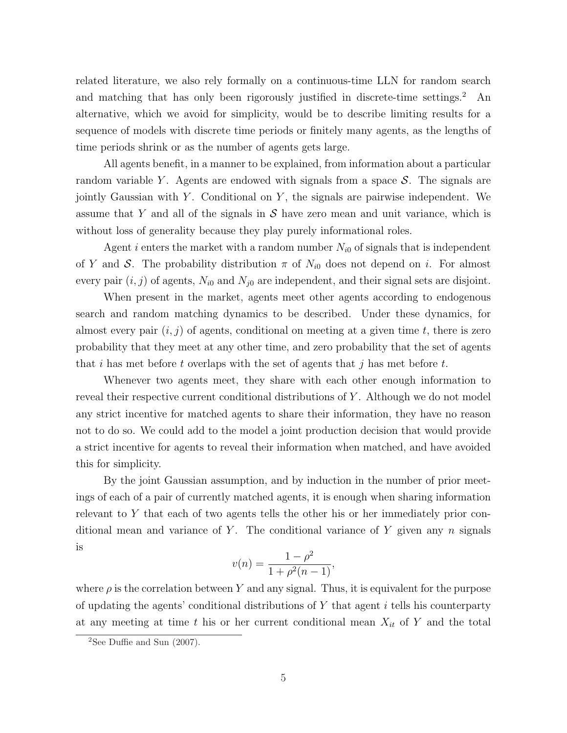related literature, we also rely formally on a continuous-time LLN for random search and matching that has only been rigorously justified in discrete-time settings.<sup>2</sup> An alternative, which we avoid for simplicity, would be to describe limiting results for a sequence of models with discrete time periods or finitely many agents, as the lengths of time periods shrink or as the number of agents gets large.

All agents benefit, in a manner to be explained, from information about a particular random variable Y. Agents are endowed with signals from a space  $S$ . The signals are jointly Gaussian with Y. Conditional on  $Y$ , the signals are pairwise independent. We assume that Y and all of the signals in  $S$  have zero mean and unit variance, which is without loss of generality because they play purely informational roles.

Agent i enters the market with a random number  $N_{i0}$  of signals that is independent of Y and S. The probability distribution  $\pi$  of  $N_{i0}$  does not depend on i. For almost every pair  $(i, j)$  of agents,  $N_{i0}$  and  $N_{j0}$  are independent, and their signal sets are disjoint.

When present in the market, agents meet other agents according to endogenous search and random matching dynamics to be described. Under these dynamics, for almost every pair  $(i, j)$  of agents, conditional on meeting at a given time t, there is zero probability that they meet at any other time, and zero probability that the set of agents that i has met before t overlaps with the set of agents that j has met before t.

Whenever two agents meet, they share with each other enough information to reveal their respective current conditional distributions of Y. Although we do not model any strict incentive for matched agents to share their information, they have no reason not to do so. We could add to the model a joint production decision that would provide a strict incentive for agents to reveal their information when matched, and have avoided this for simplicity.

By the joint Gaussian assumption, and by induction in the number of prior meetings of each of a pair of currently matched agents, it is enough when sharing information relevant to Y that each of two agents tells the other his or her immediately prior conditional mean and variance of Y. The conditional variance of Y given any  $n$  signals is

$$
v(n) = \frac{1 - \rho^2}{1 + \rho^2(n - 1)},
$$

where  $\rho$  is the correlation between Y and any signal. Thus, it is equivalent for the purpose of updating the agents' conditional distributions of  $Y$  that agent  $i$  tells his counterparty at any meeting at time t his or her current conditional mean  $X_{it}$  of Y and the total

<sup>&</sup>lt;sup>2</sup>See Duffie and Sun  $(2007)$ .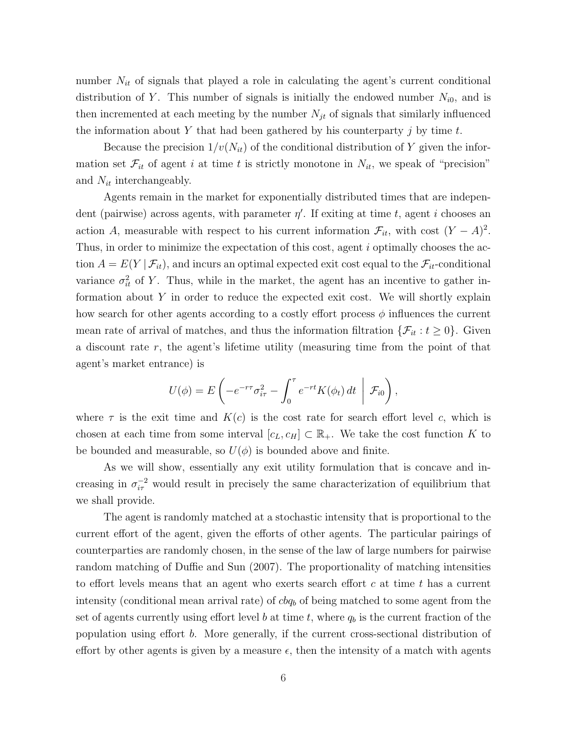number  $N_{it}$  of signals that played a role in calculating the agent's current conditional distribution of Y. This number of signals is initially the endowed number  $N_{i0}$ , and is then incremented at each meeting by the number  $N_{jt}$  of signals that similarly influenced the information about Y that had been gathered by his counterparty  $j$  by time  $t$ .

Because the precision  $1/v(N_{it})$  of the conditional distribution of Y given the information set  $\mathcal{F}_{it}$  of agent i at time t is strictly monotone in  $N_{it}$ , we speak of "precision" and  $N_{it}$  interchangeably.

Agents remain in the market for exponentially distributed times that are independent (pairwise) across agents, with parameter  $\eta'$ . If exiting at time t, agent i chooses an action A, measurable with respect to his current information  $\mathcal{F}_{it}$ , with cost  $(Y - A)^2$ . Thus, in order to minimize the expectation of this cost, agent i optimally chooses the action  $A = E(Y | \mathcal{F}_{it})$ , and incurs an optimal expected exit cost equal to the  $\mathcal{F}_{it}$ -conditional variance  $\sigma_{it}^2$  of Y. Thus, while in the market, the agent has an incentive to gather information about Y in order to reduce the expected exit cost. We will shortly explain how search for other agents according to a costly effort process  $\phi$  influences the current mean rate of arrival of matches, and thus the information filtration  $\{\mathcal{F}_{it} : t \geq 0\}$ . Given a discount rate  $r$ , the agent's lifetime utility (measuring time from the point of that agent's market entrance) is

$$
U(\phi) = E\left(-e^{-r\tau}\sigma_{i\tau}^2 - \int_0^{\tau} e^{-rt}K(\phi_t) dt \mid \mathcal{F}_{i0}\right),\,
$$

where  $\tau$  is the exit time and  $K(c)$  is the cost rate for search effort level c, which is chosen at each time from some interval  $[c_L, c_H] \subset \mathbb{R}_+$ . We take the cost function K to be bounded and measurable, so  $U(\phi)$  is bounded above and finite.

As we will show, essentially any exit utility formulation that is concave and increasing in  $\sigma_{i\tau}^{-2}$  would result in precisely the same characterization of equilibrium that we shall provide.

The agent is randomly matched at a stochastic intensity that is proportional to the current effort of the agent, given the efforts of other agents. The particular pairings of counterparties are randomly chosen, in the sense of the law of large numbers for pairwise random matching of Duffie and Sun (2007). The proportionality of matching intensities to effort levels means that an agent who exerts search effort c at time t has a current intensity (conditional mean arrival rate) of  $cbq_b$  of being matched to some agent from the set of agents currently using effort level b at time t, where  $q_b$  is the current fraction of the population using effort b. More generally, if the current cross-sectional distribution of effort by other agents is given by a measure  $\epsilon$ , then the intensity of a match with agents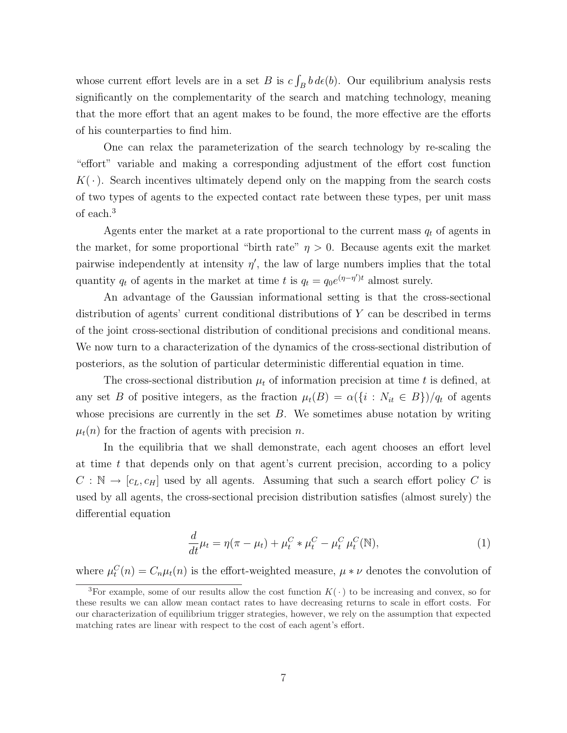whose current effort levels are in a set  $B$  is  $c$ R  $\int_B b \, d\epsilon(b)$ . Our equilibrium analysis rests significantly on the complementarity of the search and matching technology, meaning that the more effort that an agent makes to be found, the more effective are the efforts of his counterparties to find him.

One can relax the parameterization of the search technology by re-scaling the "effort" variable and making a corresponding adjustment of the effort cost function  $K(\cdot)$ . Search incentives ultimately depend only on the mapping from the search costs of two types of agents to the expected contact rate between these types, per unit mass of each.<sup>3</sup>

Agents enter the market at a rate proportional to the current mass  $q_t$  of agents in the market, for some proportional "birth rate"  $\eta > 0$ . Because agents exit the market pairwise independently at intensity  $\eta'$ , the law of large numbers implies that the total quantity  $q_t$  of agents in the market at time t is  $q_t = q_0 e^{(\eta - \eta')t}$  almost surely.

An advantage of the Gaussian informational setting is that the cross-sectional distribution of agents' current conditional distributions of Y can be described in terms of the joint cross-sectional distribution of conditional precisions and conditional means. We now turn to a characterization of the dynamics of the cross-sectional distribution of posteriors, as the solution of particular deterministic differential equation in time.

The cross-sectional distribution  $\mu_t$  of information precision at time t is defined, at any set B of positive integers, as the fraction  $\mu_t(B) = \alpha({i : N_{it} \in B})/q_t$  of agents whose precisions are currently in the set  $B$ . We sometimes abuse notation by writing  $\mu_t(n)$  for the fraction of agents with precision n.

In the equilibria that we shall demonstrate, each agent chooses an effort level at time  $t$  that depends only on that agent's current precision, according to a policy  $C : \mathbb{N} \to [c_L, c_H]$  used by all agents. Assuming that such a search effort policy C is used by all agents, the cross-sectional precision distribution satisfies (almost surely) the differential equation

$$
\frac{d}{dt}\mu_t = \eta(\pi - \mu_t) + \mu_t^C * \mu_t^C - \mu_t^C \mu_t^C(\mathbb{N}),
$$
\n(1)

where  $\mu_t^C(n) = C_n \mu_t(n)$  is the effort-weighted measure,  $\mu * \nu$  denotes the convolution of

<sup>&</sup>lt;sup>3</sup>For example, some of our results allow the cost function  $K(\cdot)$  to be increasing and convex, so for these results we can allow mean contact rates to have decreasing returns to scale in effort costs. For our characterization of equilibrium trigger strategies, however, we rely on the assumption that expected matching rates are linear with respect to the cost of each agent's effort.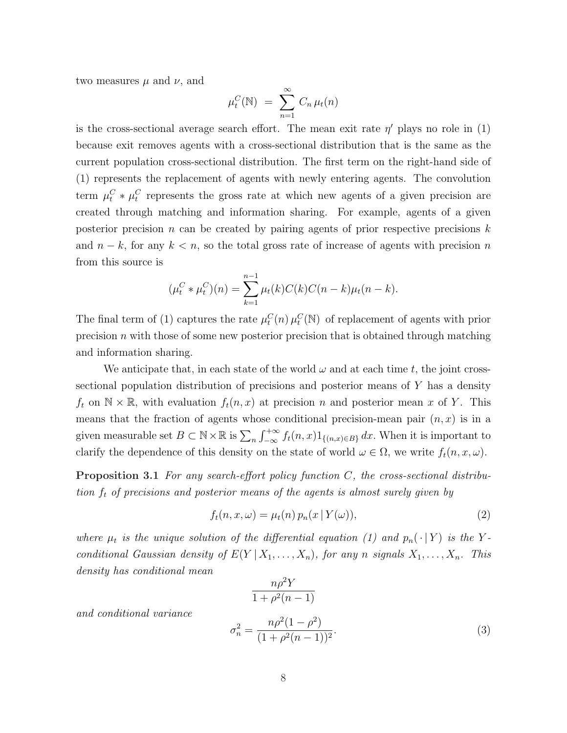two measures  $\mu$  and  $\nu$ , and

$$
\mu_t^C(\mathbb{N}) = \sum_{n=1}^{\infty} C_n \mu_t(n)
$$

is the cross-sectional average search effort. The mean exit rate  $\eta'$  plays no role in (1) because exit removes agents with a cross-sectional distribution that is the same as the current population cross-sectional distribution. The first term on the right-hand side of (1) represents the replacement of agents with newly entering agents. The convolution term  $\mu_t^C * \mu_t^C$  represents the gross rate at which new agents of a given precision are created through matching and information sharing. For example, agents of a given posterior precision n can be created by pairing agents of prior respective precisions  $k$ and  $n - k$ , for any  $k < n$ , so the total gross rate of increase of agents with precision n from this source is

$$
(\mu_t^C * \mu_t^C)(n) = \sum_{k=1}^{n-1} \mu_t(k) C(k) C(n-k) \mu_t(n-k).
$$

The final term of (1) captures the rate  $\mu_t^C(n)$   $\mu_t^C(\mathbb{N})$  of replacement of agents with prior precision  $n$  with those of some new posterior precision that is obtained through matching and information sharing.

We anticipate that, in each state of the world  $\omega$  and at each time t, the joint crosssectional population distribution of precisions and posterior means of Y has a density  $f_t$  on  $\mathbb{N} \times \mathbb{R}$ , with evaluation  $f_t(n, x)$  at precision n and posterior mean x of Y. This means that the fraction of agents whose conditional precision-mean pair  $(n, x)$  is in a given measurable set  $B \subset \mathbb{N} \times \mathbb{R}$  is  $\sum_n$  $\frac{1}{r} + \infty$ <sup> $+\infty$ </sup>  $f_t(n,x)1_{\{(n,x)\in B\}} dx$ . When it is important to clarify the dependence of this density on the state of world  $\omega \in \Omega$ , we write  $f_t(n, x, \omega)$ .

**Proposition 3.1** For any search-effort policy function  $C$ , the cross-sectional distribution  $f_t$  of precisions and posterior means of the agents is almost surely given by

$$
f_t(n, x, \omega) = \mu_t(n) p_n(x | Y(\omega)), \qquad (2)
$$

where  $\mu_t$  is the unique solution of the differential equation (1) and  $p_n(\cdot | Y)$  is the Yconditional Gaussian density of  $E(Y | X_1, \ldots, X_n)$ , for any n signals  $X_1, \ldots, X_n$ . This density has conditional mean

$$
\frac{n\rho^2Y}{1+\rho^2(n-1)}
$$

and conditional variance

$$
\sigma_n^2 = \frac{n\rho^2(1-\rho^2)}{(1+\rho^2(n-1))^2}.\tag{3}
$$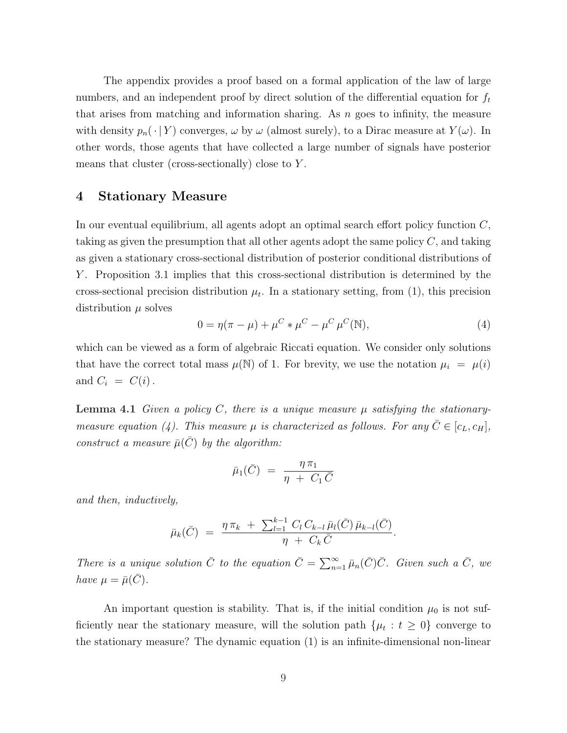The appendix provides a proof based on a formal application of the law of large numbers, and an independent proof by direct solution of the differential equation for  $f_t$ that arises from matching and information sharing. As  $n$  goes to infinity, the measure with density  $p_n(\cdot | Y)$  converges,  $\omega$  by  $\omega$  (almost surely), to a Dirac measure at  $Y(\omega)$ . In other words, those agents that have collected a large number of signals have posterior means that cluster (cross-sectionally) close to Y.

## 4 Stationary Measure

In our eventual equilibrium, all agents adopt an optimal search effort policy function C, taking as given the presumption that all other agents adopt the same policy  $C$ , and taking as given a stationary cross-sectional distribution of posterior conditional distributions of Y. Proposition 3.1 implies that this cross-sectional distribution is determined by the cross-sectional precision distribution  $\mu_t$ . In a stationary setting, from (1), this precision distribution  $\mu$  solves

$$
0 = \eta(\pi - \mu) + \mu^{C} * \mu^{C} - \mu^{C} \mu^{C}(\mathbb{N}),
$$
\n(4)

which can be viewed as a form of algebraic Riccati equation. We consider only solutions that have the correct total mass  $\mu(\mathbb{N})$  of 1. For brevity, we use the notation  $\mu_i = \mu(i)$ and  $C_i = C(i)$ .

**Lemma 4.1** Given a policy C, there is a unique measure  $\mu$  satisfying the stationarymeasure equation (4). This measure  $\mu$  is characterized as follows. For any  $\bar{C} \in [c_L, c_H]$ , construct a measure  $\bar{\mu}(\bar{C})$  by the algorithm:

$$
\bar{\mu}_1(\bar{C}) = \frac{\eta \,\pi_1}{\eta + C_1 \,\bar{C}}
$$

and then, inductively,

$$
\bar{\mu}_k(\bar{C}) = \frac{\eta \,\pi_k \,+\, \sum_{l=1}^{k-1} C_l \,C_{k-l} \,\bar{\mu}_l(\bar{C})\,\bar{\mu}_{k-l}(\bar{C})}{\eta \,+\, C_k \,\bar{C}}.
$$

There is a unique solution  $\overline{C}$  to the equation  $\overline{C} = \sum_{n=1}^{\infty} \overline{\mu}_n(\overline{C})\overline{C}$ . Given such a  $\overline{C}$ , we have  $\mu = \bar{\mu}(C)$ .

An important question is stability. That is, if the initial condition  $\mu_0$  is not sufficiently near the stationary measure, will the solution path  $\{\mu_t : t \geq 0\}$  converge to the stationary measure? The dynamic equation (1) is an infinite-dimensional non-linear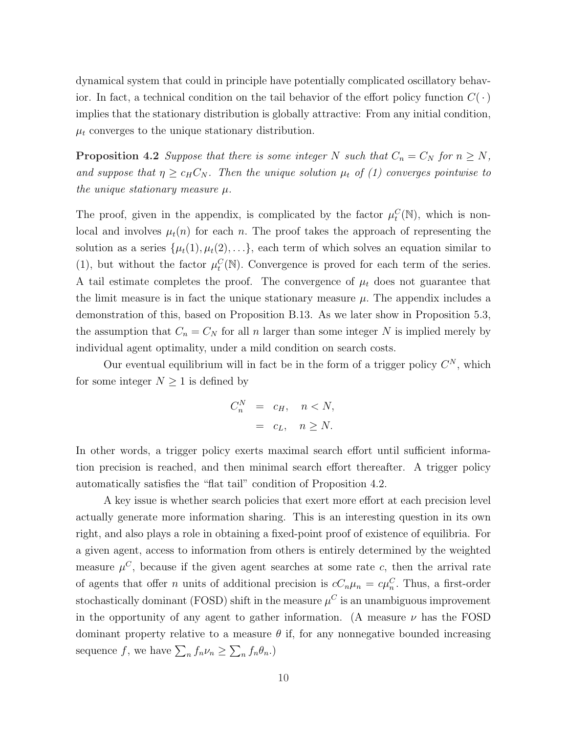dynamical system that could in principle have potentially complicated oscillatory behavior. In fact, a technical condition on the tail behavior of the effort policy function  $C(\cdot)$ implies that the stationary distribution is globally attractive: From any initial condition,  $\mu_t$  converges to the unique stationary distribution.

**Proposition 4.2** Suppose that there is some integer N such that  $C_n = C_N$  for  $n \geq N$ , and suppose that  $\eta \geq c_H C_N$ . Then the unique solution  $\mu_t$  of (1) converges pointwise to the unique stationary measure  $\mu$ .

The proof, given in the appendix, is complicated by the factor  $\mu_t^C(\mathbb{N})$ , which is nonlocal and involves  $\mu_t(n)$  for each n. The proof takes the approach of representing the solution as a series  $\{\mu_t(1), \mu_t(2), \ldots\}$ , each term of which solves an equation similar to (1), but without the factor  $\mu_t^C(\mathbb{N})$ . Convergence is proved for each term of the series. A tail estimate completes the proof. The convergence of  $\mu_t$  does not guarantee that the limit measure is in fact the unique stationary measure  $\mu$ . The appendix includes a demonstration of this, based on Proposition B.13. As we later show in Proposition 5.3, the assumption that  $C_n = C_N$  for all n larger than some integer N is implied merely by individual agent optimality, under a mild condition on search costs.

Our eventual equilibrium will in fact be in the form of a trigger policy  $C^N$ , which for some integer  $N \geq 1$  is defined by

$$
C_n^N = c_H, \quad n < N,
$$
\n
$$
= c_L, \quad n \ge N.
$$

In other words, a trigger policy exerts maximal search effort until sufficient information precision is reached, and then minimal search effort thereafter. A trigger policy automatically satisfies the "flat tail" condition of Proposition 4.2.

A key issue is whether search policies that exert more effort at each precision level actually generate more information sharing. This is an interesting question in its own right, and also plays a role in obtaining a fixed-point proof of existence of equilibria. For a given agent, access to information from others is entirely determined by the weighted measure  $\mu^C$ , because if the given agent searches at some rate c, then the arrival rate of agents that offer *n* units of additional precision is  $cC_n\mu_n = c\mu_n^C$ . Thus, a first-order stochastically dominant (FOSD) shift in the measure  $\mu^C$  is an unambiguous improvement in the opportunity of any agent to gather information. (A measure  $\nu$  has the FOSD dominant property relative to a measure  $\theta$  if, for any nonnegative bounded increasing sequence f, we have  $\sum_{n} f_n \nu_n \geq$  $\overline{ }$  $\int_n f_n \theta_n.$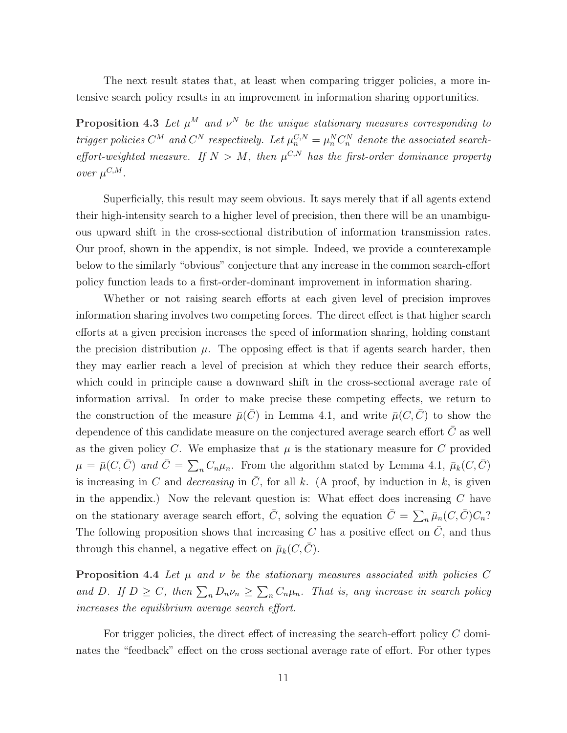The next result states that, at least when comparing trigger policies, a more intensive search policy results in an improvement in information sharing opportunities.

**Proposition 4.3** Let  $\mu^M$  and  $\nu^N$  be the unique stationary measures corresponding to trigger policies  $C^M$  and  $C^N$  respectively. Let  $\mu_n^{C,N} = \mu_n^N C_n^N$  denote the associated searcheffort-weighted measure. If  $N > M$ , then  $\mu^{C,N}$  has the first-order dominance property over  $\mu^{C,M}$ .

Superficially, this result may seem obvious. It says merely that if all agents extend their high-intensity search to a higher level of precision, then there will be an unambiguous upward shift in the cross-sectional distribution of information transmission rates. Our proof, shown in the appendix, is not simple. Indeed, we provide a counterexample below to the similarly "obvious" conjecture that any increase in the common search-effort policy function leads to a first-order-dominant improvement in information sharing.

Whether or not raising search efforts at each given level of precision improves information sharing involves two competing forces. The direct effect is that higher search efforts at a given precision increases the speed of information sharing, holding constant the precision distribution  $\mu$ . The opposing effect is that if agents search harder, then they may earlier reach a level of precision at which they reduce their search efforts, which could in principle cause a downward shift in the cross-sectional average rate of information arrival. In order to make precise these competing effects, we return to the construction of the measure  $\bar{\mu}(\bar{C})$  in Lemma 4.1, and write  $\bar{\mu}(C, \bar{C})$  to show the dependence of this candidate measure on the conjectured average search effort  $C$  as well as the given policy C. We emphasize that  $\mu$  is the stationary measure for C provided  $\mu = \bar{\mu}(C, \bar{C})$  and  $\bar{C} = \sum_n C_n \mu_n$ . From the algorithm stated by Lemma 4.1,  $\bar{\mu}_k(C, \bar{C})$ is increasing in C and *decreasing* in C, for all k. (A proof, by induction in k, is given in the appendix.) Now the relevant question is: What effect does increasing  $C$  have on the stationary average search effort,  $\overline{C}$ , solving the equation  $\overline{C} = \sum_n \overline{\mu}_n(C, \overline{C}) C_n$ ? The following proposition shows that increasing C has a positive effect on  $\overline{C}$ , and thus through this channel, a negative effect on  $\bar{\mu}_k(C, C)$ .

**Proposition 4.4** Let  $\mu$  and  $\nu$  be the stationary measures associated with policies C and D. If  $D \ge C$ , then  $\sum_n D_n \nu_n \ge$  $\overline{ }$  $_n C_n \mu_n$ . That is, any increase in search policy increases the equilibrium average search effort.

For trigger policies, the direct effect of increasing the search-effort policy C dominates the "feedback" effect on the cross sectional average rate of effort. For other types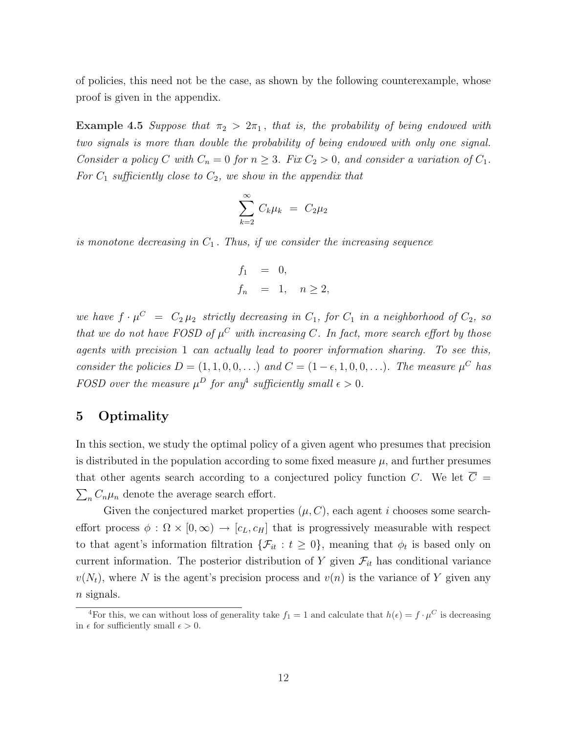of policies, this need not be the case, as shown by the following counterexample, whose proof is given in the appendix.

Example 4.5 Suppose that  $\pi_2 > 2\pi_1$ , that is, the probability of being endowed with two signals is more than double the probability of being endowed with only one signal. Consider a policy C with  $C_n = 0$  for  $n \geq 3$ . Fix  $C_2 > 0$ , and consider a variation of  $C_1$ . For  $C_1$  sufficiently close to  $C_2$ , we show in the appendix that

$$
\sum_{k=2}^{\infty} C_k \mu_k = C_2 \mu_2
$$

is monotone decreasing in  $C_1$ . Thus, if we consider the increasing sequence

$$
f_1 = 0,
$$
  

$$
f_n = 1, \quad n \ge 2,
$$

we have  $f \cdot \mu^C = C_2 \mu_2$  strictly decreasing in  $C_1$ , for  $C_1$  in a neighborhood of  $C_2$ , so that we do not have FOSD of  $\mu^C$  with increasing C. In fact, more search effort by those agents with precision 1 can actually lead to poorer information sharing. To see this, consider the policies  $D = (1, 1, 0, 0, ...)$  and  $C = (1 - \epsilon, 1, 0, 0, ...)$ . The measure  $\mu^C$  has FOSD over the measure  $\mu^D$  for any<sup>4</sup> sufficiently small  $\epsilon > 0$ .

# 5 Optimality

In this section, we study the optimal policy of a given agent who presumes that precision is distributed in the population according to some fixed measure  $\mu$ , and further presumes that other agents search according to a conjectured policy function C. We let  $\overline{C}$  =  $\sum_{n} C_n \mu_n$  denote the average search effort.

Given the conjectured market properties  $(\mu, C)$ , each agent i chooses some searcheffort process  $\phi : \Omega \times [0, \infty) \to [c_L, c_H]$  that is progressively measurable with respect to that agent's information filtration  $\{\mathcal{F}_{it} : t \geq 0\}$ , meaning that  $\phi_t$  is based only on current information. The posterior distribution of Y given  $\mathcal{F}_{it}$  has conditional variance  $v(N_t)$ , where N is the agent's precision process and  $v(n)$  is the variance of Y given any  $n$  signals.

<sup>&</sup>lt;sup>4</sup>For this, we can without loss of generality take  $f_1 = 1$  and calculate that  $h(\epsilon) = f \cdot \mu^C$  is decreasing in  $\epsilon$  for sufficiently small  $\epsilon > 0$ .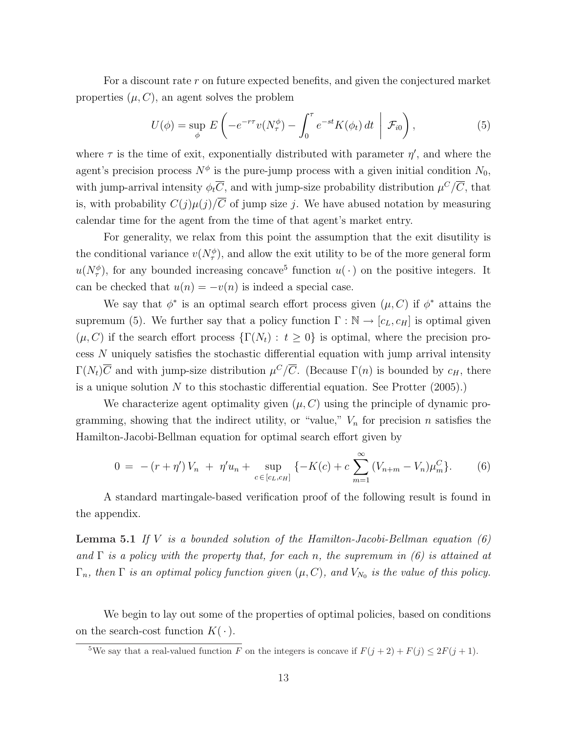For a discount rate r on future expected benefits, and given the conjectured market properties  $(\mu, C)$ , an agent solves the problem

$$
U(\phi) = \sup_{\phi} E\left(-e^{-r\tau}v(N_{\tau}^{\phi}) - \int_0^{\tau} e^{-st}K(\phi_t) dt \mid \mathcal{F}_{i0}\right),
$$
 (5)

where  $\tau$  is the time of exit, exponentially distributed with parameter  $\eta'$ , and where the agent's precision process  $N^{\phi}$  is the pure-jump process with a given initial condition  $N_0$ , with jump-arrival intensity  $\phi_t \overline{C}$ , and with jump-size probability distribution  $\mu^C/\overline{C}$ , that is, with probability  $C(j)\mu(j)/\overline{C}$  of jump size j. We have abused notation by measuring calendar time for the agent from the time of that agent's market entry.

For generality, we relax from this point the assumption that the exit disutility is the conditional variance  $v(N_{\tau}^{\phi})$ , and allow the exit utility to be of the more general form  $u(N_{\tau}^{\phi})$ , for any bounded increasing concave<sup>5</sup> function  $u(\cdot)$  on the positive integers. It can be checked that  $u(n) = -v(n)$  is indeed a special case.

We say that  $\phi^*$  is an optimal search effort process given  $(\mu, C)$  if  $\phi^*$  attains the supremum (5). We further say that a policy function  $\Gamma : \mathbb{N} \to [c_L, c_H]$  is optimal given  $(\mu, C)$  if the search effort process  $\{\Gamma(N_t): t \geq 0\}$  is optimal, where the precision process N uniquely satisfies the stochastic differential equation with jump arrival intensity  $\Gamma(N_t)\overline{C}$  and with jump-size distribution  $\mu^C/\overline{C}$ . (Because  $\Gamma(n)$  is bounded by  $c_H$ , there is a unique solution  $N$  to this stochastic differential equation. See Protter  $(2005)$ .)

We characterize agent optimality given  $(\mu, C)$  using the principle of dynamic programming, showing that the indirect utility, or "value,"  $V_n$  for precision n satisfies the Hamilton-Jacobi-Bellman equation for optimal search effort given by

$$
0 = -(r + \eta')V_n + \eta'u_n + \sup_{c \in [c_L, c_H]} \{-K(c) + c \sum_{m=1}^{\infty} (V_{n+m} - V_n)\mu_m^C\}.
$$
 (6)

A standard martingale-based verification proof of the following result is found in the appendix.

**Lemma 5.1** If V is a bounded solution of the Hamilton-Jacobi-Bellman equation  $(6)$ and  $\Gamma$  is a policy with the property that, for each n, the supremum in (6) is attained at  $\Gamma_n$ , then  $\Gamma$  is an optimal policy function given  $(\mu, C)$ , and  $V_{N_0}$  is the value of this policy.

We begin to lay out some of the properties of optimal policies, based on conditions on the search-cost function  $K(\cdot)$ .

<sup>&</sup>lt;sup>5</sup>We say that a real-valued function F on the integers is concave if  $F(j + 2) + F(j) \le 2F(j + 1)$ .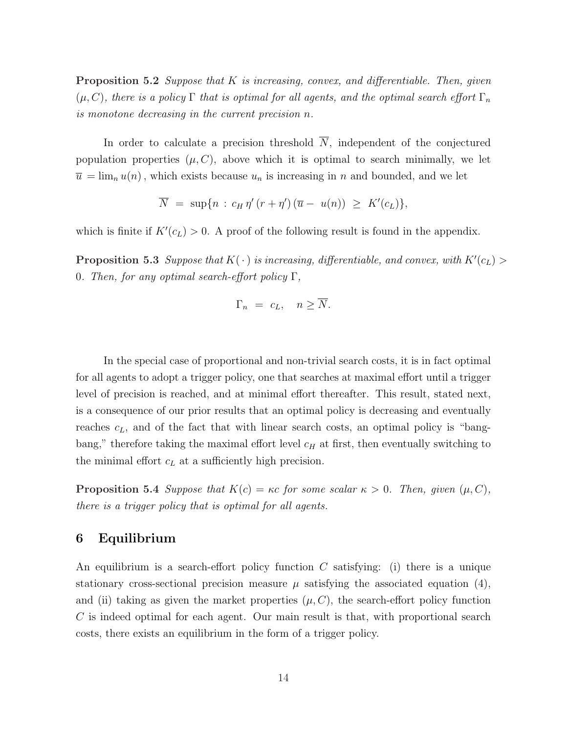**Proposition 5.2** Suppose that  $K$  is increasing, convex, and differentiable. Then, given  $(\mu, C)$ , there is a policy Γ that is optimal for all agents, and the optimal search effort  $\Gamma_n$ is monotone decreasing in the current precision n.

In order to calculate a precision threshold  $\overline{N}$ , independent of the conjectured population properties  $(\mu, C)$ , above which it is optimal to search minimally, we let  $\overline{u} = \lim_{n} u(n)$ , which exists because  $u_n$  is increasing in n and bounded, and we let

$$
\overline{N} = \sup\{n : c_H \eta'(r + \eta')(\overline{u} - u(n)) \geq K'(c_L)\},\
$$

which is finite if  $K'(c_L) > 0$ . A proof of the following result is found in the appendix.

**Proposition 5.3** Suppose that  $K(\cdot)$  is increasing, differentiable, and convex, with  $K'(c_L)$ 0. Then, for any optimal search-effort policy  $\Gamma$ ,

$$
\Gamma_n = c_L, \quad n \ge \overline{N}.
$$

In the special case of proportional and non-trivial search costs, it is in fact optimal for all agents to adopt a trigger policy, one that searches at maximal effort until a trigger level of precision is reached, and at minimal effort thereafter. This result, stated next, is a consequence of our prior results that an optimal policy is decreasing and eventually reaches  $c<sub>L</sub>$ , and of the fact that with linear search costs, an optimal policy is "bangbang," therefore taking the maximal effort level  $c_H$  at first, then eventually switching to the minimal effort  $c<sub>L</sub>$  at a sufficiently high precision.

**Proposition 5.4** Suppose that  $K(c) = \kappa c$  for some scalar  $\kappa > 0$ . Then, given  $(\mu, C)$ , there is a trigger policy that is optimal for all agents.

# 6 Equilibrium

An equilibrium is a search-effort policy function  $C$  satisfying: (i) there is a unique stationary cross-sectional precision measure  $\mu$  satisfying the associated equation (4), and (ii) taking as given the market properties  $(\mu, C)$ , the search-effort policy function  $C$  is indeed optimal for each agent. Our main result is that, with proportional search costs, there exists an equilibrium in the form of a trigger policy.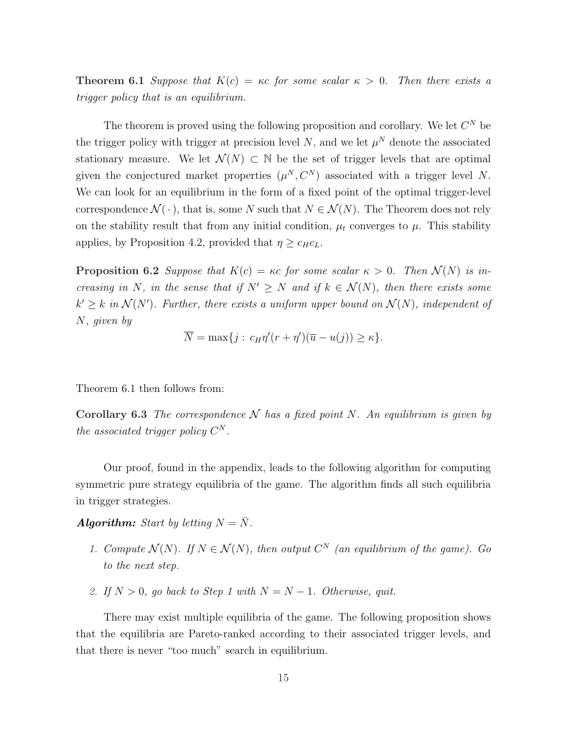**Theorem 6.1** Suppose that  $K(c) = \kappa c$  for some scalar  $\kappa > 0$ . Then there exists a trigger policy that is an equilibrium.

The theorem is proved using the following proposition and corollary. We let  $C^N$  be the trigger policy with trigger at precision level N, and we let  $\mu^N$  denote the associated stationary measure. We let  $\mathcal{N}(N) \subset \mathbb{N}$  be the set of trigger levels that are optimal given the conjectured market properties  $(\mu^N, C^N)$  associated with a trigger level N. We can look for an equilibrium in the form of a fixed point of the optimal trigger-level correspondence  $\mathcal{N}(\cdot)$ , that is, some N such that  $N \in \mathcal{N}(N)$ . The Theorem does not rely on the stability result that from any initial condition,  $\mu_t$  converges to  $\mu$ . This stability applies, by Proposition 4.2, provided that  $\eta \geq c_H c_L$ .

**Proposition 6.2** Suppose that  $K(c) = \kappa c$  for some scalar  $\kappa > 0$ . Then  $\mathcal{N}(N)$  is increasing in N, in the sense that if  $N' \geq N$  and if  $k \in \mathcal{N}(N)$ , then there exists some  $k' \geq k$  in  $\mathcal{N}(N')$ . Further, there exists a uniform upper bound on  $\mathcal{N}(N)$ , independent of N, given by

$$
\overline{N} = \max\{j : c_H \eta'(r + \eta')(\overline{u} - u(j)) \ge \kappa\}.
$$

Theorem 6.1 then follows from:

Corollary 6.3 The correspondence  $N$  has a fixed point N. An equilibrium is given by the associated trigger policy  $C^N$ .

Our proof, found in the appendix, leads to the following algorithm for computing symmetric pure strategy equilibria of the game. The algorithm finds all such equilibria in trigger strategies.

**Algorithm:** Start by letting  $N = \overline{N}$ .

- 1. Compute  $\mathcal{N}(N)$ . If  $N \in \mathcal{N}(N)$ , then output  $C^N$  (an equilibrium of the game). Go to the next step.
- 2. If  $N > 0$ , go back to Step 1 with  $N = N 1$ . Otherwise, quit.

There may exist multiple equilibria of the game. The following proposition shows that the equilibria are Pareto-ranked according to their associated trigger levels, and that there is never "too much" search in equilibrium.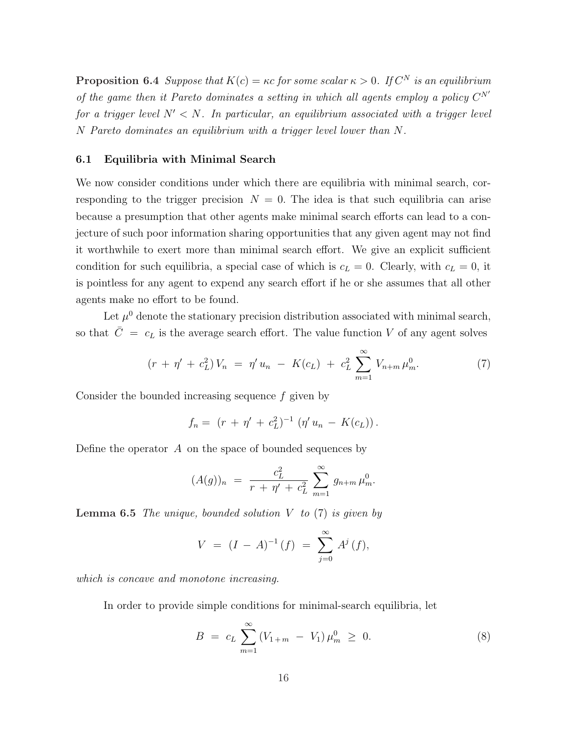**Proposition 6.4** Suppose that  $K(c) = \kappa c$  for some scalar  $\kappa > 0$ . If  $C^N$  is an equilibrium of the game then it Pareto dominates a setting in which all agents employ a policy  $C^{N'}$ for a trigger level  $N' < N$ . In particular, an equilibrium associated with a trigger level N Pareto dominates an equilibrium with a trigger level lower than N.

#### 6.1 Equilibria with Minimal Search

We now consider conditions under which there are equilibria with minimal search, corresponding to the trigger precision  $N = 0$ . The idea is that such equilibria can arise because a presumption that other agents make minimal search efforts can lead to a conjecture of such poor information sharing opportunities that any given agent may not find it worthwhile to exert more than minimal search effort. We give an explicit sufficient condition for such equilibria, a special case of which is  $c_L = 0$ . Clearly, with  $c_L = 0$ , it is pointless for any agent to expend any search effort if he or she assumes that all other agents make no effort to be found.

Let  $\mu^0$  denote the stationary precision distribution associated with minimal search, so that  $\overline{C} = c_L$  is the average search effort. The value function V of any agent solves

$$
(r + \eta' + c_L^2) V_n = \eta' u_n - K(c_L) + c_L^2 \sum_{m=1}^{\infty} V_{n+m} \mu_m^0.
$$
 (7)

Consider the bounded increasing sequence f given by

$$
f_n = (r + \eta' + c_L^2)^{-1} (\eta' u_n - K(c_L)).
$$

Define the operator  $A$  on the space of bounded sequences by

$$
(A(g))_n = \frac{c_L^2}{r + \eta' + c_L^2} \sum_{m=1}^{\infty} g_{n+m} \mu_m^0.
$$

**Lemma 6.5** The unique, bounded solution  $V$  to  $(7)$  is given by

$$
V = (I - A)^{-1}(f) = \sum_{j=0}^{\infty} A^j(f),
$$

which is concave and monotone increasing.

In order to provide simple conditions for minimal-search equilibria, let

$$
B = c_L \sum_{m=1}^{\infty} (V_{1+m} - V_1) \mu_m^0 \ge 0.
$$
 (8)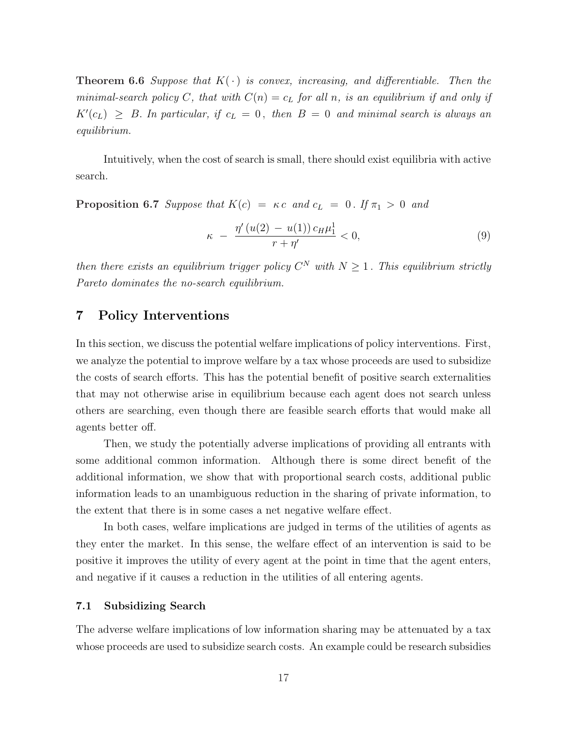**Theorem 6.6** Suppose that  $K(\cdot)$  is convex, increasing, and differentiable. Then the minimal-search policy C, that with  $C(n) = c_L$  for all n, is an equilibrium if and only if  $K'(c_L) \geq B$ . In particular, if  $c_L = 0$ , then  $B = 0$  and minimal search is always an equilibrium.

Intuitively, when the cost of search is small, there should exist equilibria with active search.

**Proposition 6.7** Suppose that  $K(c) = \kappa c$  and  $c_L = 0$ . If  $\pi_1 > 0$  and

$$
\kappa - \frac{\eta'(u(2) - u(1)) c_H \mu_1^1}{r + \eta'} < 0,
$$
\n(9)

then there exists an equilibrium trigger policy  $C^N$  with  $N \geq 1$ . This equilibrium strictly Pareto dominates the no-search equilibrium.

## 7 Policy Interventions

In this section, we discuss the potential welfare implications of policy interventions. First, we analyze the potential to improve welfare by a tax whose proceeds are used to subsidize the costs of search efforts. This has the potential benefit of positive search externalities that may not otherwise arise in equilibrium because each agent does not search unless others are searching, even though there are feasible search efforts that would make all agents better off.

Then, we study the potentially adverse implications of providing all entrants with some additional common information. Although there is some direct benefit of the additional information, we show that with proportional search costs, additional public information leads to an unambiguous reduction in the sharing of private information, to the extent that there is in some cases a net negative welfare effect.

In both cases, welfare implications are judged in terms of the utilities of agents as they enter the market. In this sense, the welfare effect of an intervention is said to be positive it improves the utility of every agent at the point in time that the agent enters, and negative if it causes a reduction in the utilities of all entering agents.

#### 7.1 Subsidizing Search

The adverse welfare implications of low information sharing may be attenuated by a tax whose proceeds are used to subsidize search costs. An example could be research subsidies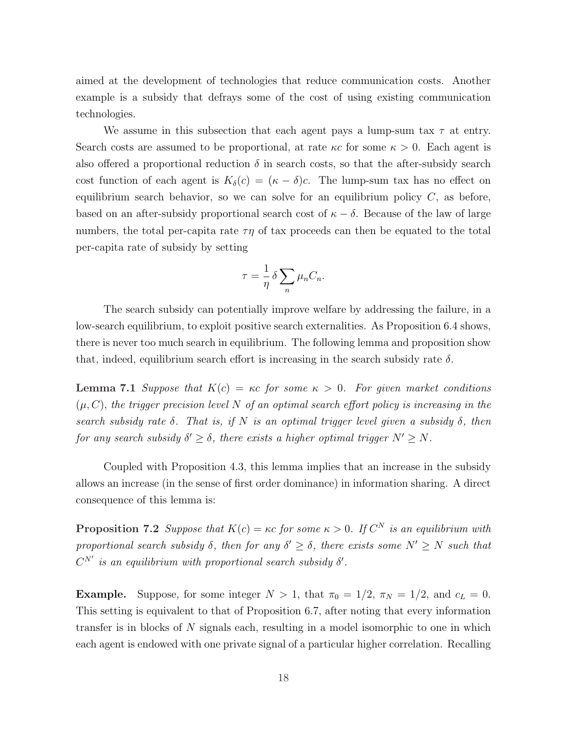aimed at the development of technologies that reduce communication costs. Another example is a subsidy that defrays some of the cost of using existing communication technologies.

We assume in this subsection that each agent pays a lump-sum tax  $\tau$  at entry. Search costs are assumed to be proportional, at rate  $\kappa c$  for some  $\kappa > 0$ . Each agent is also offered a proportional reduction  $\delta$  in search costs, so that the after-subsidy search cost function of each agent is  $K_{\delta}(c) = (\kappa - \delta)c$ . The lump-sum tax has no effect on equilibrium search behavior, so we can solve for an equilibrium policy  $C$ , as before, based on an after-subsidy proportional search cost of  $\kappa - \delta$ . Because of the law of large numbers, the total per-capita rate  $\tau\eta$  of tax proceeds can then be equated to the total per-capita rate of subsidy by setting

$$
\tau = \frac{1}{\eta} \delta \sum_{n} \mu_n C_n.
$$

The search subsidy can potentially improve welfare by addressing the failure, in a low-search equilibrium, to exploit positive search externalities. As Proposition 6.4 shows, there is never too much search in equilibrium. The following lemma and proposition show that, indeed, equilibrium search effort is increasing in the search subsidy rate  $\delta$ .

**Lemma 7.1** Suppose that  $K(c) = \kappa c$  for some  $\kappa > 0$ . For given market conditions  $(\mu, C)$ , the trigger precision level N of an optimal search effort policy is increasing in the search subsidy rate  $\delta$ . That is, if N is an optimal trigger level given a subsidy  $\delta$ , then for any search subsidy  $\delta' \geq \delta$ , there exists a higher optimal trigger  $N' \geq N$ .

Coupled with Proposition 4.3, this lemma implies that an increase in the subsidy allows an increase (in the sense of first order dominance) in information sharing. A direct consequence of this lemma is:

**Proposition 7.2** Suppose that  $K(c) = \kappa c$  for some  $\kappa > 0$ . If  $C^N$  is an equilibrium with proportional search subsidy  $\delta$ , then for any  $\delta' \geq \delta$ , there exists some  $N' \geq N$  such that  $C^{N'}$  is an equilibrium with proportional search subsidy  $\delta'$ .

**Example.** Suppose, for some integer  $N > 1$ , that  $\pi_0 = 1/2$ ,  $\pi_N = 1/2$ , and  $c_L = 0$ . This setting is equivalent to that of Proposition 6.7, after noting that every information transfer is in blocks of N signals each, resulting in a model isomorphic to one in which each agent is endowed with one private signal of a particular higher correlation. Recalling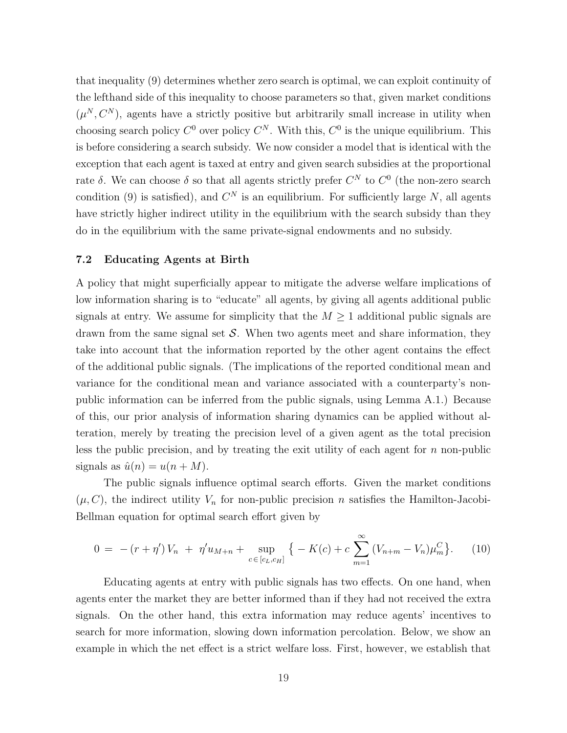that inequality (9) determines whether zero search is optimal, we can exploit continuity of the lefthand side of this inequality to choose parameters so that, given market conditions  $(\mu^N, C^N)$ , agents have a strictly positive but arbitrarily small increase in utility when choosing search policy  $C^0$  over policy  $C^N$ . With this,  $C^0$  is the unique equilibrium. This is before considering a search subsidy. We now consider a model that is identical with the exception that each agent is taxed at entry and given search subsidies at the proportional rate δ. We can choose δ so that all agents strictly prefer  $C^N$  to  $C^0$  (the non-zero search condition (9) is satisfied), and  $C<sup>N</sup>$  is an equilibrium. For sufficiently large N, all agents have strictly higher indirect utility in the equilibrium with the search subsidy than they do in the equilibrium with the same private-signal endowments and no subsidy.

#### 7.2 Educating Agents at Birth

A policy that might superficially appear to mitigate the adverse welfare implications of low information sharing is to "educate" all agents, by giving all agents additional public signals at entry. We assume for simplicity that the  $M \geq 1$  additional public signals are drawn from the same signal set  $\mathcal S$ . When two agents meet and share information, they take into account that the information reported by the other agent contains the effect of the additional public signals. (The implications of the reported conditional mean and variance for the conditional mean and variance associated with a counterparty's nonpublic information can be inferred from the public signals, using Lemma A.1.) Because of this, our prior analysis of information sharing dynamics can be applied without alteration, merely by treating the precision level of a given agent as the total precision less the public precision, and by treating the exit utility of each agent for  $n$  non-public signals as  $\hat{u}(n) = u(n+M)$ .

The public signals influence optimal search efforts. Given the market conditions  $(\mu, C)$ , the indirect utility  $V_n$  for non-public precision n satisfies the Hamilton-Jacobi-Bellman equation for optimal search effort given by

$$
0 = -(r + \eta')V_n + \eta' u_{M+n} + \sup_{c \in [c_L, c_H]} \{ -K(c) + c \sum_{m=1}^{\infty} (V_{n+m} - V_n) \mu_m^C \}.
$$
 (10)

Educating agents at entry with public signals has two effects. On one hand, when agents enter the market they are better informed than if they had not received the extra signals. On the other hand, this extra information may reduce agents' incentives to search for more information, slowing down information percolation. Below, we show an example in which the net effect is a strict welfare loss. First, however, we establish that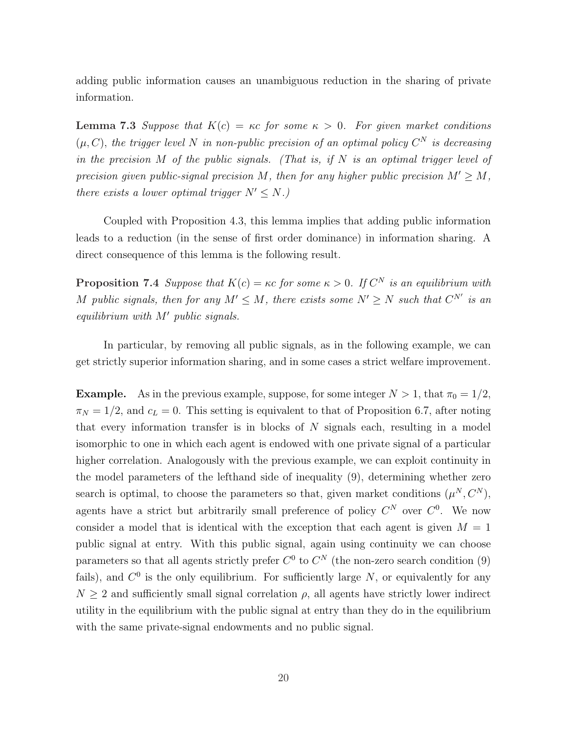adding public information causes an unambiguous reduction in the sharing of private information.

**Lemma 7.3** Suppose that  $K(c) = \kappa c$  for some  $\kappa > 0$ . For given market conditions  $(\mu, C)$ , the trigger level N in non-public precision of an optimal policy  $C^N$  is decreasing in the precision  $M$  of the public signals. (That is, if  $N$  is an optimal trigger level of precision given public-signal precision M, then for any higher public precision  $M' \geq M$ , there exists a lower optimal trigger  $N' \leq N$ .)

Coupled with Proposition 4.3, this lemma implies that adding public information leads to a reduction (in the sense of first order dominance) in information sharing. A direct consequence of this lemma is the following result.

**Proposition 7.4** Suppose that  $K(c) = \kappa c$  for some  $\kappa > 0$ . If  $C^N$  is an equilibrium with M public signals, then for any  $M' \leq M$ , there exists some  $N' \geq N$  such that  $C^{N'}$  is an equilibrium with  $M'$  public signals.

In particular, by removing all public signals, as in the following example, we can get strictly superior information sharing, and in some cases a strict welfare improvement.

**Example.** As in the previous example, suppose, for some integer  $N > 1$ , that  $\pi_0 = 1/2$ ,  $\pi_N = 1/2$ , and  $c_L = 0$ . This setting is equivalent to that of Proposition 6.7, after noting that every information transfer is in blocks of  $N$  signals each, resulting in a model isomorphic to one in which each agent is endowed with one private signal of a particular higher correlation. Analogously with the previous example, we can exploit continuity in the model parameters of the lefthand side of inequality (9), determining whether zero search is optimal, to choose the parameters so that, given market conditions  $(\mu^N, C^N)$ , agents have a strict but arbitrarily small preference of policy  $C^N$  over  $C^0$ . We now consider a model that is identical with the exception that each agent is given  $M = 1$ public signal at entry. With this public signal, again using continuity we can choose parameters so that all agents strictly prefer  $C^0$  to  $C^N$  (the non-zero search condition (9) fails), and  $C^0$  is the only equilibrium. For sufficiently large N, or equivalently for any  $N \geq 2$  and sufficiently small signal correlation  $\rho$ , all agents have strictly lower indirect utility in the equilibrium with the public signal at entry than they do in the equilibrium with the same private-signal endowments and no public signal.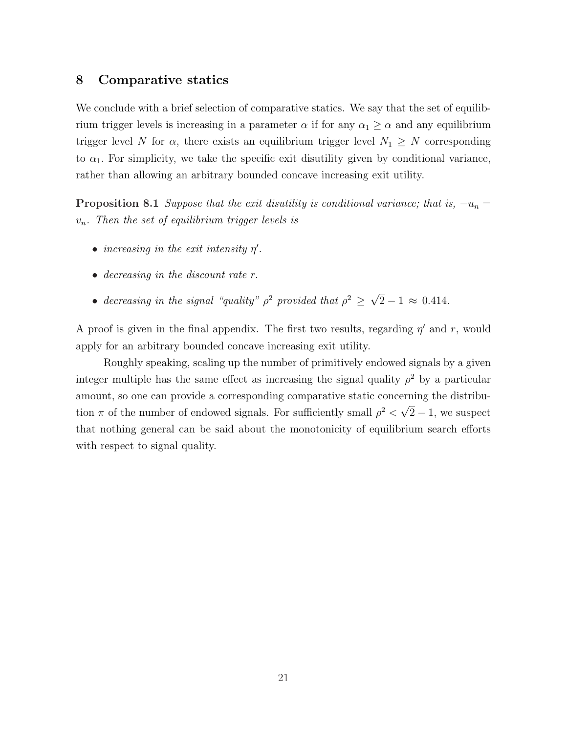## 8 Comparative statics

We conclude with a brief selection of comparative statics. We say that the set of equilibrium trigger levels is increasing in a parameter  $\alpha$  if for any  $\alpha_1 \geq \alpha$  and any equilibrium trigger level N for  $\alpha$ , there exists an equilibrium trigger level  $N_1 \geq N$  corresponding to  $\alpha_1$ . For simplicity, we take the specific exit disutility given by conditional variance, rather than allowing an arbitrary bounded concave increasing exit utility.

**Proposition 8.1** Suppose that the exit disutility is conditional variance; that is,  $-u_n =$  $v_n$ . Then the set of equilibrium trigger levels is

- $\bullet$  increasing in the exit intensity  $\eta'$ .
- decreasing in the discount rate r.
- decreasing in the signal "quality"  $\rho^2$  provided that  $\rho^2 \geq$ √  $2 - 1 \approx 0.414$ .

A proof is given in the final appendix. The first two results, regarding  $\eta'$  and r, would apply for an arbitrary bounded concave increasing exit utility.

Roughly speaking, scaling up the number of primitively endowed signals by a given integer multiple has the same effect as increasing the signal quality  $\rho^2$  by a particular amount, so one can provide a corresponding comparative static concerning the distribution  $\pi$  of the number of endowed signals. For sufficiently small  $\rho^2$  < √  $\overline{2} - 1$ , we suspect that nothing general can be said about the monotonicity of equilibrium search efforts with respect to signal quality.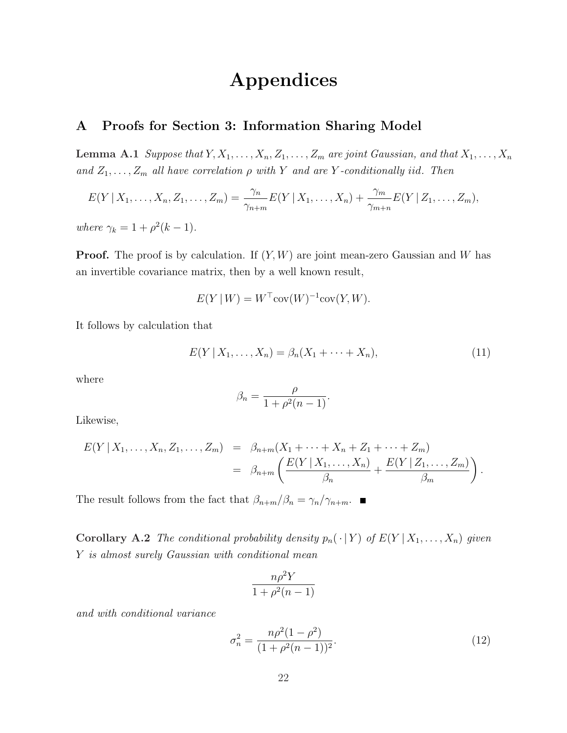# Appendices

# A Proofs for Section 3: Information Sharing Model

**Lemma A.1** Suppose that  $Y, X_1, \ldots, X_n, Z_1, \ldots, Z_m$  are joint Gaussian, and that  $X_1, \ldots, X_n$ and  $Z_1, \ldots, Z_m$  all have correlation  $\rho$  with Y and are Y-conditionally iid. Then

$$
E(Y | X_1, \ldots, X_n, Z_1, \ldots, Z_m) = \frac{\gamma_n}{\gamma_{n+m}} E(Y | X_1, \ldots, X_n) + \frac{\gamma_m}{\gamma_{m+n}} E(Y | Z_1, \ldots, Z_m),
$$

where  $\gamma_k = 1 + \rho^2(k - 1)$ .

**Proof.** The proof is by calculation. If  $(Y, W)$  are joint mean-zero Gaussian and W has an invertible covariance matrix, then by a well known result,

$$
E(Y \mid W) = W^{\top} \text{cov}(W)^{-1} \text{cov}(Y, W).
$$

It follows by calculation that

$$
E(Y | X_1, ..., X_n) = \beta_n(X_1 + \dots + X_n),
$$
\n(11)

where

$$
\beta_n = \frac{\rho}{1 + \rho^2(n-1)}.
$$

Likewise,

$$
E(Y | X_1, ..., X_n, Z_1, ..., Z_m) = \beta_{n+m}(X_1 + ... + X_n + Z_1 + ... + Z_m)
$$
  
=  $\beta_{n+m}\left(\frac{E(Y | X_1, ..., X_n)}{\beta_n} + \frac{E(Y | Z_1, ..., Z_m)}{\beta_m}\right).$ 

The result follows from the fact that  $\beta_{n+m}/\beta_n = \gamma_n/\gamma_{n+m}$ .

Corollary A.2 The conditional probability density  $p_n(\cdot | Y)$  of  $E(Y | X_1, \ldots, X_n)$  given Y is almost surely Gaussian with conditional mean

$$
\frac{n\rho^2 Y}{1 + \rho^2 (n-1)}
$$

and with conditional variance

$$
\sigma_n^2 = \frac{n\rho^2(1-\rho^2)}{(1+\rho^2(n-1))^2}.\tag{12}
$$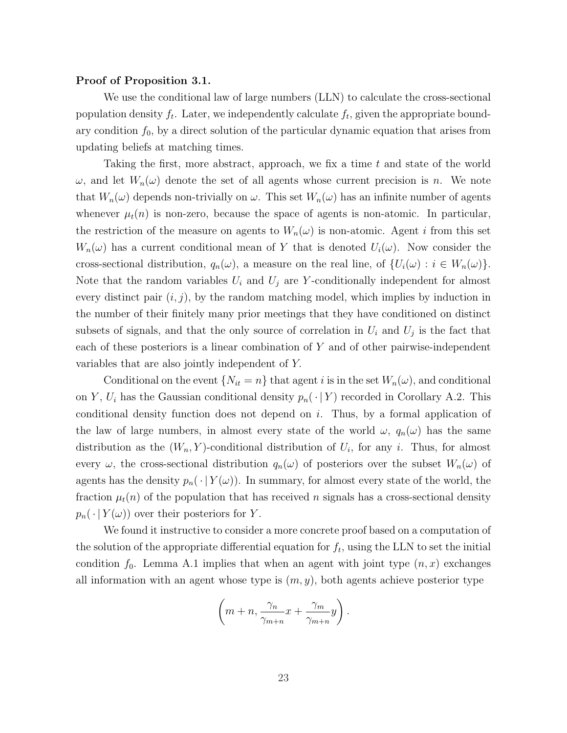#### Proof of Proposition 3.1.

We use the conditional law of large numbers (LLN) to calculate the cross-sectional population density  $f_t$ . Later, we independently calculate  $f_t$ , given the appropriate boundary condition  $f_0$ , by a direct solution of the particular dynamic equation that arises from updating beliefs at matching times.

Taking the first, more abstract, approach, we fix a time t and state of the world  $\omega$ , and let  $W_n(\omega)$  denote the set of all agents whose current precision is n. We note that  $W_n(\omega)$  depends non-trivially on  $\omega$ . This set  $W_n(\omega)$  has an infinite number of agents whenever  $\mu_t(n)$  is non-zero, because the space of agents is non-atomic. In particular, the restriction of the measure on agents to  $W_n(\omega)$  is non-atomic. Agent i from this set  $W_n(\omega)$  has a current conditional mean of Y that is denoted  $U_i(\omega)$ . Now consider the cross-sectional distribution,  $q_n(\omega)$ , a measure on the real line, of  $\{U_i(\omega) : i \in W_n(\omega)\}.$ Note that the random variables  $U_i$  and  $U_j$  are Y-conditionally independent for almost every distinct pair  $(i, j)$ , by the random matching model, which implies by induction in the number of their finitely many prior meetings that they have conditioned on distinct subsets of signals, and that the only source of correlation in  $U_i$  and  $U_j$  is the fact that each of these posteriors is a linear combination of  $Y$  and of other pairwise-independent variables that are also jointly independent of Y.

Conditional on the event  $\{N_{it} = n\}$  that agent i is in the set  $W_n(\omega)$ , and conditional on Y,  $U_i$  has the Gaussian conditional density  $p_n(\cdot | Y)$  recorded in Corollary A.2. This conditional density function does not depend on i. Thus, by a formal application of the law of large numbers, in almost every state of the world  $\omega$ ,  $q_n(\omega)$  has the same distribution as the  $(W_n, Y)$ -conditional distribution of  $U_i$ , for any i. Thus, for almost every  $\omega$ , the cross-sectional distribution  $q_n(\omega)$  of posteriors over the subset  $W_n(\omega)$  of agents has the density  $p_n(\cdot | Y(\omega))$ . In summary, for almost every state of the world, the fraction  $\mu_t(n)$  of the population that has received n signals has a cross-sectional density  $p_n(\cdot | Y(\omega))$  over their posteriors for Y.

We found it instructive to consider a more concrete proof based on a computation of the solution of the appropriate differential equation for  $f_t$ , using the LLN to set the initial condition  $f_0$ . Lemma A.1 implies that when an agent with joint type  $(n, x)$  exchanges all information with an agent whose type is  $(m, y)$ , both agents achieve posterior type

$$
\left(m+n,\frac{\gamma_n}{\gamma_{m+n}}x+\frac{\gamma_m}{\gamma_{m+n}}y\right).
$$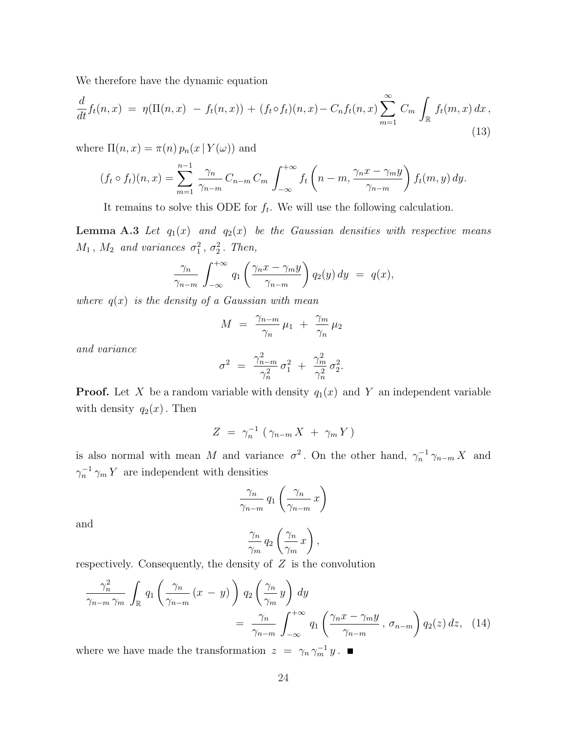We therefore have the dynamic equation

$$
\frac{d}{dt}f_t(n,x) = \eta(\Pi(n,x) - f_t(n,x)) + (f_t \circ f_t)(n,x) - C_n f_t(n,x) \sum_{m=1}^{\infty} C_m \int_{\mathbb{R}} f_t(m,x) dx,
$$
\n(13)

where  $\Pi(n, x) = \pi(n) p_n(x | Y(\omega))$  and

$$
(f_t \circ f_t)(n, x) = \sum_{m=1}^{n-1} \frac{\gamma_n}{\gamma_{n-m}} C_{n-m} C_m \int_{-\infty}^{+\infty} f_t\left(n-m, \frac{\gamma_n x - \gamma_m y}{\gamma_{n-m}}\right) f_t(m, y) dy.
$$

It remains to solve this ODE for  $f_t$ . We will use the following calculation.

**Lemma A.3** Let  $q_1(x)$  and  $q_2(x)$  be the Gaussian densities with respective means  $M_1$ ,  $M_2$  and variances  $\sigma_1^2$ ,  $\sigma_2^2$ . Then,

$$
\frac{\gamma_n}{\gamma_{n-m}}\int_{-\infty}^{+\infty}q_1\left(\frac{\gamma_n x-\gamma_m y}{\gamma_{n-m}}\right)q_2(y)\,dy\ =\ q(x),
$$

where  $q(x)$  is the density of a Gaussian with mean

$$
M = \frac{\gamma_{n-m}}{\gamma_n} \mu_1 + \frac{\gamma_m}{\gamma_n} \mu_2
$$

and variance

$$
\sigma^2 = \frac{\gamma_{n-m}^2}{\gamma_n^2} \, \sigma_1^2 \, + \, \frac{\gamma_m^2}{\gamma_n^2} \, \sigma_2^2.
$$

**Proof.** Let X be a random variable with density  $q_1(x)$  and Y an independent variable with density  $q_2(x)$ . Then

$$
Z = \gamma_n^{-1} \left( \gamma_{n-m} X + \gamma_m Y \right)
$$

is also normal with mean M and variance  $\sigma^2$ . On the other hand,  $\gamma_n^{-1} \gamma_{n-m} X$  and  $\gamma_n^{-1} \gamma_m Y$  are independent with densities

$$
\frac{\gamma_n}{\gamma_{n-m}} q_1 \left( \frac{\gamma_n}{\gamma_{n-m}} x \right)
$$

and

$$
\frac{\gamma_n}{\gamma_m} q_2 \left( \frac{\gamma_n}{\gamma_m} x \right),
$$

respectively. Consequently, the density of  $Z$  is the convolution

$$
\frac{\gamma_n^2}{\gamma_{n-m} \gamma_m} \int_{\mathbb{R}} q_1 \left( \frac{\gamma_n}{\gamma_{n-m}} (x - y) \right) q_2 \left( \frac{\gamma_n}{\gamma_m} y \right) dy
$$
  
= 
$$
\frac{\gamma_n}{\gamma_{n-m}} \int_{-\infty}^{+\infty} q_1 \left( \frac{\gamma_n x - \gamma_m y}{\gamma_{n-m}}, \sigma_{n-m} \right) q_2(z) dz, (14)
$$

where we have made the transformation  $z = \gamma_n \gamma_m^{-1} y$ .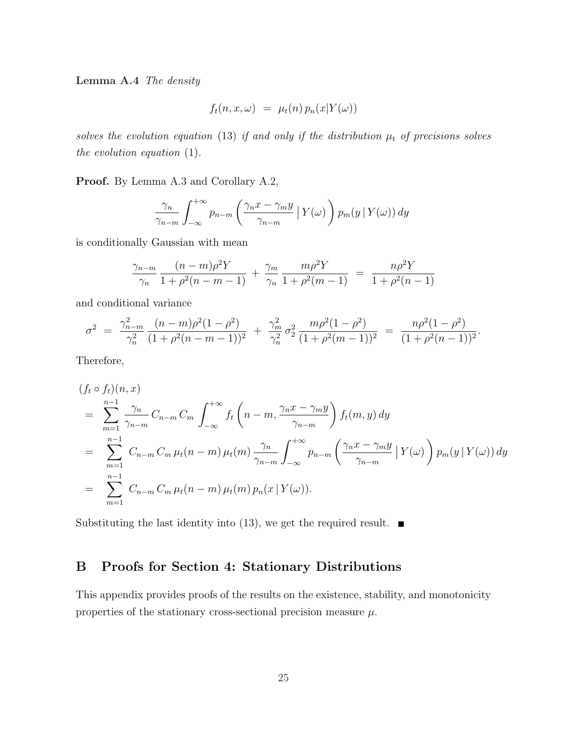Lemma A.4 The density

$$
f_t(n, x, \omega) = \mu_t(n) p_n(x|Y(\omega))
$$

solves the evolution equation (13) if and only if the distribution  $\mu_t$  of precisions solves the evolution equation (1).

Proof. By Lemma A.3 and Corollary A.2,

$$
\frac{\gamma_n}{\gamma_{n-m}} \int_{-\infty}^{+\infty} p_{n-m} \left( \frac{\gamma_n x - \gamma_m y}{\gamma_{n-m}} \left| Y(\omega) \right. \right) p_m(y \left| Y(\omega) \right) dy
$$

is conditionally Gaussian with mean

$$
\frac{\gamma_{n-m}}{\gamma_n} \frac{(n-m)\rho^2 Y}{1+\rho^2(n-m-1)} + \frac{\gamma_m}{\gamma_n} \frac{m\rho^2 Y}{1+\rho^2(m-1)} = \frac{n\rho^2 Y}{1+\rho^2(n-1)}
$$

and conditional variance

$$
\sigma^2 = \frac{\gamma_{n-m}^2}{\gamma_n^2} \frac{(n-m)\rho^2(1-\rho^2)}{(1+\rho^2(n-m-1))^2} + \frac{\gamma_m^2}{\gamma_n^2} \sigma_2^2 \frac{m\rho^2(1-\rho^2)}{(1+\rho^2(m-1))^2} = \frac{n\rho^2(1-\rho^2)}{(1+\rho^2(n-1))^2}.
$$

Therefore,

$$
(f_t \circ f_t)(n, x)
$$
  
= 
$$
\sum_{m=1}^{n-1} \frac{\gamma_n}{\gamma_{n-m}} C_{n-m} C_m \int_{-\infty}^{+\infty} f_t \left(n-m, \frac{\gamma_n x - \gamma_m y}{\gamma_{n-m}}\right) f_t(m, y) dy
$$
  
= 
$$
\sum_{m=1}^{n-1} C_{n-m} C_m \mu_t(n-m) \mu_t(m) \frac{\gamma_n}{\gamma_{n-m}} \int_{-\infty}^{+\infty} p_{n-m} \left(\frac{\gamma_n x - \gamma_m y}{\gamma_{n-m}} |Y(\omega)\right) p_m(y | Y(\omega)) dy
$$
  
= 
$$
\sum_{m=1}^{n-1} C_{n-m} C_m \mu_t(n-m) \mu_t(m) p_n(x | Y(\omega)).
$$

Substituting the last identity into (13), we get the required result.  $\blacksquare$ 

# B Proofs for Section 4: Stationary Distributions

This appendix provides proofs of the results on the existence, stability, and monotonicity properties of the stationary cross-sectional precision measure  $\mu$ .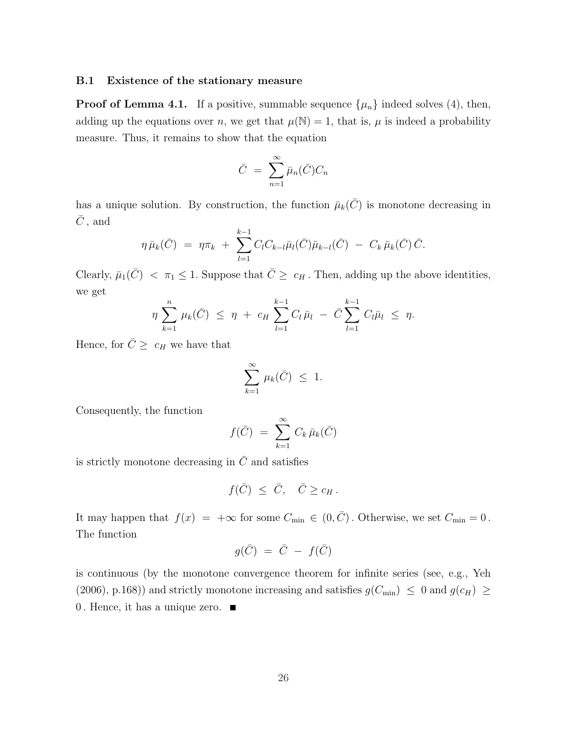#### B.1 Existence of the stationary measure

**Proof of Lemma 4.1.** If a positive, summable sequence  $\{\mu_n\}$  indeed solves (4), then, adding up the equations over n, we get that  $\mu(\mathbb{N}) = 1$ , that is,  $\mu$  is indeed a probability measure. Thus, it remains to show that the equation

$$
\bar{C} = \sum_{n=1}^{\infty} \bar{\mu}_n(\bar{C}) C_n
$$

has a unique solution. By construction, the function  $\bar{\mu}_k(\bar{C})$  is monotone decreasing in  $\bar{C}$ , and

$$
\eta \bar{\mu}_k(\bar{C}) = \eta \pi_k + \sum_{l=1}^{k-1} C_l C_{k-l} \bar{\mu}_l(\bar{C}) \bar{\mu}_{k-l}(\bar{C}) - C_k \bar{\mu}_k(\bar{C}) \bar{C}.
$$

Clearly,  $\bar{\mu}_1(\bar{C}) < \pi_1 \leq 1$ . Suppose that  $\bar{C} \geq c_H$ . Then, adding up the above identities, we get

$$
\eta \sum_{k=1}^n \mu_k(\bar{C}) \leq \eta + c_H \sum_{l=1}^{k-1} C_l \bar{\mu}_l - \bar{C} \sum_{l=1}^{k-1} C_l \bar{\mu}_l \leq \eta.
$$

Hence, for  $\overline{C} \geq c_H$  we have that

$$
\sum_{k=1}^{\infty} \mu_k(\bar{C}) \leq 1.
$$

Consequently, the function

$$
f(\bar{C}) = \sum_{k=1}^{\infty} C_k \bar{\mu}_k(\bar{C})
$$

is strictly monotone decreasing in  $\overline{C}$  and satisfies

$$
f(\bar C)\ \leq\ \bar C,\quad \bar C\geq c_H\,.
$$

It may happen that  $f(x) = +\infty$  for some  $C_{\min} \in (0, \overline{C})$ . Otherwise, we set  $C_{\min} = 0$ . The function

$$
g(\bar C) \ = \ \bar C \ - \ f(\bar C)
$$

is continuous (by the monotone convergence theorem for infinite series (see, e.g., Yeh (2006), p.168)) and strictly monotone increasing and satisfies  $g(C_{\text{min}}) \leq 0$  and  $g(c_H) \geq$ 0. Hence, it has a unique zero.  $\blacksquare$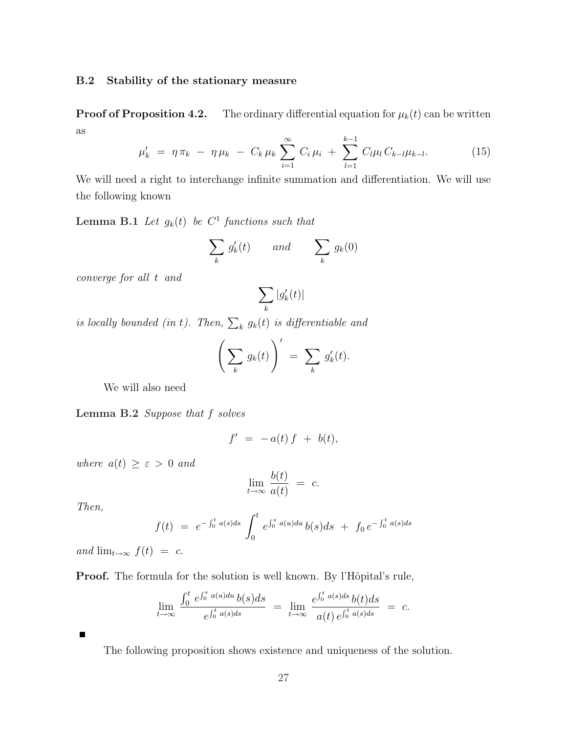#### B.2 Stability of the stationary measure

**Proof of Proposition 4.2.** The ordinary differential equation for  $\mu_k(t)$  can be written as

$$
\mu'_{k} = \eta \pi_{k} - \eta \mu_{k} - C_{k} \mu_{k} \sum_{i=1}^{\infty} C_{i} \mu_{i} + \sum_{l=1}^{k-1} C_{l} \mu_{l} C_{k-l} \mu_{k-l}.
$$
 (15)

We will need a right to interchange infinite summation and differentiation. We will use the following known

**Lemma B.1** Let  $g_k(t)$  be  $C^1$  functions such that

$$
\sum_{k} g'_{k}(t) \qquad and \qquad \sum_{k} g_{k}(0)
$$

converge for all t and

$$
\sum_k |g_k'(t)|
$$

is locally bounded (in t). Then,  $\sum_{k} g_k(t)$  is differentiable and

$$
\left(\sum_{k} g_k(t)\right)' = \sum_{k} g'_k(t).
$$

We will also need

Lemma B.2 Suppose that f solves

$$
f' \,\,=\,\, -a(t)\,f \,\,+\,\, b(t),
$$

where  $a(t) \geq \varepsilon > 0$  and

$$
\lim_{t \to \infty} \frac{b(t)}{a(t)} = c.
$$

Then,

$$
f(t) = e^{-\int_0^t a(s)ds} \int_0^t e^{\int_0^s a(u)du} b(s)ds + f_0 e^{-\int_0^t a(s)ds}
$$

and  $\lim_{t\to\infty} f(t) = c$ .

**Proof.** The formula for the solution is well known. By l'Hôpital's rule,

$$
\lim_{t \to \infty} \frac{\int_0^t e^{\int_0^s a(u) du} b(s) ds}{e^{\int_0^t a(s) ds}} = \lim_{t \to \infty} \frac{e^{\int_0^t a(s) ds} b(t) ds}{a(t) e^{\int_0^t a(s) ds}} = c.
$$

 $\blacksquare$ 

The following proposition shows existence and uniqueness of the solution.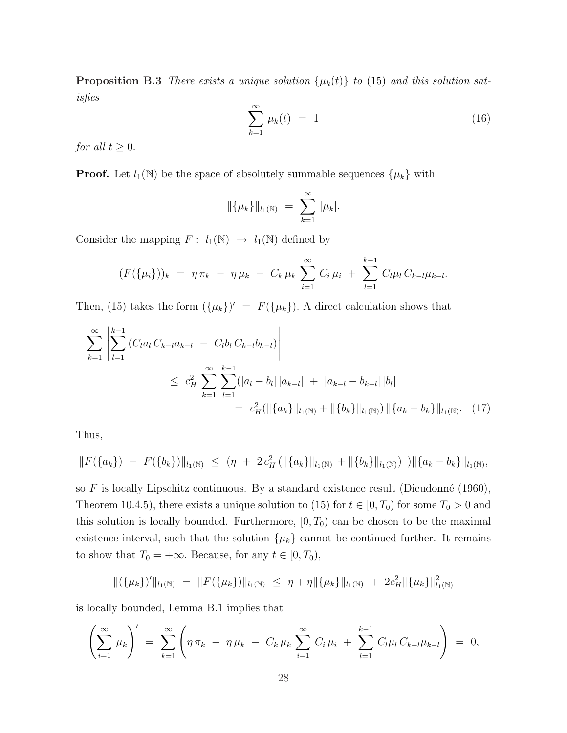**Proposition B.3** There exists a unique solution  $\{\mu_k(t)\}\$  to (15) and this solution satisfies

$$
\sum_{k=1}^{\infty} \mu_k(t) = 1 \tag{16}
$$

for all  $t \geq 0$ .

**Proof.** Let  $l_1(\mathbb{N})$  be the space of absolutely summable sequences  $\{\mu_k\}$  with

$$
\|\{\mu_k\}\|_{l_1(\mathbb{N})} = \sum_{k=1}^{\infty} |\mu_k|.
$$

Consider the mapping  $F: l_1(\mathbb{N}) \to l_1(\mathbb{N})$  defined by

$$
(F(\{\mu_i\}))_k = \eta \pi_k - \eta \mu_k - C_k \mu_k \sum_{i=1}^{\infty} C_i \mu_i + \sum_{l=1}^{k-1} C_l \mu_l C_{k-l} \mu_{k-l}.
$$

Then, (15) takes the form  $({\mu_k})' = F({\mu_k})$ . A direct calculation shows that

$$
\sum_{k=1}^{\infty} \left| \sum_{l=1}^{k-1} (C_l a_l C_{k-l} a_{k-l} - C_l b_l C_{k-l} b_{k-l}) \right|
$$
  
\n
$$
\leq c_H^2 \sum_{k=1}^{\infty} \sum_{l=1}^{k-1} (|a_l - b_l| |a_{k-l}| + |a_{k-l} - b_{k-l}| |b_l|
$$
  
\n
$$
= c_H^2 (\|\{a_k\}\|_{l_1(\mathbb{N})} + \|\{b_k\}\|_{l_1(\mathbb{N})}) \|\{a_k - b_k\}\|_{l_1(\mathbb{N})}.
$$
 (17)

Thus,

$$
||F({a_k}) - F({b_k})||_{l_1(N)} \leq (\eta + 2 c_H^2(||{a_k}||_{l_1(N)} + ||{b_k}||_{l_1(N)}) ||{a_k - b_k}||_{l_1(N)},
$$

so F is locally Lipschitz continuous. By a standard existence result (Dieudonné (1960), Theorem 10.4.5), there exists a unique solution to (15) for  $t \in [0, T_0)$  for some  $T_0 > 0$  and this solution is locally bounded. Furthermore,  $[0, T_0)$  can be chosen to be the maximal existence interval, such that the solution  $\{\mu_k\}$  cannot be continued further. It remains to show that  $T_0 = +\infty$ . Because, for any  $t \in [0, T_0)$ ,

$$
\|(\{\mu_k\})'\|_{l_1(\mathbb{N})} = \|F(\{\mu_k\})\|_{l_1(\mathbb{N})} \leq \eta + \eta \|\{\mu_k\}\|_{l_1(\mathbb{N})} + 2c_H^2 \|\{\mu_k\}\|_{l_1(\mathbb{N})}^2
$$

is locally bounded, Lemma B.1 implies that

$$
\left(\sum_{i=1}^{\infty} \mu_k\right)' = \sum_{k=1}^{\infty} \left(\eta \pi_k - \eta \mu_k - C_k \mu_k \sum_{i=1}^{\infty} C_i \mu_i + \sum_{l=1}^{k-1} C_l \mu_l C_{k-l} \mu_{k-l}\right) = 0,
$$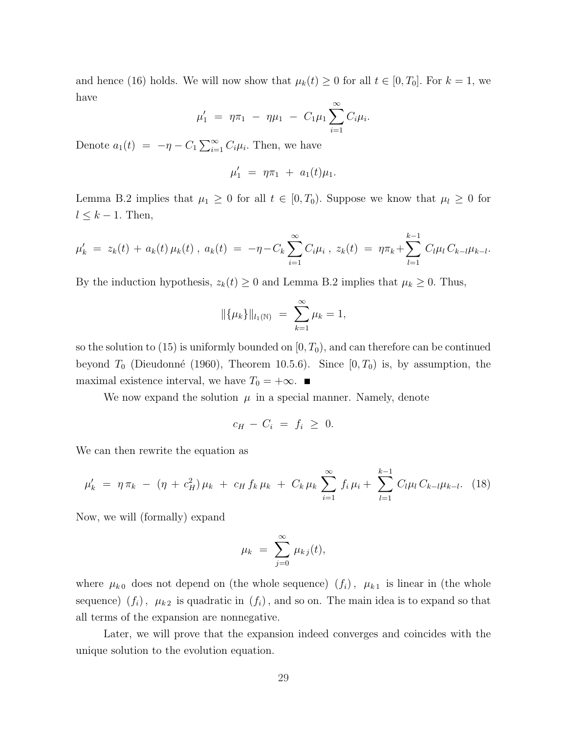and hence (16) holds. We will now show that  $\mu_k(t) \geq 0$  for all  $t \in [0, T_0]$ . For  $k = 1$ , we have

$$
\mu'_1 = \eta \pi_1 - \eta \mu_1 - C_1 \mu_1 \sum_{i=1}^{\infty} C_i \mu_i.
$$

Denote  $a_1(t) = -\eta - C_1 \sum_{i=1}^{\infty}$  $\sum_{i=1}^{\infty} C_i \mu_i$ . Then, we have

$$
\mu_1' \,\,=\,\, \eta \pi_1 \,\,+\,\, a_1(t) \mu_1.
$$

Lemma B.2 implies that  $\mu_1 \geq 0$  for all  $t \in [0, T_0)$ . Suppose we know that  $\mu_l \geq 0$  for  $l \leq k-1$ . Then,

$$
\mu'_{k} = z_{k}(t) + a_{k}(t)\,\mu_{k}(t) , \, a_{k}(t) = -\eta - C_{k}\sum_{i=1}^{\infty} C_{i}\mu_{i} , \, z_{k}(t) = \eta\pi_{k} + \sum_{l=1}^{k-1} C_{l}\mu_{l} C_{k-l}\mu_{k-l}.
$$

By the induction hypothesis,  $z_k(t) \geq 0$  and Lemma B.2 implies that  $\mu_k \geq 0$ . Thus,

$$
\|\{\mu_k\}\|_{l_1(\mathbb{N})} = \sum_{k=1}^{\infty} \mu_k = 1,
$$

so the solution to  $(15)$  is uniformly bounded on  $[0, T_0)$ , and can therefore can be continued beyond  $T_0$  (Dieudonné (1960), Theorem 10.5.6). Since  $[0, T_0)$  is, by assumption, the maximal existence interval, we have  $T_0 = +\infty$ . ■

We now expand the solution  $\mu$  in a special manner. Namely, denote

$$
c_H - C_i = f_i \geq 0.
$$

We can then rewrite the equation as

$$
\mu'_{k} = \eta \pi_{k} - (\eta + c_{H}^{2}) \mu_{k} + c_{H} f_{k} \mu_{k} + C_{k} \mu_{k} \sum_{i=1}^{\infty} f_{i} \mu_{i} + \sum_{l=1}^{k-1} C_{l} \mu_{l} C_{k-l} \mu_{k-l}.
$$
 (18)

Now, we will (formally) expand

$$
\mu_k = \sum_{j=0}^{\infty} \mu_{kj}(t),
$$

where  $\mu_{k0}$  does not depend on (the whole sequence)  $(f_i)$ ,  $\mu_{k1}$  is linear in (the whole sequence)  $(f_i)$ ,  $\mu_{k2}$  is quadratic in  $(f_i)$ , and so on. The main idea is to expand so that all terms of the expansion are nonnegative.

Later, we will prove that the expansion indeed converges and coincides with the unique solution to the evolution equation.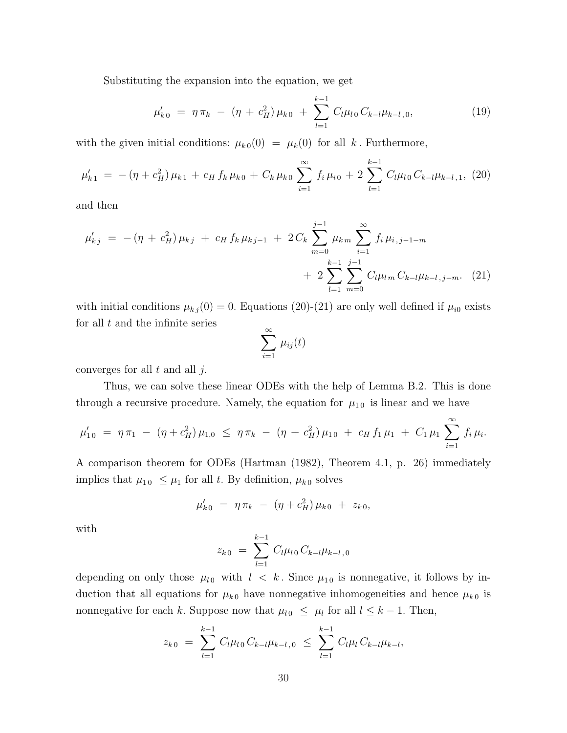Substituting the expansion into the equation, we get

$$
\mu'_{k\,0} = \eta \pi_k - (\eta + c_H^2) \mu_{k\,0} + \sum_{l=1}^{k-1} C_l \mu_{l\,0} C_{k-l} \mu_{k-l\,0}, \tag{19}
$$

with the given initial conditions:  $\mu_{k0}(0) = \mu_k(0)$  for all k. Furthermore,

$$
\mu'_{k1} = -(\eta + c_H^2)\mu_{k1} + c_H f_k \mu_{k0} + C_k \mu_{k0} \sum_{i=1}^{\infty} f_i \mu_{i0} + 2 \sum_{l=1}^{k-1} C_l \mu_{l0} C_{k-l} \mu_{k-l,1}, (20)
$$

and then

$$
\mu'_{kj} = -(\eta + c_H^2) \mu_{kj} + c_H f_k \mu_{kj-1} + 2 C_k \sum_{m=0}^{j-1} \mu_{km} \sum_{i=1}^{\infty} f_i \mu_{i,j-1-m} + 2 \sum_{l=1}^{k-1} \sum_{m=0}^{j-1} C_l \mu_{lm} C_{k-l} \mu_{k-l,j-m}.
$$
 (21)

with initial conditions  $\mu_{kj}(0) = 0$ . Equations (20)-(21) are only well defined if  $\mu_{i0}$  exists for all  $t$  and the infinite series

$$
\sum_{i=1}^{\infty} \mu_{ij}(t)
$$

converges for all  $t$  and all  $j$ .

Thus, we can solve these linear ODEs with the help of Lemma B.2. This is done through a recursive procedure. Namely, the equation for  $\mu_{10}$  is linear and we have

$$
\mu'_{10} = \eta \pi_1 - (\eta + c_H^2) \mu_{1,0} \leq \eta \pi_k - (\eta + c_H^2) \mu_{10} + c_H f_1 \mu_1 + C_1 \mu_1 \sum_{i=1}^{\infty} f_i \mu_i.
$$

A comparison theorem for ODEs (Hartman (1982), Theorem 4.1, p. 26) immediately implies that  $\mu_{10} \leq \mu_1$  for all t. By definition,  $\mu_{k0}$  solves

$$
\mu'_{k\,0} = \eta \pi_k - (\eta + c_H^2) \mu_{k\,0} + z_{k\,0},
$$

with

$$
z_{k\,0} \ = \ \sum_{l=1}^{k-1} \ C_l \mu_{l\,0} \, C_{k-l} \mu_{k-l\,0}
$$

depending on only those  $\mu_{l0}$  with  $l \leq k$ . Since  $\mu_{10}$  is nonnegative, it follows by induction that all equations for  $\mu_{k0}$  have nonnegative inhomogeneities and hence  $\mu_{k0}$  is nonnegative for each k. Suppose now that  $\mu_{l0} \leq \mu_l$  for all  $l \leq k-1$ . Then,

$$
z_{k0} = \sum_{l=1}^{k-1} C_l \mu_{l0} C_{k-l} \mu_{k-l,0} \leq \sum_{l=1}^{k-1} C_l \mu_l C_{k-l} \mu_{k-l},
$$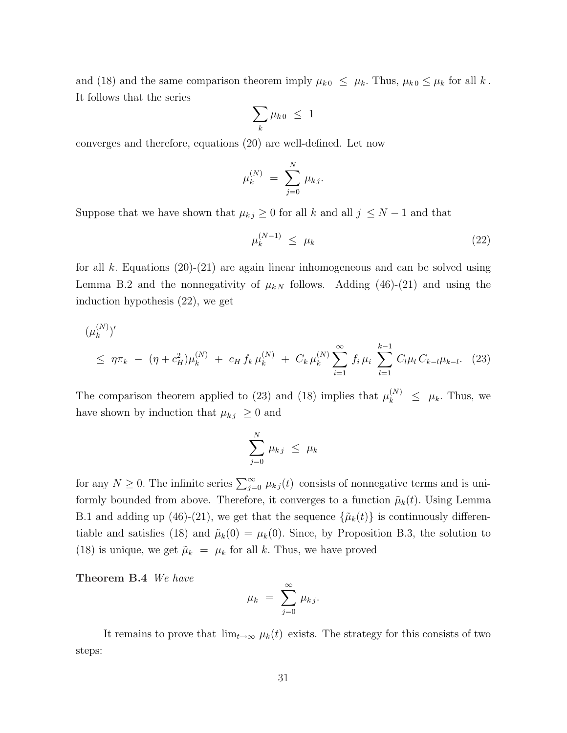and (18) and the same comparison theorem imply  $\mu_{k0} \leq \mu_k$ . Thus,  $\mu_{k0} \leq \mu_k$  for all k. It follows that the series  $\overline{\phantom{a}}$ 

$$
\sum_{k}\mu_{k\,0} \leq 1
$$

converges and therefore, equations (20) are well-defined. Let now

$$
\mu_k^{(N)} \,\,=\,\, \sum_{j=0}^N\,\mu_{k\,j}.
$$

Suppose that we have shown that  $\mu_{kj} \geq 0$  for all k and all  $j \leq N-1$  and that

$$
\mu_k^{(N-1)} \le \mu_k \tag{22}
$$

for all k. Equations  $(20)-(21)$  are again linear inhomogeneous and can be solved using Lemma B.2 and the nonnegativity of  $\mu_{k,N}$  follows. Adding (46)-(21) and using the induction hypothesis (22), we get

$$
(\mu_k^{(N)})' \le \eta \pi_k - (\eta + c_H^2) \mu_k^{(N)} + c_H f_k \mu_k^{(N)} + C_k \mu_k^{(N)} \sum_{i=1}^{\infty} f_i \mu_i \sum_{l=1}^{k-1} C_l \mu_l C_{k-l} \mu_{k-l}.
$$
 (23)

The comparison theorem applied to (23) and (18) implies that  $\mu_k^{(N)} \leq \mu_k$ . Thus, we have shown by induction that  $\mu_{kj} \geq 0$  and

$$
\sum_{j=0}^N \mu_{kj} \ \leq \ \mu_k
$$

for any  $N \geq 0$ . The infinite series  $\sum_{j=0}^{\infty} \mu_{kj}(t)$  consists of nonnegative terms and is uniformly bounded from above. Therefore, it converges to a function  $\tilde{\mu}_k(t)$ . Using Lemma B.1 and adding up (46)-(21), we get that the sequence  $\{\tilde{\mu}_k(t)\}\$ is continuously differentiable and satisfies (18) and  $\tilde{\mu}_k(0) = \mu_k(0)$ . Since, by Proposition B.3, the solution to (18) is unique, we get  $\tilde{\mu}_k = \mu_k$  for all k. Thus, we have proved

Theorem B.4 We have

$$
\mu_k = \sum_{j=0}^{\infty} \mu_{kj}.
$$

It remains to prove that  $\lim_{t\to\infty} \mu_k(t)$  exists. The strategy for this consists of two steps: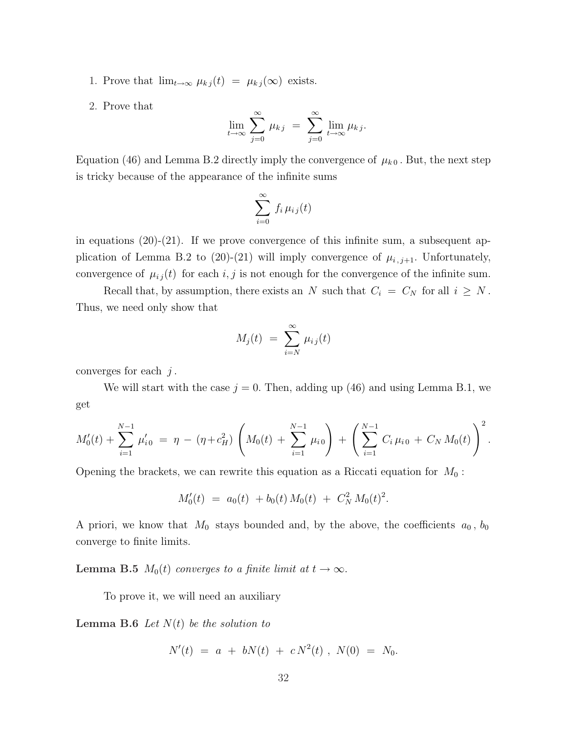1. Prove that  $\lim_{t\to\infty} \mu_{kj}(t) = \mu_{kj}(\infty)$  exists.

2. Prove that

$$
\lim_{t \to \infty} \sum_{j=0}^{\infty} \mu_{kj} = \sum_{j=0}^{\infty} \lim_{t \to \infty} \mu_{kj}.
$$

Equation (46) and Lemma B.2 directly imply the convergence of  $\mu_{k0}$ . But, the next step is tricky because of the appearance of the infinite sums

$$
\sum_{i=0}^{\infty} f_i \,\mu_{i\,j}(t)
$$

in equations  $(20)-(21)$ . If we prove convergence of this infinite sum, a subsequent application of Lemma B.2 to (20)-(21) will imply convergence of  $\mu_{i,j+1}$ . Unfortunately, convergence of  $\mu_{ij}(t)$  for each  $i, j$  is not enough for the convergence of the infinite sum.

Recall that, by assumption, there exists an N such that  $C_i = C_N$  for all  $i \geq N$ . Thus, we need only show that

$$
M_j(t) = \sum_{i=N}^{\infty} \mu_{ij}(t)
$$

converges for each  $j$ .

We will start with the case  $j = 0$ . Then, adding up (46) and using Lemma B.1, we get

$$
M_0'(t) + \sum_{i=1}^{N-1} \mu'_{i0} = \eta - (\eta + c_H^2) \left( M_0(t) + \sum_{i=1}^{N-1} \mu_{i0} \right) + \left( \sum_{i=1}^{N-1} C_i \mu_{i0} + C_N M_0(t) \right)^2.
$$

Opening the brackets, we can rewrite this equation as a Riccati equation for  $M_0$ :

$$
M_0'(t) = a_0(t) + b_0(t) M_0(t) + C_N^2 M_0(t)^2.
$$

A priori, we know that  $M_0$  stays bounded and, by the above, the coefficients  $a_0$ ,  $b_0$ converge to finite limits.

**Lemma B.5**  $M_0(t)$  converges to a finite limit at  $t \to \infty$ .

To prove it, we will need an auxiliary

**Lemma B.6** Let  $N(t)$  be the solution to

$$
N'(t) = a + bN(t) + cN^2(t) , N(0) = N_0.
$$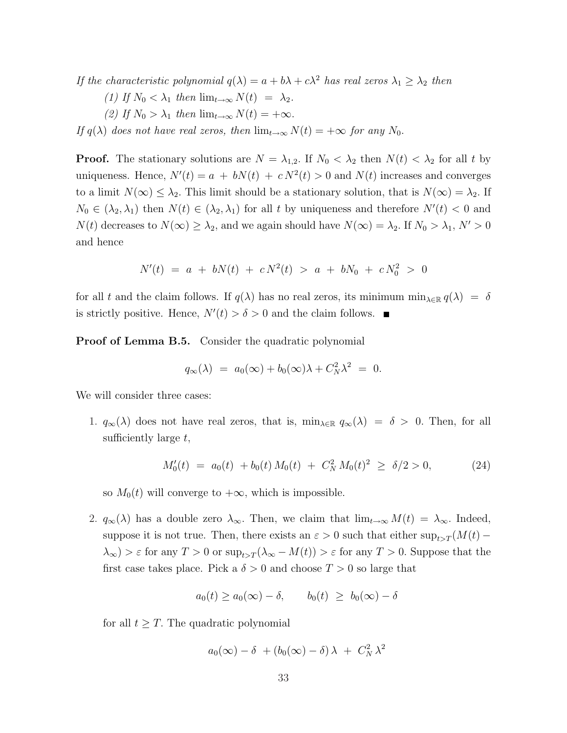If the characteristic polynomial  $q(\lambda) = a + b\lambda + c\lambda^2$  has real zeros  $\lambda_1 \geq \lambda_2$  then

- (1) If  $N_0 < \lambda_1$  then  $\lim_{t\to\infty} N(t) = \lambda_2$ .
- (2) If  $N_0 > \lambda_1$  then  $\lim_{t \to \infty} N(t) = +\infty$ .

If  $q(\lambda)$  does not have real zeros, then  $\lim_{t\to\infty} N(t) = +\infty$  for any  $N_0$ .

**Proof.** The stationary solutions are  $N = \lambda_{1,2}$ . If  $N_0 < \lambda_2$  then  $N(t) < \lambda_2$  for all t by uniqueness. Hence,  $N'(t) = a + bN(t) + cN^2(t) > 0$  and  $N(t)$  increases and converges to a limit  $N(\infty) \leq \lambda_2$ . This limit should be a stationary solution, that is  $N(\infty) = \lambda_2$ . If  $N_0 \in (\lambda_2, \lambda_1)$  then  $N(t) \in (\lambda_2, \lambda_1)$  for all t by uniqueness and therefore  $N'(t) < 0$  and  $N(t)$  decreases to  $N(\infty) \geq \lambda_2$ , and we again should have  $N(\infty) = \lambda_2$ . If  $N_0 > \lambda_1$ ,  $N' > 0$ and hence

$$
N'(t) = a + bN(t) + cN^2(t) > a + bN_0 + cN_0^2 > 0
$$

for all t and the claim follows. If  $q(\lambda)$  has no real zeros, its minimum  $\min_{\lambda \in \mathbb{R}} q(\lambda) = \delta$ is strictly positive. Hence,  $N'(t) > \delta > 0$  and the claim follows.

Proof of Lemma B.5. Consider the quadratic polynomial

$$
q_{\infty}(\lambda) = a_0(\infty) + b_0(\infty)\lambda + C_N^2\lambda^2 = 0.
$$

We will consider three cases:

1.  $q_{\infty}(\lambda)$  does not have real zeros, that is,  $\min_{\lambda \in \mathbb{R}} q_{\infty}(\lambda) = \delta > 0$ . Then, for all sufficiently large  $t$ ,

$$
M_0'(t) = a_0(t) + b_0(t) M_0(t) + C_N^2 M_0(t)^2 \ge \delta/2 > 0,
$$
 (24)

so  $M_0(t)$  will converge to  $+\infty$ , which is impossible.

2.  $q_{\infty}(\lambda)$  has a double zero  $\lambda_{\infty}$ . Then, we claim that  $\lim_{t\to\infty} M(t) = \lambda_{\infty}$ . Indeed, suppose it is not true. Then, there exists an  $\varepsilon > 0$  such that either  $\sup_{t>T} (M(t) \lambda_{\infty}) > \varepsilon$  for any  $T > 0$  or  $\sup_{t>T} (\lambda_{\infty} - M(t)) > \varepsilon$  for any  $T > 0$ . Suppose that the first case takes place. Pick a  $\delta > 0$  and choose  $T > 0$  so large that

$$
a_0(t) \ge a_0(\infty) - \delta, \qquad b_0(t) \ge b_0(\infty) - \delta
$$

for all  $t \geq T$ . The quadratic polynomial

$$
a_0(\infty) - \delta \ + (b_0(\infty) - \delta) \lambda \ + \ C_N^2 \lambda^2
$$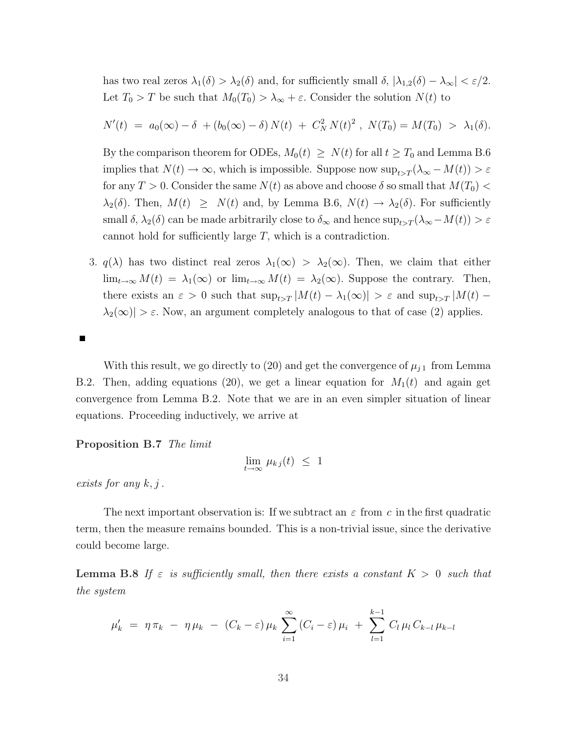has two real zeros  $\lambda_1(\delta) > \lambda_2(\delta)$  and, for sufficiently small  $\delta$ ,  $|\lambda_{1,2}(\delta) - \lambda_{\infty}| < \varepsilon/2$ . Let  $T_0 > T$  be such that  $M_0(T_0) > \lambda_{\infty} + \varepsilon$ . Consider the solution  $N(t)$  to

$$
N'(t) = a_0(\infty) - \delta + (b_0(\infty) - \delta) N(t) + C_N^2 N(t)^2, N(T_0) = M(T_0) > \lambda_1(\delta).
$$

By the comparison theorem for ODEs,  $M_0(t) \geq N(t)$  for all  $t \geq T_0$  and Lemma B.6 implies that  $N(t) \to \infty$ , which is impossible. Suppose now  $\sup_{t>T} (\lambda_\infty - M(t)) > \varepsilon$ for any  $T > 0$ . Consider the same  $N(t)$  as above and choose  $\delta$  so small that  $M(T_0)$  $\lambda_2(\delta)$ . Then,  $M(t) \geq N(t)$  and, by Lemma B.6,  $N(t) \to \lambda_2(\delta)$ . For sufficiently small  $\delta$ ,  $\lambda_2(\delta)$  can be made arbitrarily close to  $\delta_{\infty}$  and hence  $\sup_{t>T} (\lambda_{\infty} - M(t)) > \varepsilon$ cannot hold for sufficiently large T, which is a contradiction.

3.  $q(\lambda)$  has two distinct real zeros  $\lambda_1(\infty) > \lambda_2(\infty)$ . Then, we claim that either  $\lim_{t\to\infty} M(t) = \lambda_1(\infty)$  or  $\lim_{t\to\infty} M(t) = \lambda_2(\infty)$ . Suppose the contrary. Then, there exists an  $\varepsilon > 0$  such that  $\sup_{t>T} |M(t) - \lambda_1(\infty)| > \varepsilon$  and  $\sup_{t>T} |M(t) \lambda_2(\infty)$  >  $\varepsilon$ . Now, an argument completely analogous to that of case (2) applies.

 $\blacksquare$ 

With this result, we go directly to (20) and get the convergence of  $\mu_{j1}$  from Lemma B.2. Then, adding equations (20), we get a linear equation for  $M_1(t)$  and again get convergence from Lemma B.2. Note that we are in an even simpler situation of linear equations. Proceeding inductively, we arrive at

Proposition B.7 The limit

$$
\lim_{t \to \infty} \mu_{kj}(t) \leq 1
$$

exists for any  $k, j$ .

The next important observation is: If we subtract an  $\varepsilon$  from c in the first quadratic term, then the measure remains bounded. This is a non-trivial issue, since the derivative could become large.

**Lemma B.8** If  $\varepsilon$  is sufficiently small, then there exists a constant  $K > 0$  such that the system

$$
\mu'_{k} = \eta \pi_{k} - \eta \mu_{k} - (C_{k} - \varepsilon) \mu_{k} \sum_{i=1}^{\infty} (C_{i} - \varepsilon) \mu_{i} + \sum_{l=1}^{k-1} C_{l} \mu_{l} C_{k-l} \mu_{k-l}
$$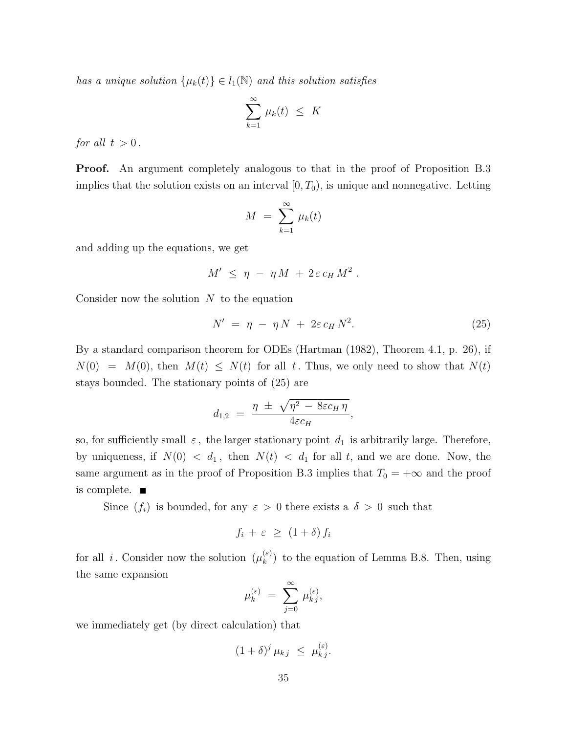has a unique solution  $\{\mu_k(t)\}\in l_1(\mathbb{N})$  and this solution satisfies

$$
\sum_{k=1}^{\infty} \mu_k(t) \leq K
$$

for all  $t > 0$ .

Proof. An argument completely analogous to that in the proof of Proposition B.3 implies that the solution exists on an interval  $[0, T_0)$ , is unique and nonnegative. Letting

$$
M = \sum_{k=1}^{\infty} \mu_k(t)
$$

and adding up the equations, we get

$$
M' \leq \eta - \eta M + 2 \varepsilon c_H M^2.
$$

Consider now the solution  $N$  to the equation

$$
N' = \eta - \eta N + 2\varepsilon c_H N^2. \tag{25}
$$

By a standard comparison theorem for ODEs (Hartman (1982), Theorem 4.1, p. 26), if  $N(0) = M(0)$ , then  $M(t) \leq N(t)$  for all t. Thus, we only need to show that  $N(t)$ stays bounded. The stationary points of (25) are

$$
d_{1,2} = \frac{\eta \pm \sqrt{\eta^2 - 8\epsilon c_H \eta}}{4\epsilon c_H},
$$

so, for sufficiently small  $\varepsilon$ , the larger stationary point  $d_1$  is arbitrarily large. Therefore, by uniqueness, if  $N(0) < d_1$ , then  $N(t) < d_1$  for all t, and we are done. Now, the same argument as in the proof of Proposition B.3 implies that  $T_0 = +\infty$  and the proof is complete.

Since  $(f_i)$  is bounded, for any  $\varepsilon > 0$  there exists a  $\delta > 0$  such that

$$
f_i + \varepsilon \ \geq \ (1 + \delta) \, f_i
$$

for all i. Consider now the solution  $(\mu_k^{(\varepsilon)})$  $\binom{\varepsilon}{k}$  to the equation of Lemma B.8. Then, using the same expansion

$$
\mu_k^{(\varepsilon)} \ = \ \sum_{j=0}^\infty \, \mu_{k\,j}^{(\varepsilon)},
$$

we immediately get (by direct calculation) that

$$
(1+\delta)^j \mu_{kj} \leq \mu_{kj}^{(\varepsilon)}.
$$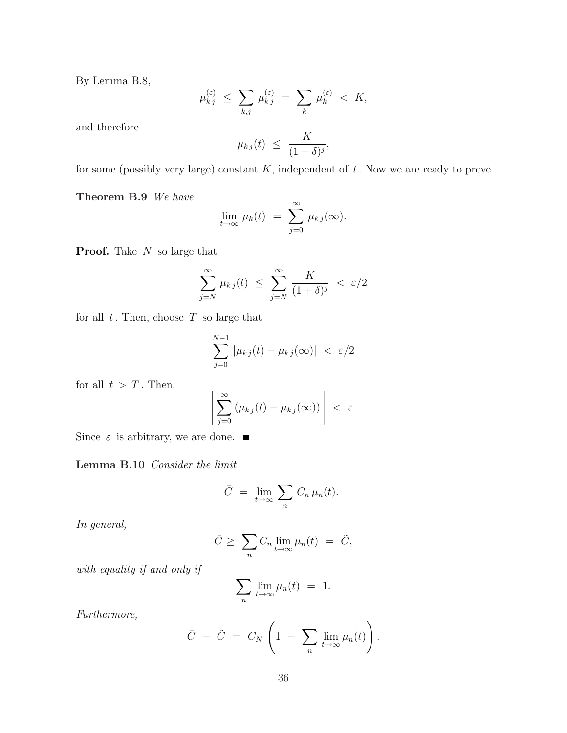By Lemma B.8,

$$
\mu_{kj}^{(\varepsilon)} \leq \sum_{k,j} \mu_{kj}^{(\varepsilon)} = \sum_{k} \mu_{k}^{(\varepsilon)} < K,
$$

and therefore

$$
\mu_{kj}(t) \ \leq \ \frac{K}{(1+\delta)^j},
$$

for some (possibly very large) constant  $K$ , independent of  $t$ . Now we are ready to prove

Theorem B.9 We have

$$
\lim_{t \to \infty} \mu_k(t) = \sum_{j=0}^{\infty} \mu_{kj}(\infty).
$$

**Proof.** Take  $N$  so large that

$$
\sum_{j=N}^{\infty} \mu_{kj}(t) \leq \sum_{j=N}^{\infty} \frac{K}{(1+\delta)^j} < \varepsilon/2
$$

for all  $t$ . Then, choose  $T$  so large that

$$
\sum_{j=0}^{N-1} |\mu_{kj}(t) - \mu_{kj}(\infty)| < \varepsilon/2
$$

for all  $t > T$ . Then,

$$
\left|\sum_{j=0}^{\infty} \left(\mu_{kj}(t) - \mu_{kj}(\infty)\right)\right| < \varepsilon.
$$

Since  $\varepsilon$  is arbitrary, we are done.  $\blacksquare$ 

Lemma B.10 Consider the limit

$$
\bar{C} = \lim_{t \to \infty} \sum_n C_n \mu_n(t).
$$

In general,

$$
\bar{C} \geq \sum_{n} C_n \lim_{t \to \infty} \mu_n(t) = \tilde{C},
$$

with equality if and only if

$$
\sum_{n} \lim_{t \to \infty} \mu_n(t) = 1.
$$

Furthermore,

$$
\bar{C} - \tilde{C} = C_N \left( 1 - \sum_n \lim_{t \to \infty} \mu_n(t) \right).
$$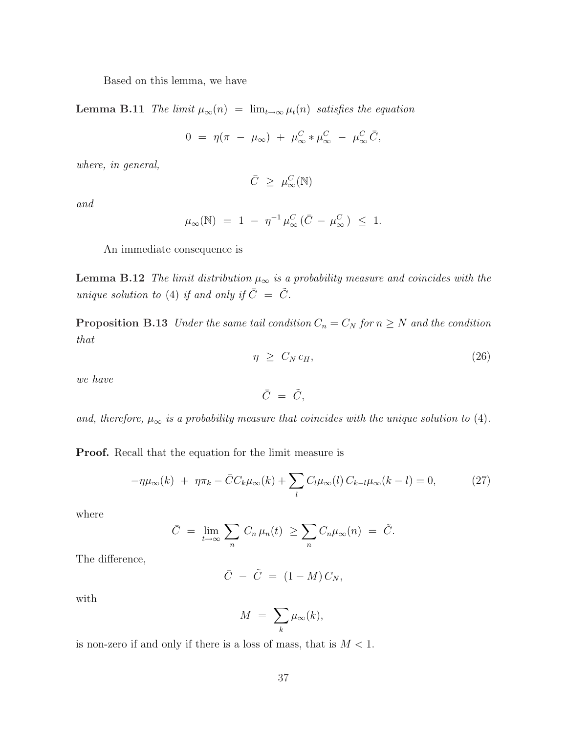Based on this lemma, we have

Lemma B.11 The limit  $\mu_{\infty}(n) = \lim_{t \to \infty} \mu_t(n)$  satisfies the equation

$$
0 = \eta(\pi - \mu_{\infty}) + \mu_{\infty}^{C} * \mu_{\infty}^{C} - \mu_{\infty}^{C} \bar{C},
$$

where, in general,

$$
\bar{C} \geq \mu_{\infty}^C(\mathbb{N})
$$

and

$$
\mu_{\infty}(\mathbb{N}) = 1 - \eta^{-1} \mu_{\infty}^C (\bar{C} - \mu_{\infty}^C) \leq 1.
$$

An immediate consequence is

**Lemma B.12** The limit distribution  $\mu_{\infty}$  is a probability measure and coincides with the unique solution to (4) if and only if  $\overline{C} = \overline{\tilde{C}}$ .

**Proposition B.13** Under the same tail condition  $C_n = C_N$  for  $n \geq N$  and the condition that

$$
\eta \geq C_N c_H, \tag{26}
$$

we have

$$
\bar{C} = \tilde{C},
$$

and, therefore,  $\mu_{\infty}$  is a probability measure that coincides with the unique solution to (4).

Proof. Recall that the equation for the limit measure is

$$
-\eta\mu_{\infty}(k) + \eta\pi_k - \bar{C}C_k\mu_{\infty}(k) + \sum_l C_l\mu_{\infty}(l) C_{k-l}\mu_{\infty}(k-l) = 0, \qquad (27)
$$

where

$$
\bar{C} = \lim_{t \to \infty} \sum_{n} C_n \mu_n(t) \geq \sum_{n} C_n \mu_{\infty}(n) = \tilde{C}.
$$

The difference,

$$
\bar{C} - \tilde{C} = (1 - M) C_N,
$$

with

$$
M = \sum_{k} \mu_{\infty}(k),
$$

is non-zero if and only if there is a loss of mass, that is  $M < 1$ .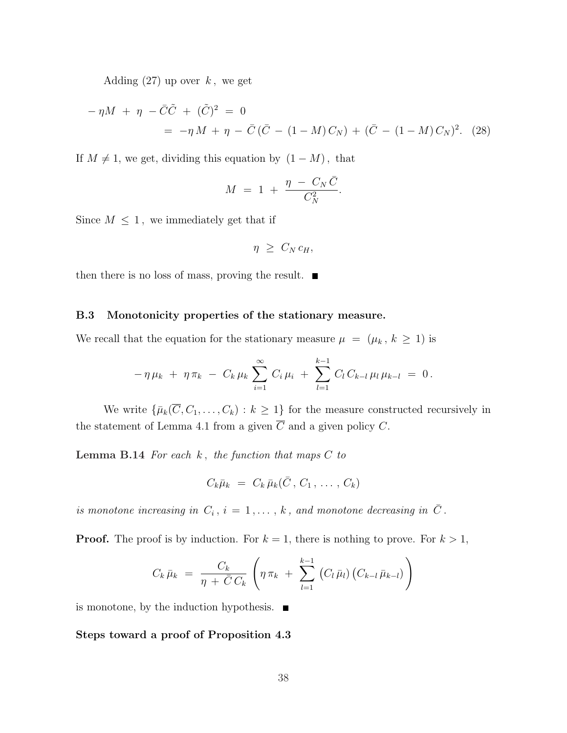Adding  $(27)$  up over k, we get

$$
-\eta M + \eta - \bar{C}\tilde{C} + (\tilde{C})^2 = 0
$$
  
= -\eta M + \eta - \bar{C}(\bar{C} - (1 - M)C\_N) + (\bar{C} - (1 - M)C\_N)^2. (28)

If  $M \neq 1$ , we get, dividing this equation by  $(1 - M)$ , that

$$
M = 1 + \frac{\eta - C_N \bar{C}}{C_N^2}.
$$

Since  $M \leq 1$ , we immediately get that if

$$
\eta \geq C_N c_H,
$$

then there is no loss of mass, proving the result.  $\blacksquare$ 

#### B.3 Monotonicity properties of the stationary measure.

We recall that the equation for the stationary measure  $\mu = (\mu_k, k \ge 1)$  is

$$
-\eta \mu_k + \eta \pi_k - C_k \mu_k \sum_{i=1}^{\infty} C_i \mu_i + \sum_{l=1}^{k-1} C_l C_{k-l} \mu_l \mu_{k-l} = 0.
$$

We write  $\{\bar{\mu}_k(\overline{C}, C_1, \ldots, C_k) : k \geq 1\}$  for the measure constructed recursively in the statement of Lemma 4.1 from a given  $\overline{C}$  and a given policy C.

**Lemma B.14** For each  $k$ , the function that maps  $C$  to

$$
C_k\bar{\mu}_k = C_k\bar{\mu}_k(\bar{C}, C_1, \ldots, C_k)
$$

is monotone increasing in  $C_i$ ,  $i = 1, \ldots, k$ , and monotone decreasing in  $\overline{C}$ .

**Proof.** The proof is by induction. For  $k = 1$ , there is nothing to prove. For  $k > 1$ ,

$$
C_k \bar{\mu}_k = \frac{C_k}{\eta + \bar{C} C_k} \left( \eta \pi_k + \sum_{l=1}^{k-1} (C_l \bar{\mu}_l) (C_{k-l} \bar{\mu}_{k-l}) \right)
$$

is monotone, by the induction hypothesis.  $\blacksquare$ 

#### Steps toward a proof of Proposition 4.3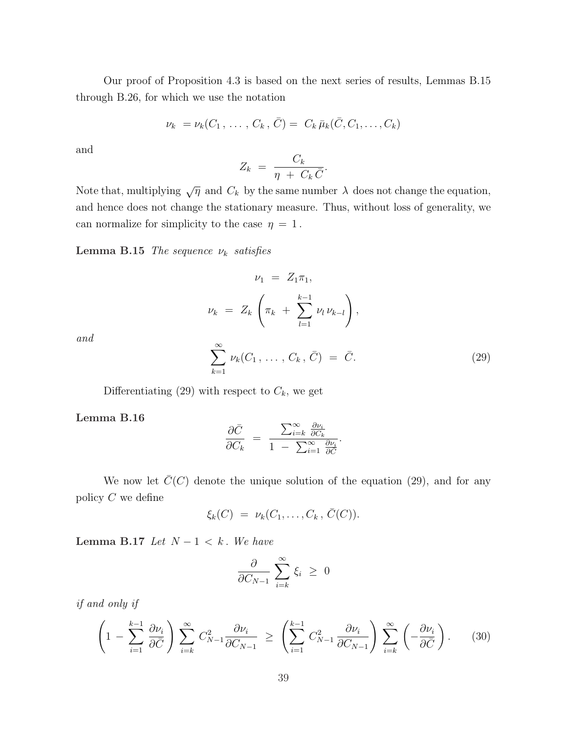Our proof of Proposition 4.3 is based on the next series of results, Lemmas B.15 through B.26, for which we use the notation

$$
\nu_k = \nu_k(C_1, \ldots, C_k, \bar{C}) = C_k \bar{\mu}_k(\bar{C}, C_1, \ldots, C_k)
$$

and

$$
Z_k = \frac{C_k}{\eta + C_k \bar{C}}.
$$

Note that, multiplying  $\sqrt{\eta}$  and  $C_k$  by the same number  $\lambda$  does not change the equation, and hence does not change the stationary measure. Thus, without loss of generality, we can normalize for simplicity to the case  $\eta = 1$ .

Lemma B.15 The sequence  $\nu_k$  satisfies

$$
\nu_1 = Z_1 \pi_1,
$$
  

$$
\nu_k = Z_k \left( \pi_k + \sum_{l=1}^{k-1} \nu_l \nu_{k-l} \right),
$$

and

$$
\sum_{k=1}^{\infty} \nu_k(C_1, \ldots, C_k, \bar{C}) = \bar{C}.
$$
 (29)

Differentiating (29) with respect to  $C_k$ , we get

Lemma B.16

$$
\frac{\partial \bar{C}}{\partial C_k} = \frac{\sum_{i=k}^{\infty} \frac{\partial \nu_i}{\partial C_k}}{1 - \sum_{i=1}^{\infty} \frac{\partial \nu_i}{\partial \bar{C}}}.
$$

We now let  $\overline{C}(C)$  denote the unique solution of the equation (29), and for any policy  $C$  we define

$$
\xi_k(C) = \nu_k(C_1,\ldots,C_k,\,\overline{C}(C)).
$$

Lemma B.17 Let  $N-1 < k$ . We have

$$
\frac{\partial}{\partial C_{N-1}} \sum_{i=k}^{\infty} \xi_i \geq 0
$$

if and only if

$$
\left(1 - \sum_{i=1}^{k-1} \frac{\partial \nu_i}{\partial \bar{C}}\right) \sum_{i=k}^{\infty} C_{N-1}^2 \frac{\partial \nu_i}{\partial C_{N-1}} \ge \left(\sum_{i=1}^{k-1} C_{N-1}^2 \frac{\partial \nu_i}{\partial C_{N-1}}\right) \sum_{i=k}^{\infty} \left(-\frac{\partial \nu_i}{\partial \bar{C}}\right).
$$
 (30)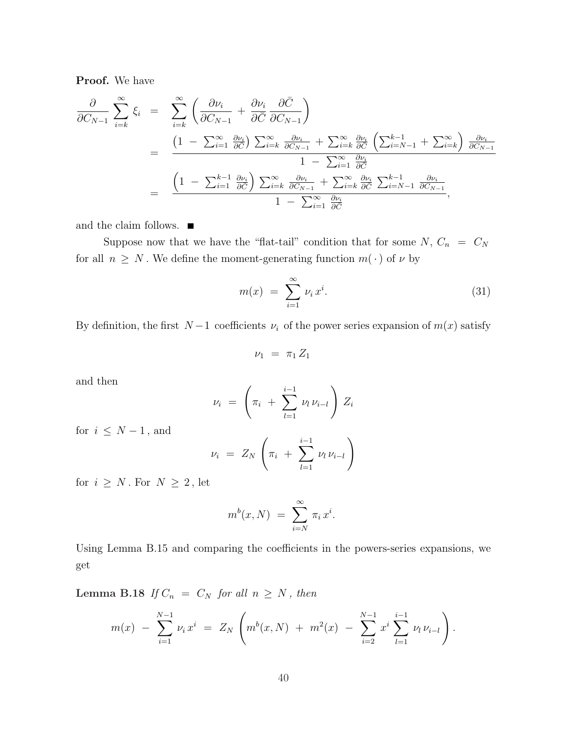Proof. We have

$$
\frac{\partial}{\partial C_{N-1}} \sum_{i=k}^{\infty} \xi_i = \sum_{i=k}^{\infty} \left( \frac{\partial \nu_i}{\partial C_{N-1}} + \frac{\partial \nu_i}{\partial \bar{C}} \frac{\partial \bar{C}}{\partial C_{N-1}} \right)
$$
\n
$$
= \frac{\left( 1 - \sum_{i=1}^{\infty} \frac{\partial \nu_i}{\partial \bar{C}} \right) \sum_{i=k}^{\infty} \frac{\partial \nu_i}{\partial C_{N-1}} + \sum_{i=k}^{\infty} \frac{\partial \nu_i}{\partial \bar{C}} \left( \sum_{i=N-1}^{k-1} + \sum_{i=k}^{\infty} \right) \frac{\partial \nu_i}{\partial C_{N-1}}
$$
\n
$$
= \frac{\left( 1 - \sum_{i=1}^{k-1} \frac{\partial \nu_i}{\partial \bar{C}} \right) \sum_{i=k}^{\infty} \frac{\partial \nu_i}{\partial C_{N-1}} + \sum_{i=k}^{\infty} \frac{\partial \nu_i}{\partial \bar{C}} \sum_{i=N-1}^{k-1} \frac{\partial \nu_i}{\partial C_{N-1}}}{\frac{\partial \nu_i}{\partial \bar{C}}},
$$

and the claim follows.  $\blacksquare$ 

Suppose now that we have the "flat-tail" condition that for some  $N, C_n = C_N$ for all  $n \geq N$ . We define the moment-generating function  $m(\cdot)$  of  $\nu$  by

$$
m(x) = \sum_{i=1}^{\infty} \nu_i x^i.
$$
 (31)

By definition, the first  $N-1$  coefficients  $\nu_i$  of the power series expansion of  $m(x)$  satisfy

$$
\nu_1 = \pi_1 Z_1
$$

and then

$$
\nu_i = \left( \pi_i + \sum_{l=1}^{i-1} \nu_l \nu_{i-l} \right) Z_i
$$

for  $i \leq N-1$ , and

$$
\nu_i = Z_N \left( \pi_i + \sum_{l=1}^{i-1} \nu_l \nu_{i-l} \right)
$$

for  $i \geq N$ . For  $N \geq 2$ , let

$$
m^{b}(x, N) = \sum_{i=N}^{\infty} \pi_{i} x^{i}.
$$

Using Lemma B.15 and comparing the coefficients in the powers-series expansions, we get

Lemma B.18 If  $C_n = C_N$  for all  $n \geq N$ , then

$$
m(x) - \sum_{i=1}^{N-1} \nu_i x^i = Z_N \left( m^b(x, N) + m^2(x) - \sum_{i=2}^{N-1} x^i \sum_{l=1}^{i-1} \nu_l \nu_{i-l} \right).
$$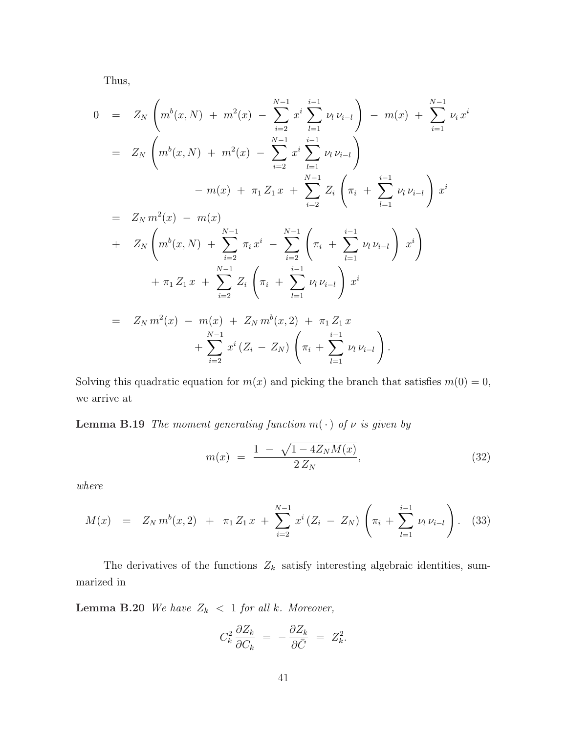Thus,

$$
0 = Z_N \left( m^b(x, N) + m^2(x) - \sum_{i=2}^{N-1} x^i \sum_{l=1}^{i-1} \nu_l \nu_{i-l} \right) - m(x) + \sum_{i=1}^{N-1} \nu_i x^i
$$
  
\n
$$
= Z_N \left( m^b(x, N) + m^2(x) - \sum_{i=2}^{N-1} x^i \sum_{l=1}^{i-1} \nu_l \nu_{i-l} \right)
$$
  
\n
$$
- m(x) + \pi_1 Z_1 x + \sum_{i=2}^{N-1} Z_i \left( \pi_i + \sum_{l=1}^{i-1} \nu_l \nu_{i-l} \right) x^i
$$
  
\n
$$
= Z_N m^2(x) - m(x)
$$
  
\n
$$
+ Z_N \left( m^b(x, N) + \sum_{i=2}^{N-1} \pi_i x^i - \sum_{i=2}^{N-1} \left( \pi_i + \sum_{l=1}^{i-1} \nu_l \nu_{i-l} \right) x^i \right)
$$
  
\n
$$
+ \pi_1 Z_1 x + \sum_{i=2}^{N-1} Z_i \left( \pi_i + \sum_{l=1}^{i-1} \nu_l \nu_{i-l} \right) x^i
$$
  
\n
$$
= Z_N m^2(x) - m(x) + Z_N m^b(x, 2) + \pi_1 Z_1 x
$$
  
\n
$$
+ \sum_{i=2}^{N-1} x^i (Z_i - Z_N) \left( \pi_i + \sum_{l=1}^{i-1} \nu_l \nu_{i-l} \right).
$$

Solving this quadratic equation for  $m(x)$  and picking the branch that satisfies  $m(0) = 0$ , we arrive at

**Lemma B.19** The moment generating function  $m(\cdot)$  of  $\nu$  is given by

$$
m(x) = \frac{1 - \sqrt{1 - 4Z_N M(x)}}{2Z_N},
$$
\n(32)

where

$$
M(x) = Z_N m^b(x,2) + \pi_1 Z_1 x + \sum_{i=2}^{N-1} x^i (Z_i - Z_N) \left( \pi_i + \sum_{l=1}^{i-1} \nu_l \nu_{i-l} \right).
$$
 (33)

The derivatives of the functions  $Z_k$  satisfy interesting algebraic identities, summarized in

**Lemma B.20** We have  $Z_k$  < 1 for all k. Moreover,

$$
C_k^2 \frac{\partial Z_k}{\partial C_k} = -\frac{\partial Z_k}{\partial \bar{C}} = Z_k^2.
$$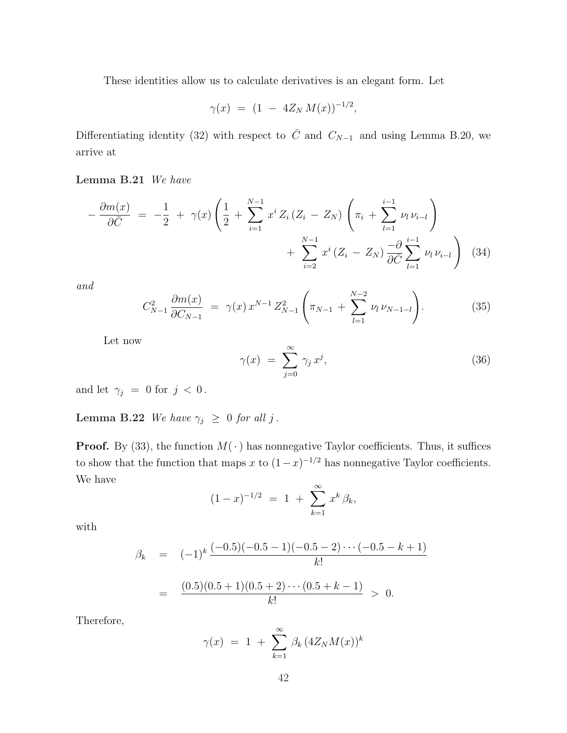These identities allow us to calculate derivatives is an elegant form. Let

$$
\gamma(x) = (1 - 4Z_N M(x))^{-1/2},
$$

Differentiating identity (32) with respect to  $\overline{C}$  and  $C_{N-1}$  and using Lemma B.20, we arrive at

## Lemma B.21 We have

$$
-\frac{\partial m(x)}{\partial \bar{C}} = -\frac{1}{2} + \gamma(x) \left( \frac{1}{2} + \sum_{i=1}^{N-1} x^i Z_i (Z_i - Z_N) \left( \pi_i + \sum_{l=1}^{i-1} \nu_l \nu_{i-l} \right) + \sum_{i=2}^{N-1} x^i (Z_i - Z_N) \frac{-\partial}{\partial \bar{C}} \sum_{l=1}^{i-1} \nu_l \nu_{i-l} \right) (34)
$$

and

$$
C_{N-1}^2 \frac{\partial m(x)}{\partial C_{N-1}} = \gamma(x) x^{N-1} Z_{N-1}^2 \left( \pi_{N-1} + \sum_{l=1}^{N-2} \nu_l \nu_{N-1-l} \right).
$$
 (35)

Let now

$$
\gamma(x) = \sum_{j=0}^{\infty} \gamma_j x^j, \qquad (36)
$$

and let  $\gamma_j = 0$  for  $j < 0$ .

Lemma B.22 We have  $\gamma_j \geq 0$  for all j.

**Proof.** By (33), the function  $M(\cdot)$  has nonnegative Taylor coefficients. Thus, it suffices to show that the function that maps x to  $(1-x)^{-1/2}$  has nonnegative Taylor coefficients. We have

$$
(1-x)^{-1/2} = 1 + \sum_{k=1}^{\infty} x^k \beta_k,
$$

with

$$
\beta_k = (-1)^k \frac{(-0.5)(-0.5 - 1)(-0.5 - 2) \cdots (-0.5 - k + 1)}{k!}
$$
  
= 
$$
\frac{(0.5)(0.5 + 1)(0.5 + 2) \cdots (0.5 + k - 1)}{k!} > 0.
$$

Therefore,

$$
\gamma(x) = 1 + \sum_{k=1}^{\infty} \beta_k (4Z_N M(x))^k
$$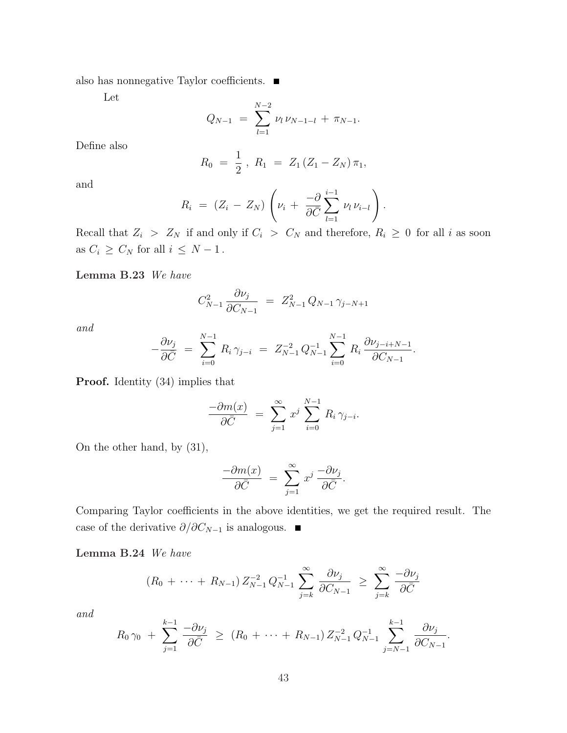also has nonnegative Taylor coefficients.  $\blacksquare$ 

Let

$$
Q_{N-1} = \sum_{l=1}^{N-2} \nu_l \nu_{N-1-l} + \pi_{N-1}.
$$

Define also

$$
R_0 = \frac{1}{2}, R_1 = Z_1 (Z_1 - Z_N) \pi_1,
$$

and

$$
R_i = (Z_i - Z_N) \left( \nu_i + \frac{-\partial}{\partial \overline{C}} \sum_{l=1}^{i-1} \nu_l \nu_{i-l} \right).
$$

Recall that  $Z_i > Z_N$  if and only if  $C_i > C_N$  and therefore,  $R_i \geq 0$  for all i as soon as  $C_i \geq C_N$  for all  $i \leq N-1$ .

Lemma B.23 We have

$$
C_{N-1}^2 \frac{\partial \nu_j}{\partial C_{N-1}} = Z_{N-1}^2 Q_{N-1} \gamma_{j-N+1}
$$

and

$$
-\frac{\partial \nu_j}{\partial \bar{C}} = \sum_{i=0}^{N-1} R_i \gamma_{j-i} = Z_{N-1}^{-2} Q_{N-1}^{-1} \sum_{i=0}^{N-1} R_i \frac{\partial \nu_{j-i+N-1}}{\partial C_{N-1}}.
$$

Proof. Identity (34) implies that

$$
\frac{-\partial m(x)}{\partial \bar{C}} = \sum_{j=1}^{\infty} x^j \sum_{i=0}^{N-1} R_i \gamma_{j-i}.
$$

On the other hand, by (31),

$$
\frac{-\partial m(x)}{\partial \bar{C}} = \sum_{j=1}^{\infty} x^j \frac{-\partial \nu_j}{\partial \bar{C}}.
$$

Comparing Taylor coefficients in the above identities, we get the required result. The case of the derivative  $\partial/\partial C_{N-1}$  is analogous. ■

Lemma B.24 We have

$$
(R_0 + \cdots + R_{N-1}) Z_{N-1}^{-2} Q_{N-1}^{-1} \sum_{j=k}^{\infty} \frac{\partial \nu_j}{\partial C_{N-1}} \geq \sum_{j=k}^{\infty} \frac{-\partial \nu_j}{\partial \bar{C}}
$$

and

$$
R_0 \gamma_0 + \sum_{j=1}^{k-1} \frac{-\partial \nu_j}{\partial \bar{C}} \ge (R_0 + \dots + R_{N-1}) Z_{N-1}^{-2} Q_{N-1}^{-1} \sum_{j=N-1}^{k-1} \frac{\partial \nu_j}{\partial C_{N-1}}.
$$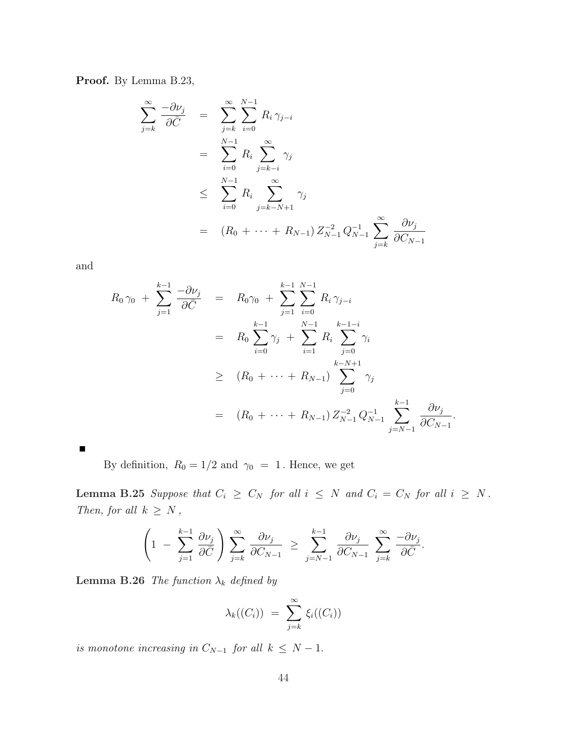Proof. By Lemma B.23,

$$
\sum_{j=k}^{\infty} \frac{-\partial \nu_j}{\partial \overline{C}} = \sum_{j=k}^{\infty} \sum_{i=0}^{N-1} R_i \gamma_{j-i}
$$
  
\n
$$
= \sum_{i=0}^{N-1} R_i \sum_{j=k-i}^{\infty} \gamma_j
$$
  
\n
$$
\leq \sum_{i=0}^{N-1} R_i \sum_{j=k-N+1}^{\infty} \gamma_j
$$
  
\n
$$
= (R_0 + \dots + R_{N-1}) Z_{N-1}^{-2} Q_{N-1}^{-1} \sum_{j=k}^{\infty} \frac{\partial \nu_j}{\partial C_{N-1}}
$$

and

$$
R_0 \gamma_0 + \sum_{j=1}^{k-1} \frac{-\partial \nu_j}{\partial \bar{C}} = R_0 \gamma_0 + \sum_{j=1}^{k-1} \sum_{i=0}^{N-1} R_i \gamma_{j-i}
$$
  

$$
= R_0 \sum_{i=0}^{k-1} \gamma_j + \sum_{i=1}^{N-1} R_i \sum_{j=0}^{k-1-i} \gamma_i
$$
  

$$
\geq (R_0 + \dots + R_{N-1}) \sum_{j=0}^{k-N+1} \gamma_j
$$
  

$$
= (R_0 + \dots + R_{N-1}) Z_{N-1}^{-2} Q_{N-1}^{-1} \sum_{j=N-1}^{k-1} \frac{\partial \nu_j}{\partial C_{N-1}}.
$$

 $\blacksquare$ 

By definition,  $\,R_0=1/2$  and  $\,\gamma_0\ =\ 1\,.$  Hence, we get

Lemma B.25 Suppose that  $C_i \geq C_N$  for all  $i \leq N$  and  $C_i = C_N$  for all  $i \geq N$ . Then, for all  $k \geq N$ ,

$$
\left(1 - \sum_{j=1}^{k-1} \frac{\partial \nu_j}{\partial \bar{C}}\right) \sum_{j=k}^{\infty} \frac{\partial \nu_j}{\partial C_{N-1}} \ge \sum_{j=N-1}^{k-1} \frac{\partial \nu_j}{\partial C_{N-1}} \sum_{j=k}^{\infty} \frac{-\partial \nu_j}{\partial \bar{C}}.
$$

**Lemma B.26** The function  $\lambda_k$  defined by

$$
\lambda_k((C_i)) = \sum_{j=k}^{\infty} \xi_i((C_i))
$$

is monotone increasing in  $C_{N-1}$  for all  $k \le N-1$ .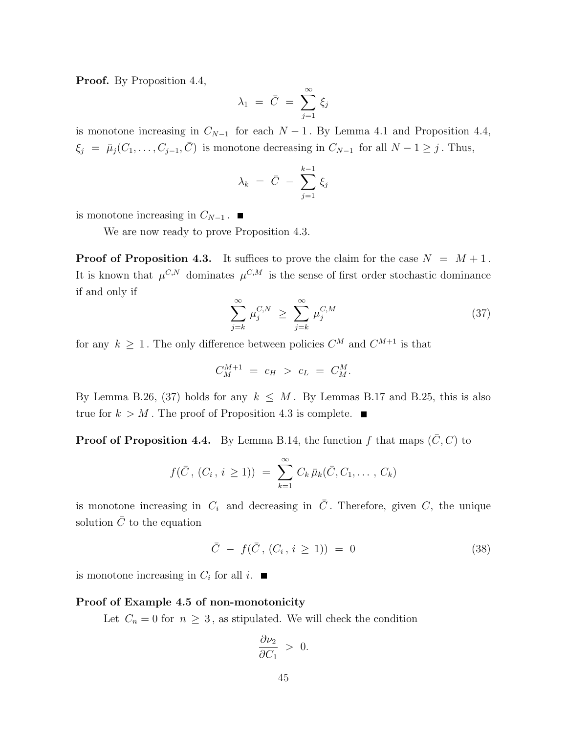Proof. By Proposition 4.4,

$$
\lambda_1 = \bar{C} = \sum_{j=1}^{\infty} \xi_j
$$

is monotone increasing in  $C_{N-1}$  for each  $N-1$ . By Lemma 4.1 and Proposition 4.4,  $\xi_j = \bar{\mu}_j(C_1, \ldots, C_{j-1}, \bar{C})$  is monotone decreasing in  $C_{N-1}$  for all  $N-1 \geq j$ . Thus,

$$
\lambda_k = \bar{C} - \sum_{j=1}^{k-1} \xi_j
$$

is monotone increasing in  $C_{N-1}$ .  $\blacksquare$ 

We are now ready to prove Proposition 4.3.

**Proof of Proposition 4.3.** It suffices to prove the claim for the case  $N = M + 1$ . It is known that  $\mu^{C,N}$  dominates  $\mu^{C,M}$  is the sense of first order stochastic dominance if and only if

$$
\sum_{j=k}^{\infty} \mu_j^{C,N} \ge \sum_{j=k}^{\infty} \mu_j^{C,M} \tag{37}
$$

for any  $k \geq 1$ . The only difference between policies  $C^M$  and  $C^{M+1}$  is that

$$
C_M^{M+1} \,\,=\,\,c_H \,\,>\,\,c_L \,\,=\,\,C_M^M.
$$

By Lemma B.26, (37) holds for any  $k \leq M$ . By Lemmas B.17 and B.25, this is also true for  $k > M$ . The proof of Proposition 4.3 is complete.

**Proof of Proposition 4.4.** By Lemma B.14, the function f that maps  $(\bar{C}, C)$  to

$$
f(\bar{C}, (C_i, i \geq 1)) = \sum_{k=1}^{\infty} C_k \bar{\mu}_k(\bar{C}, C_1, \ldots, C_k)
$$

is monotone increasing in  $C_i$  and decreasing in  $\overline{C}$ . Therefore, given  $C$ , the unique solution  $\overline{C}$  to the equation

$$
\bar{C} - f(\bar{C}, (C_i, i \ge 1)) = 0 \tag{38}
$$

is monotone increasing in  $C_i$  for all i.

#### Proof of Example 4.5 of non-monotonicity

Let  $C_n = 0$  for  $n \geq 3$ , as stipulated. We will check the condition

$$
\frac{\partial \nu_2}{\partial C_1} > 0.
$$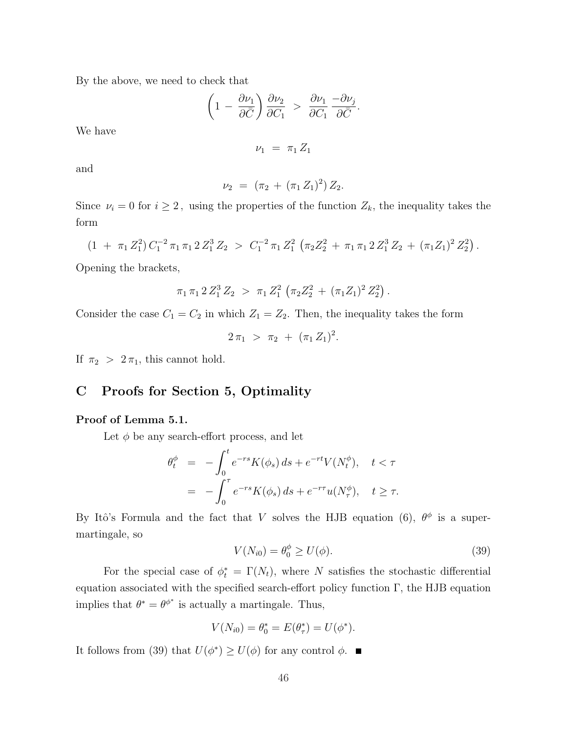By the above, we need to check that

$$
\left(1 - \frac{\partial \nu_1}{\partial \bar{C}}\right) \frac{\partial \nu_2}{\partial C_1} > \frac{\partial \nu_1}{\partial C_1} \frac{-\partial \nu_j}{\partial \bar{C}}.
$$

We have

 $\nu_1 = \pi_1 Z_1$ 

and

$$
\nu_2 = (\pi_2 + (\pi_1 Z_1)^2) Z_2.
$$

Since  $\nu_i = 0$  for  $i \geq 2$ , using the properties of the function  $Z_k$ , the inequality takes the form

$$
(1 + \pi_1 Z_1^2) C_1^{-2} \pi_1 \pi_1 2 Z_1^3 Z_2 > C_1^{-2} \pi_1 Z_1^2 (\pi_2 Z_2^2 + \pi_1 \pi_1 2 Z_1^3 Z_2 + (\pi_1 Z_1)^2 Z_2^2).
$$

Opening the brackets,

$$
\pi_1 \pi_1 2 Z_1^3 Z_2 > \pi_1 Z_1^2 \left( \pi_2 Z_2^2 + (\pi_1 Z_1)^2 Z_2^2 \right)
$$

Consider the case  $C_1 = C_2$  in which  $Z_1 = Z_2$ . Then, the inequality takes the form

$$
2 \pi_1 > \pi_2 + (\pi_1 Z_1)^2.
$$

If  $\pi_2 > 2\pi_1$ , this cannot hold.

# C Proofs for Section 5, Optimality

## Proof of Lemma 5.1.

Let  $\phi$  be any search-effort process, and let

$$
\begin{aligned}\n\theta_t^{\phi} &= -\int_0^t e^{-rs} K(\phi_s) \, ds + e^{-rt} V(N_t^{\phi}), \quad t < \tau \\
&= -\int_0^{\tau} e^{-rs} K(\phi_s) \, ds + e^{-r\tau} u(N_\tau^{\phi}), \quad t \geq \tau.\n\end{aligned}
$$

By Itô's Formula and the fact that V solves the HJB equation (6),  $\theta^{\phi}$  is a supermartingale, so

$$
V(N_{i0}) = \theta_0^{\phi} \ge U(\phi). \tag{39}
$$

.

For the special case of  $\phi_t^* = \Gamma(N_t)$ , where N satisfies the stochastic differential equation associated with the specified search-effort policy function Γ, the HJB equation implies that  $\theta^* = \theta^{\phi^*}$  is actually a martingale. Thus,

$$
V(N_{i0}) = \theta_0^* = E(\theta_\tau^*) = U(\phi^*).
$$

It follows from (39) that  $U(\phi^*) \geq U(\phi)$  for any control  $\phi$ .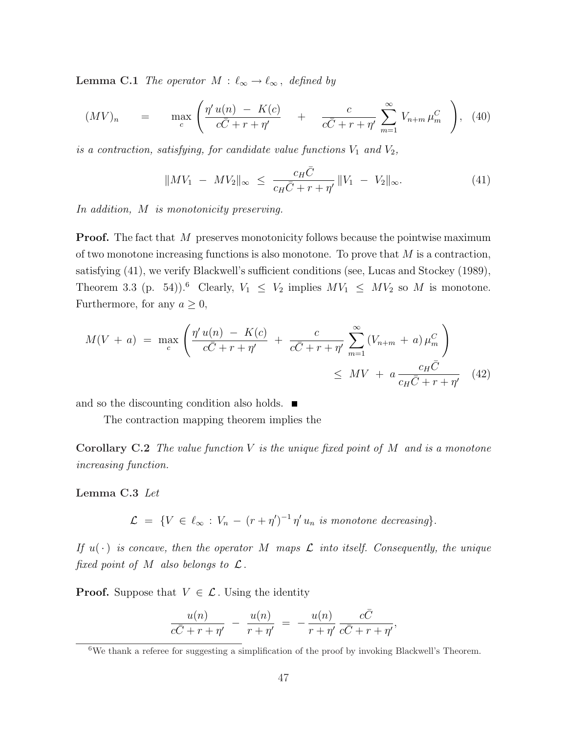**Lemma C.1** The operator  $M : \ell_{\infty} \to \ell_{\infty}$ , defined by

$$
(MV)_n = \max_c \left( \frac{\eta' u(n) - K(c)}{c\bar{C} + r + \eta'} + \frac{c}{c\bar{C} + r + \eta'} \sum_{m=1}^{\infty} V_{n+m} \mu_m^C \right), \tag{40}
$$

is a contraction, satisfying, for candidate value functions  $V_1$  and  $V_2$ ,

$$
||MV_1 - MV_2||_{\infty} \le \frac{c_H \bar{C}}{c_H \bar{C} + r + \eta'} ||V_1 - V_2||_{\infty}.
$$
 (41)

In addition, M is monotonicity preserving.

**Proof.** The fact that M preserves monotonicity follows because the pointwise maximum of two monotone increasing functions is also monotone. To prove that  $M$  is a contraction, satisfying (41), we verify Blackwell's sufficient conditions (see, Lucas and Stockey (1989), Theorem 3.3 (p. 54)).<sup>6</sup> Clearly,  $V_1 \leq V_2$  implies  $MV_1 \leq MV_2$  so M is monotone. Furthermore, for any  $a \geq 0$ ,

$$
M(V + a) = \max_{c} \left( \frac{\eta' u(n) - K(c)}{c\bar{C} + r + \eta'} + \frac{c}{c\bar{C} + r + \eta'} \sum_{m=1}^{\infty} (V_{n+m} + a) \mu_m^C \right) \le MV + a \frac{c_H \bar{C}}{c_H \bar{C} + r + \eta'} \quad (42)
$$

and so the discounting condition also holds. ■

The contraction mapping theorem implies the

**Corollary C.2** The value function  $V$  is the unique fixed point of  $M$  and is a monotone increasing function.

#### Lemma C.3 Let

 $\mathcal{L} = \{ V \in \ell_{\infty} : V_n - (r + \eta')^{-1} \eta' u_n \text{ is monotone decreasing} \}.$ 

If  $u(\cdot)$  is concave, then the operator M maps  $\mathcal L$  into itself. Consequently, the unique fixed point of M also belongs to  $\mathcal{L}$ .

**Proof.** Suppose that  $V \in \mathcal{L}$ . Using the identity

$$
\frac{u(n)}{c\bar{C}+r+\eta'} - \frac{u(n)}{r+\eta'} = -\frac{u(n)}{r+\eta'}\frac{c\bar{C}}{c\bar{C}+r+\eta'}
$$

,

 $6$ We thank a referee for suggesting a simplification of the proof by invoking Blackwell's Theorem.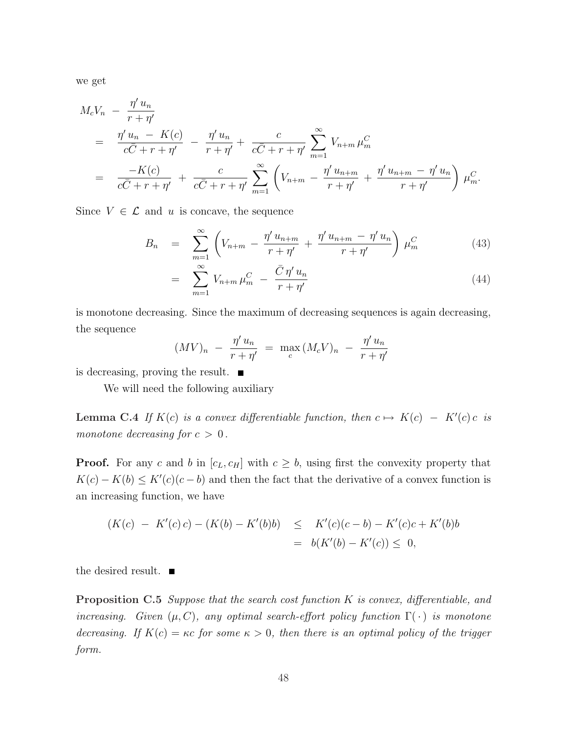we get

$$
M_c V_n - \frac{\eta' u_n}{r + \eta'}
$$
  
= 
$$
\frac{\eta' u_n - K(c)}{c\bar{C} + r + \eta'} - \frac{\eta' u_n}{r + \eta'} + \frac{c}{c\bar{C} + r + \eta'} \sum_{m=1}^{\infty} V_{n+m} \mu_m^C
$$
  
= 
$$
\frac{-K(c)}{c\bar{C} + r + \eta'} + \frac{c}{c\bar{C} + r + \eta'} \sum_{m=1}^{\infty} \left( V_{n+m} - \frac{\eta' u_{n+m}}{r + \eta'} + \frac{\eta' u_{n+m} - \eta' u_n}{r + \eta'} \right) \mu_m^C.
$$

Since  $V \in \mathcal{L}$  and u is concave, the sequence

$$
B_n = \sum_{m=1}^{\infty} \left( V_{n+m} - \frac{\eta' u_{n+m}}{r + \eta'} + \frac{\eta' u_{n+m} - \eta' u_n}{r + \eta'} \right) \mu_m^C \tag{43}
$$

$$
= \sum_{m=1}^{\infty} V_{n+m} \mu_m^C - \frac{\bar{C} \eta' u_n}{r + \eta'} \tag{44}
$$

is monotone decreasing. Since the maximum of decreasing sequences is again decreasing, the sequence

$$
(MV)_n - \frac{\eta' u_n}{r + \eta'} = \max_c (M_c V)_n - \frac{\eta' u_n}{r + \eta'}
$$

is decreasing, proving the result.  $\blacksquare$ 

We will need the following auxiliary

**Lemma C.4** If  $K(c)$  is a convex differentiable function, then  $c \mapsto K(c) - K'(c) c$  is monotone decreasing for  $c > 0$ .

**Proof.** For any c and b in  $[c_L, c_H]$  with  $c \geq b$ , using first the convexity property that  $K(c) - K(b) \leq K'(c)(c - b)$  and then the fact that the derivative of a convex function is an increasing function, we have

$$
(K(c) - K'(c)c) - (K(b) - K'(b)b) \leq K'(c)(c - b) - K'(c)c + K'(b)b
$$
  
=  $b(K'(b) - K'(c)) \leq 0,$ 

the desired result.  $\blacksquare$ 

Proposition C.5 Suppose that the search cost function K is convex, differentiable, and increasing. Given  $(\mu, C)$ , any optimal search-effort policy function  $\Gamma(\cdot)$  is monotone decreasing. If  $K(c) = \kappa c$  for some  $\kappa > 0$ , then there is an optimal policy of the trigger form.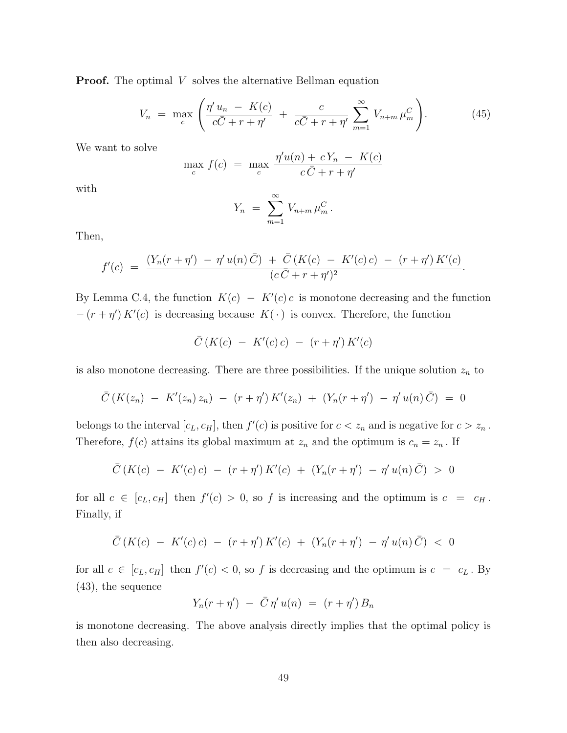**Proof.** The optimal  $V$  solves the alternative Bellman equation

$$
V_n = \max_{c} \left( \frac{\eta' u_n - K(c)}{c\bar{C} + r + \eta'} + \frac{c}{c\bar{C} + r + \eta'} \sum_{m=1}^{\infty} V_{n+m} \mu_m^C \right).
$$
 (45)

We want to solve

$$
\max_{c} f(c) = \max_{c} \frac{\eta' u(n) + c Y_n - K(c)}{c \bar{C} + r + \eta'}
$$

with

$$
Y_n = \sum_{m=1}^{\infty} V_{n+m} \mu_m^C.
$$

Then,

$$
f'(c) = \frac{(Y_n(r + \eta') - \eta' u(n) \bar{C}) + \bar{C} (K(c) - K'(c) c) - (r + \eta') K'(c)}{(c \bar{C} + r + \eta')^2}.
$$

By Lemma C.4, the function  $K(c) - K'(c) c$  is monotone decreasing and the function  $-(r + \eta') K'(c)$  is decreasing because  $K(\cdot)$  is convex. Therefore, the function

$$
\bar{C}(K(c) - K'(c)c) - (r + \eta') K'(c)
$$

is also monotone decreasing. There are three possibilities. If the unique solution  $z_n$  to

$$
\bar{C}\left(K(z_n) - K'(z_n) z_n\right) - \left(r + \eta'\right) K'(z_n) + \left(Y_n(r + \eta') - \eta'\,u(n)\,\bar{C}\right) = 0
$$

belongs to the interval  $[c_L, c_H]$ , then  $f'(c)$  is positive for  $c < z_n$  and is negative for  $c > z_n$ . Therefore,  $f(c)$  attains its global maximum at  $z_n$  and the optimum is  $c_n = z_n$ . If

$$
\bar{C}\left(K(c) - K'(c)c\right) - \left(r + \eta'\right)K'(c) + \left(Y_n(r + \eta') - \eta'\,u(n)\,\bar{C}\right) > 0
$$

for all  $c \in [c_L, c_H]$  then  $f'(c) > 0$ , so f is increasing and the optimum is  $c = c_H$ . Finally, if

$$
\bar{C}\left(K(c) - K'(c)c\right) - \left(r + \eta'\right)K'(c) + \left(Y_n(r + \eta') - \eta'u(n)\bar{C}\right) < 0
$$

for all  $c \in [c_L, c_H]$  then  $f'(c) < 0$ , so f is decreasing and the optimum is  $c = c_L$ . By (43), the sequence

$$
Y_n(r+\eta') - \bar{C} \eta' u(n) = (r+\eta') B_n
$$

is monotone decreasing. The above analysis directly implies that the optimal policy is then also decreasing.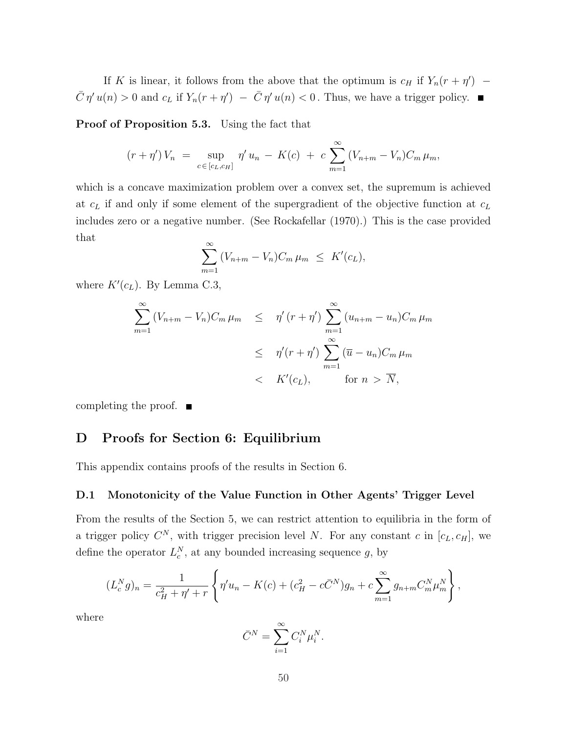If K is linear, it follows from the above that the optimum is  $c_H$  if  $Y_n(r + \eta')$  –  $\overline{C} \eta' u(n) > 0$  and  $c_L$  if  $Y_n(r + \eta') - \overline{C} \eta' u(n) < 0$ . Thus, we have a trigger policy.

Proof of Proposition 5.3. Using the fact that

$$
(r + \eta') V_n = \sup_{c \in [c_L, c_H]} \eta' u_n - K(c) + c \sum_{m=1}^{\infty} (V_{n+m} - V_n) C_m \mu_m,
$$

which is a concave maximization problem over a convex set, the supremum is achieved at  $c_L$  if and only if some element of the supergradient of the objective function at  $c_L$ includes zero or a negative number. (See Rockafellar (1970).) This is the case provided that

$$
\sum_{m=1}^{\infty} (V_{n+m} - V_n) C_m \mu_m \leq K'(c_L),
$$

where  $K'(c_L)$ . By Lemma C.3,

$$
\sum_{m=1}^{\infty} (V_{n+m} - V_n) C_m \mu_m \leq \eta' (r + \eta') \sum_{m=1}^{\infty} (u_{n+m} - u_n) C_m \mu_m
$$
  

$$
\leq \eta' (r + \eta') \sum_{m=1}^{\infty} (\overline{u} - u_n) C_m \mu_m
$$
  

$$
< K'(c_L), \qquad \text{for } n > \overline{N},
$$

completing the proof.  $\blacksquare$ 

# D Proofs for Section 6: Equilibrium

This appendix contains proofs of the results in Section 6.

#### D.1 Monotonicity of the Value Function in Other Agents' Trigger Level

From the results of the Section 5, we can restrict attention to equilibria in the form of a trigger policy  $C^N$ , with trigger precision level N. For any constant c in  $[c_L, c_H]$ , we define the operator  $L_c^N$ , at any bounded increasing sequence g, by

$$
(L_c^N g)_n = \frac{1}{c_H^2 + \eta' + r} \left\{ \eta' u_n - K(c) + (c_H^2 - c\bar{C}^N)g_n + c \sum_{m=1}^{\infty} g_{n+m} C_m^N \mu_m^N \right\},\,
$$

where

$$
\bar{C}^N = \sum_{i=1}^{\infty} C_i^N \mu_i^N.
$$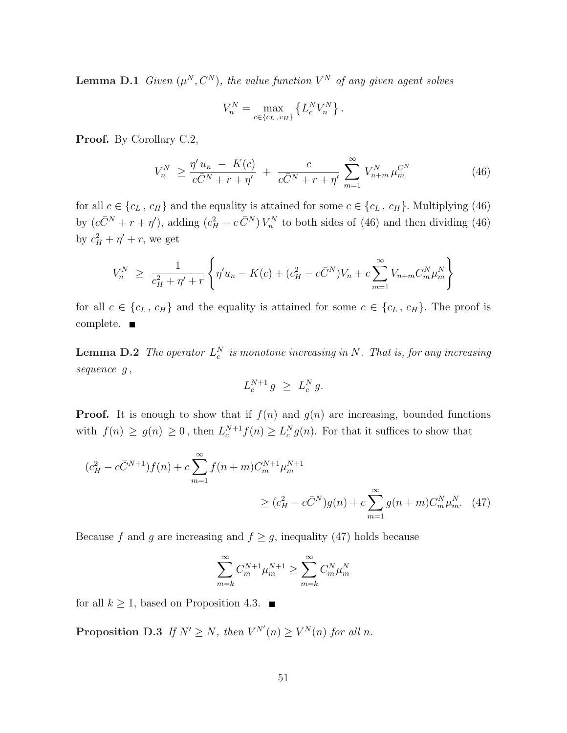**Lemma D.1** Given  $(\mu^N, C^N)$ , the value function  $V^N$  of any given agent solves

$$
V_n^N = \max_{c \in \{c_L, c_H\}} \left\{ L_c^N V_n^N \right\}.
$$

Proof. By Corollary C.2,

$$
V_n^N \ge \frac{\eta' u_n - K(c)}{c\bar{C}^N + r + \eta'} + \frac{c}{c\bar{C}^N + r + \eta'} \sum_{m=1}^{\infty} V_{n+m}^N \mu_m^{C^N}
$$
(46)

for all  $c \in \{c_L, c_H\}$  and the equality is attained for some  $c \in \{c_L, c_H\}$ . Multiplying (46) by  $(c\bar{C}^N + r + \eta')$ , adding  $(c_H^2 - c\bar{C}^N)V_n^N$  to both sides of (46) and then dividing (46) by  $c_H^2 + \eta' + r$ , we get

$$
V_n^N \ge \frac{1}{c_H^2 + \eta' + r} \left\{ \eta' u_n - K(c) + (c_H^2 - c\bar{C}^N) V_n + c \sum_{m=1}^{\infty} V_{n+m} C_m^N \mu_m^N \right\}
$$

for all  $c \in \{c_L, c_H\}$  and the equality is attained for some  $c \in \{c_L, c_H\}$ . The proof is complete. ■

**Lemma D.2** The operator  $L_c^N$  is monotone increasing in N. That is, for any increasing sequence  $g$ ,

$$
L_c^{N+1} g \ge L_c^N g.
$$

**Proof.** It is enough to show that if  $f(n)$  and  $g(n)$  are increasing, bounded functions with  $f(n) \ge g(n) \ge 0$ , then  $L_c^{N+1} f(n) \ge L_c^N g(n)$ . For that it suffices to show that

$$
(c_H^2 - c\bar{C}^{N+1})f(n) + c \sum_{m=1}^{\infty} f(n+m)C_m^{N+1} \mu_m^{N+1}
$$
  
 
$$
\geq (c_H^2 - c\bar{C}^N)g(n) + c \sum_{m=1}^{\infty} g(n+m)C_m^N \mu_m^N. \quad (47)
$$

Because f and g are increasing and  $f \ge g$ , inequality (47) holds because

$$
\sum_{m=k}^{\infty} C_m^{N+1} \mu_m^{N+1} \ge \sum_{m=k}^{\infty} C_m^N \mu_m^N
$$

for all  $k \geq 1$ , based on Proposition 4.3.  $\blacksquare$ 

**Proposition D.3** If  $N' \ge N$ , then  $V^{N'}(n) \ge V^{N}(n)$  for all n.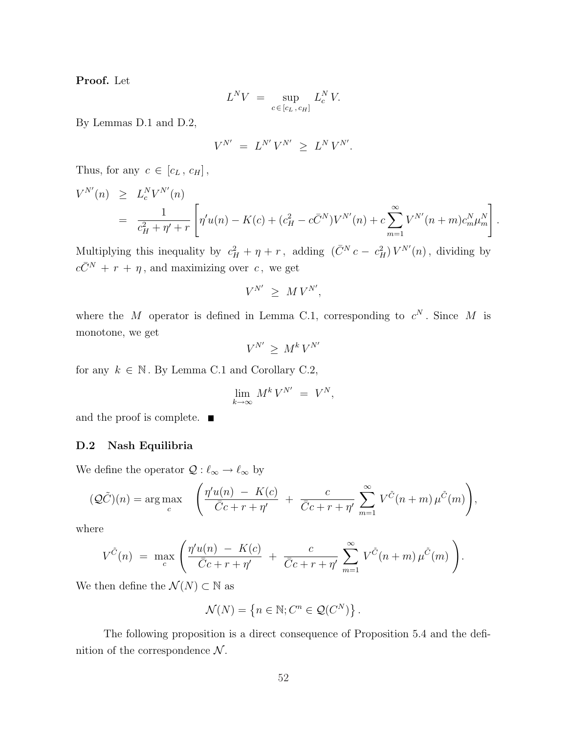Proof. Let

$$
L^N V = \sup_{c \in [c_L, c_H]} L_c^N V.
$$

By Lemmas D.1 and D.2,

$$
V^{N'} \ = \ L^{N'} \, V^{N'} \ \ge \ L^N \, V^{N'}.
$$

Thus, for any  $c \in [c_L, c_H]$ ,

$$
V^{N'}(n) \geq L_c^N V^{N'}(n)
$$
  
=  $\frac{1}{c_H^2 + \eta' + r} \left[ \eta' u(n) - K(c) + (c_H^2 - c\bar{C}^N) V^{N'}(n) + c \sum_{m=1}^{\infty} V^{N'}(n+m) c_m^N \mu_m^N \right].$ 

Multiplying this inequality by  $c_H^2 + \eta + r$ , adding  $(\bar{C}^N c - c_H^2) V^{N'}(n)$ , dividing by  $c\bar{C}^N$  +  $r$  +  $\eta$ , and maximizing over c, we get

$$
V^{N'} \geq M V^{N'},
$$

where the M operator is defined in Lemma C.1, corresponding to  $c^N$ . Since M is monotone, we get

$$
V^{N'} \geq M^k V^{N'}
$$

for any  $k \in \mathbb{N}$ . By Lemma C.1 and Corollary C.2,

$$
\lim_{k \to \infty} M^k V^{N'} = V^N,
$$

and the proof is complete. ■

#### D.2 Nash Equilibria

We define the operator  $\mathcal{Q} : \ell_{\infty} \to \ell_{\infty}$  by

$$
(\mathcal{Q}\tilde{C})(n) = \arg \max_{c} \left( \frac{\eta'u(n) - K(c)}{\bar{C}c + r + \eta'} + \frac{c}{\bar{C}c + r + \eta'} \sum_{m=1}^{\infty} V^{\tilde{C}}(n+m) \mu^{\tilde{C}}(m) \right),
$$

where

$$
V^{\tilde{C}}(n) = \max_{c} \left( \frac{\eta' u(n) - K(c)}{\bar{C}c + r + \eta'} + \frac{c}{\bar{C}c + r + \eta'} \sum_{m=1}^{\infty} V^{\tilde{C}}(n+m) \mu^{\tilde{C}}(m) \right).
$$

We then define the  $\mathcal{N}(N)\subset \mathbb{N}$  as

$$
\mathcal{N}(N) = \left\{ n \in \mathbb{N}; C^n \in \mathcal{Q}(C^N) \right\}.
$$

The following proposition is a direct consequence of Proposition 5.4 and the definition of the correspondence  $\mathcal N$ .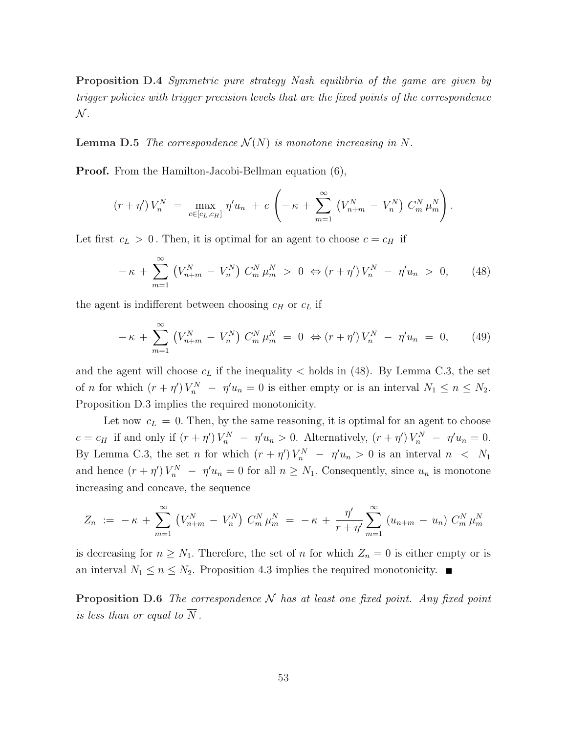Proposition D.4 Symmetric pure strategy Nash equilibria of the game are given by trigger policies with trigger precision levels that are the fixed points of the correspondence  $\mathcal N$  .

**Lemma D.5** The correspondence  $\mathcal{N}(N)$  is monotone increasing in N.

Proof. From the Hamilton-Jacobi-Bellman equation (6),

$$
(r + \eta') V_n^N = \max_{c \in [c_L, c_H]} \eta' u_n + c \left( -\kappa + \sum_{m=1}^{\infty} \left( V_{n+m}^N - V_n^N \right) C_m^N \mu_m^N \right).
$$

Let first  $c_L > 0$ . Then, it is optimal for an agent to choose  $c = c_H$  if

$$
-\kappa + \sum_{m=1}^{\infty} \left( V_{n+m}^N - V_n^N \right) C_m^N \mu_m^N > 0 \Leftrightarrow (r + \eta') V_n^N - \eta' u_n > 0, \qquad (48)
$$

the agent is indifferent between choosing  $c_H$  or  $c_L$  if

$$
-\kappa + \sum_{m=1}^{\infty} \left( V_{n+m}^N - V_n^N \right) C_m^N \mu_m^N = 0 \Leftrightarrow (r + \eta') V_n^N - \eta' u_n = 0, \qquad (49)
$$

and the agent will choose  $c<sub>L</sub>$  if the inequality  $\lt$  holds in (48). By Lemma C.3, the set of *n* for which  $(r + \eta')V_n^N - \eta'u_n = 0$  is either empty or is an interval  $N_1 \le n \le N_2$ . Proposition D.3 implies the required monotonicity.

Let now  $c_L = 0$ . Then, by the same reasoning, it is optimal for an agent to choose  $c = c_H$  if and only if  $(r + \eta')V_n^N - \eta'u_n > 0$ . Alternatively,  $(r + \eta')V_n^N - \eta'u_n = 0$ . By Lemma C.3, the set n for which  $(r + \eta')V_n^N - \eta'u_n > 0$  is an interval  $n < N_1$ and hence  $(r + \eta')V_n^N - \eta'u_n = 0$  for all  $n \ge N_1$ . Consequently, since  $u_n$  is monotone increasing and concave, the sequence

$$
Z_n := -\kappa + \sum_{m=1}^{\infty} (V_{n+m}^N - V_n^N) C_m^N \mu_m^N = -\kappa + \frac{\eta'}{r+\eta'} \sum_{m=1}^{\infty} (u_{n+m} - u_n) C_m^N \mu_m^N
$$

is decreasing for  $n \geq N_1$ . Therefore, the set of n for which  $Z_n = 0$  is either empty or is an interval  $N_1 \leq n \leq N_2$ . Proposition 4.3 implies the required monotonicity.

**Proposition D.6** The correspondence  $N$  has at least one fixed point. Any fixed point is less than or equal to  $\overline{N}$ .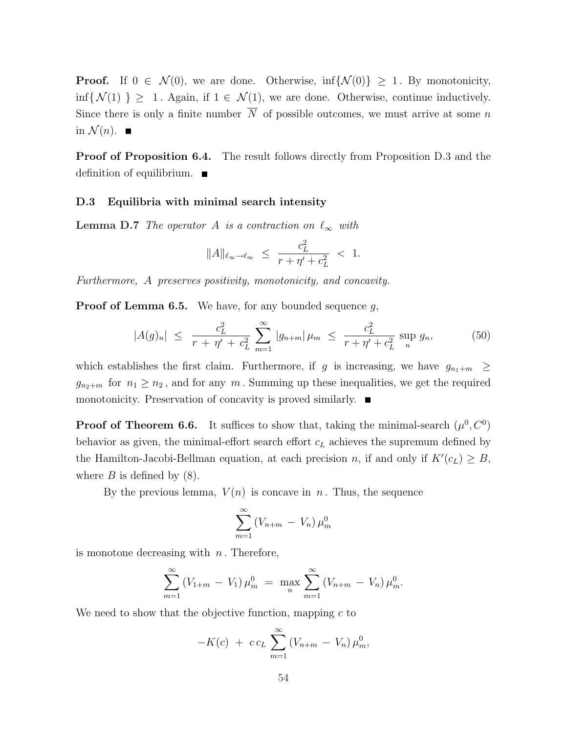**Proof.** If  $0 \in \mathcal{N}(0)$ , we are done. Otherwise,  $\inf \{ \mathcal{N}(0) \} \geq 1$ . By monotonicity,  $\inf\{\mathcal{N}(1)\}\geq 1$ . Again, if  $1 \in \mathcal{N}(1)$ , we are done. Otherwise, continue inductively. Since there is only a finite number  $\overline{N}$  of possible outcomes, we must arrive at some n in  $\mathcal{N}(n)$ .

Proof of Proposition 6.4. The result follows directly from Proposition D.3 and the definition of equilibrium.

#### D.3 Equilibria with minimal search intensity

**Lemma D.7** The operator A is a contraction on  $\ell_{\infty}$  with

$$
||A||_{\ell_{\infty}\to\ell_{\infty}} \leq \frac{c_L^2}{r + \eta' + c_L^2} < 1.
$$

Furthermore, A preserves positivity, monotonicity, and concavity.

**Proof of Lemma 6.5.** We have, for any bounded sequence  $q$ ,

$$
|A(g)_n| \leq \frac{c_L^2}{r + \eta' + c_L^2} \sum_{m=1}^{\infty} |g_{n+m}| \mu_m \leq \frac{c_L^2}{r + \eta' + c_L^2} \sup_n g_n,
$$
 (50)

which establishes the first claim. Furthermore, if g is increasing, we have  $g_{n_1+m} \geq$  $g_{n_2+m}$  for  $n_1 \geq n_2$ , and for any m. Summing up these inequalities, we get the required monotonicity. Preservation of concavity is proved similarly.

**Proof of Theorem 6.6.** It suffices to show that, taking the minimal-search  $(\mu^0, C^0)$ behavior as given, the minimal-effort search effort  $c<sub>L</sub>$  achieves the supremum defined by the Hamilton-Jacobi-Bellman equation, at each precision n, if and only if  $K'(c<sub>L</sub>) \geq B$ , where  $B$  is defined by  $(8)$ .

By the previous lemma,  $V(n)$  is concave in n. Thus, the sequence

$$
\sum_{m=1}^{\infty} (V_{n+m} - V_n) \mu_m^0
$$

is monotone decreasing with  $n$ . Therefore,

$$
\sum_{m=1}^{\infty} (V_{1+m} - V_1) \mu_m^0 = \max_{n} \sum_{m=1}^{\infty} (V_{n+m} - V_n) \mu_m^0.
$$

We need to show that the objective function, mapping  $c$  to

$$
-K(c) + cc_L \sum_{m=1}^{\infty} (V_{n+m} - V_n) \mu_m^0
$$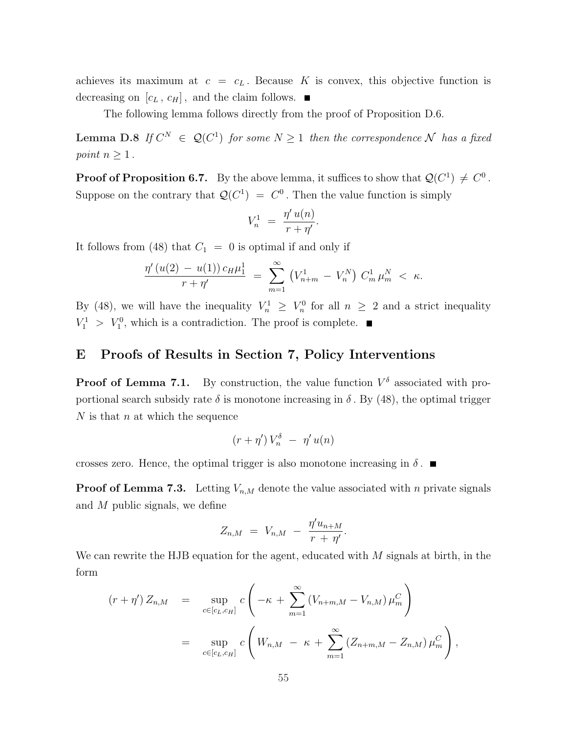achieves its maximum at  $c = c_L$ . Because K is convex, this objective function is decreasing on  $[c_L, c_H]$ , and the claim follows.  $\blacksquare$ 

The following lemma follows directly from the proof of Proposition D.6.

**Lemma D.8** If  $C^N \in \mathcal{Q}(C^1)$  for some  $N \geq 1$  then the correspondence N has a fixed point  $n \geq 1$ .

**Proof of Proposition 6.7.** By the above lemma, it suffices to show that  $Q(C^1) \neq C^0$ . Suppose on the contrary that  $\mathcal{Q}(C^1) = C^0$ . Then the value function is simply

$$
V_n^1 = \frac{\eta' u(n)}{r + \eta'}.
$$

It follows from (48) that  $C_1 = 0$  is optimal if and only if

$$
\frac{\eta'(u(2) - u(1)) c_H \mu_1^1}{r + \eta'} = \sum_{m=1}^{\infty} (V_{n+m}^1 - V_n^N) C_m^1 \mu_m^N < \kappa.
$$

By (48), we will have the inequality  $V_n^1 \geq V_n^0$  for all  $n \geq 2$  and a strict inequality  $V_1^1 > V_1^0$ , which is a contradiction. The proof is complete.

## E Proofs of Results in Section 7, Policy Interventions

**Proof of Lemma 7.1.** By construction, the value function  $V^{\delta}$  associated with proportional search subsidy rate  $\delta$  is monotone increasing in  $\delta$ . By (48), the optimal trigger  $N$  is that n at which the sequence

$$
(r+\eta')\,V_n^\delta\ -\ \eta'\,u(n)
$$

crosses zero. Hence, the optimal trigger is also monotone increasing in  $\delta$ .

**Proof of Lemma 7.3.** Letting  $V_{n,M}$  denote the value associated with n private signals and M public signals, we define

$$
Z_{n,M} = V_{n,M} - \frac{\eta' u_{n+M}}{r + \eta'}.
$$

We can rewrite the HJB equation for the agent, educated with  $M$  signals at birth, in the form

$$
(r + \eta') Z_{n,M} = \sup_{c \in [c_L, c_H]} c \left( -\kappa + \sum_{m=1}^{\infty} (V_{n+m,M} - V_{n,M}) \mu_m^C \right)
$$
  
= 
$$
\sup_{c \in [c_L, c_H]} c \left( W_{n,M} - \kappa + \sum_{m=1}^{\infty} (Z_{n+m,M} - Z_{n,M}) \mu_m^C \right),
$$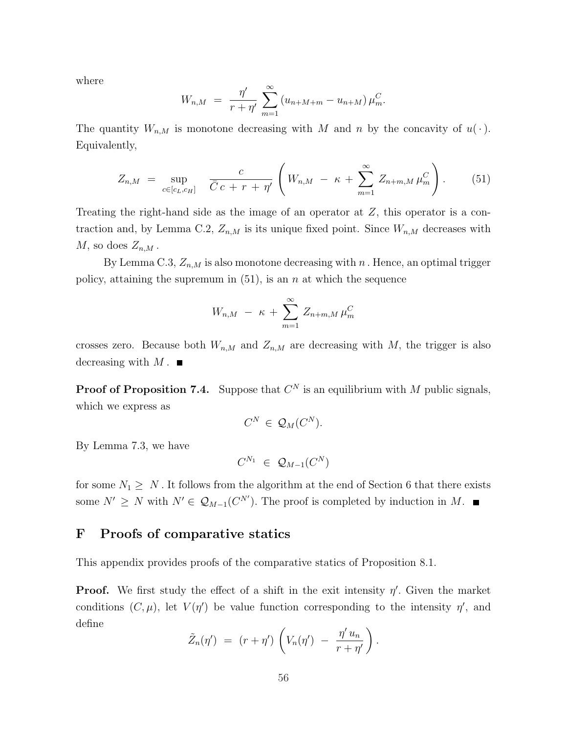where

$$
W_{n,M} = \frac{\eta'}{r+\eta'} \sum_{m=1}^{\infty} (u_{n+M+m} - u_{n+M}) \mu_m^C.
$$

The quantity  $W_{n,M}$  is monotone decreasing with M and n by the concavity of  $u(\cdot)$ . Equivalently,

$$
Z_{n,M} = \sup_{c \in [c_L, c_H]} \quad \frac{c}{\bar{C} \, c + r + \eta'} \left( W_{n,M} - \kappa + \sum_{m=1}^{\infty} Z_{n+m,M} \, \mu_m^C \right). \tag{51}
$$

Treating the right-hand side as the image of an operator at Z, this operator is a contraction and, by Lemma C.2,  $Z_{n,M}$  is its unique fixed point. Since  $W_{n,M}$  decreases with  $M$ , so does  $Z_{n,M}$ .

By Lemma C.3,  $Z_{n,M}$  is also monotone decreasing with n. Hence, an optimal trigger policy, attaining the supremum in  $(51)$ , is an n at which the sequence

$$
W_{n,M} - \kappa + \sum_{m=1}^{\infty} Z_{n+m,M} \mu_m^C
$$

crosses zero. Because both  $W_{n,M}$  and  $Z_{n,M}$  are decreasing with M, the trigger is also decreasing with  $M$ .

**Proof of Proposition 7.4.** Suppose that  $C^N$  is an equilibrium with M public signals, which we express as

$$
C^N \in \mathcal{Q}_M(C^N).
$$

By Lemma 7.3, we have

$$
C^{N_1} \;\in\; \mathcal{Q}_{M-1}(C^N)
$$

for some  $N_1 \geq N$ . It follows from the algorithm at the end of Section 6 that there exists some  $N' \geq N$  with  $N' \in \mathcal{Q}_{M-1}(C^{N'})$ . The proof is completed by induction in M.

## F Proofs of comparative statics

This appendix provides proofs of the comparative statics of Proposition 8.1.

**Proof.** We first study the effect of a shift in the exit intensity  $\eta'$ . Given the market conditions  $(C, \mu)$ , let  $V(\eta')$  be value function corresponding to the intensity  $\eta'$ , and define  $\overline{a}$  $\mathbf{r}$ 

$$
\tilde{Z}_n(\eta') = (r + \eta') \left( V_n(\eta') - \frac{\eta' u_n}{r + \eta'} \right).
$$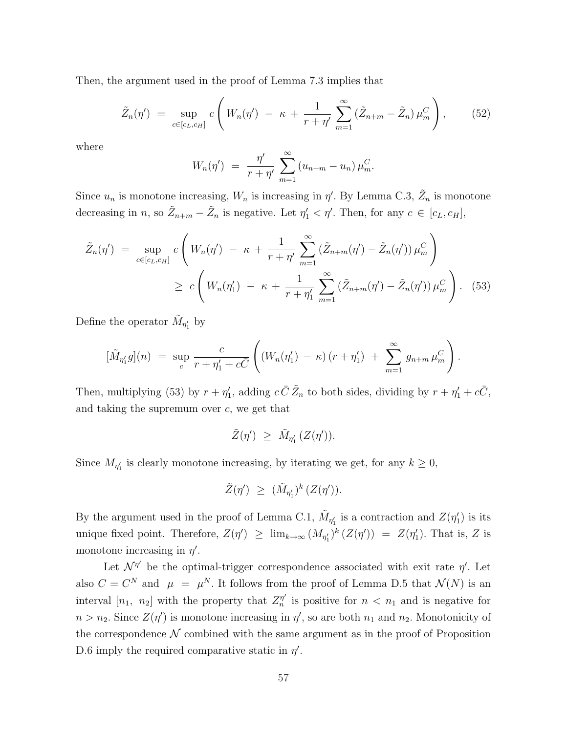Then, the argument used in the proof of Lemma 7.3 implies that

$$
\tilde{Z}_n(\eta') = \sup_{c \in [c_L, c_H]} c \left( W_n(\eta') - \kappa + \frac{1}{r + \eta'} \sum_{m=1}^{\infty} (\tilde{Z}_{n+m} - \tilde{Z}_n) \mu_m^C \right), \quad (52)
$$

where

$$
W_n(\eta') = \frac{\eta'}{r + \eta'} \sum_{m=1}^{\infty} (u_{n+m} - u_n) \mu_m^C.
$$

Since  $u_n$  is monotone increasing,  $W_n$  is increasing in  $\eta'$ . By Lemma C.3,  $\tilde{Z}_n$  is monotone decreasing in n, so  $\tilde{Z}_{n+m} - \tilde{Z}_n$  is negative. Let  $\eta'_1 < \eta'$ . Then, for any  $c \in [c_L, c_H]$ ,

$$
\tilde{Z}_n(\eta') = \sup_{c \in [c_L, c_H]} c \left( W_n(\eta') - \kappa + \frac{1}{r + \eta'} \sum_{m=1}^{\infty} (\tilde{Z}_{n+m}(\eta') - \tilde{Z}_n(\eta')) \mu_m^C \right) \n\ge c \left( W_n(\eta'_1) - \kappa + \frac{1}{r + \eta'_1} \sum_{m=1}^{\infty} (\tilde{Z}_{n+m}(\eta') - \tilde{Z}_n(\eta')) \mu_m^C \right).
$$
\n(53)

Define the operator  $\tilde{M}_{\eta'_1}$  by

$$
[\tilde{M}_{\eta'_1} g](n) = \sup_c \frac{c}{r + \eta'_1 + c\bar{C}} \left( (W_n(\eta'_1) - \kappa) (r + \eta'_1) + \sum_{m=1}^{\infty} g_{n+m} \mu_m^C \right).
$$

Then, multiplying (53) by  $r + \eta'_1$ , adding  $c \bar{C} \tilde{Z}_n$  to both sides, dividing by  $r + \eta'_1 + c\bar{C}$ , and taking the supremum over  $c$ , we get that

$$
\tilde{Z}(\eta') \ \geq \ \tilde{M}_{\eta_1'} \, (Z(\eta')).
$$

Since  $M_{\eta_1'}$  is clearly monotone increasing, by iterating we get, for any  $k \geq 0$ ,

$$
\tilde{Z}(\eta') \ \geq \ (\tilde{M}_{\eta'_1})^k \, (Z(\eta')).
$$

By the argument used in the proof of Lemma C.1,  $\tilde{M}_{\eta'_1}$  is a contraction and  $Z(\eta'_1)$  is its unique fixed point. Therefore,  $Z(\eta') \geq \lim_{k\to\infty} (M_{\eta'_1})^k (Z(\eta')) = Z(\eta'_1)$ . That is, Z is monotone increasing in  $\eta'$ .

Let  $\mathcal{N}^{\eta'}$  be the optimal-trigger correspondence associated with exit rate  $\eta'$ . Let also  $C = C^N$  and  $\mu = \mu^N$ . It follows from the proof of Lemma D.5 that  $\mathcal{N}(N)$  is an interval  $[n_1, n_2]$  with the property that  $Z_n^{\eta'}$  $\eta'_{n}$  is positive for  $n < n_1$  and is negative for  $n > n_2$ . Since  $Z(\eta')$  is monotone increasing in  $\eta'$ , so are both  $n_1$  and  $n_2$ . Monotonicity of the correspondence  $\mathcal N$  combined with the same argument as in the proof of Proposition D.6 imply the required comparative static in  $\eta'$ .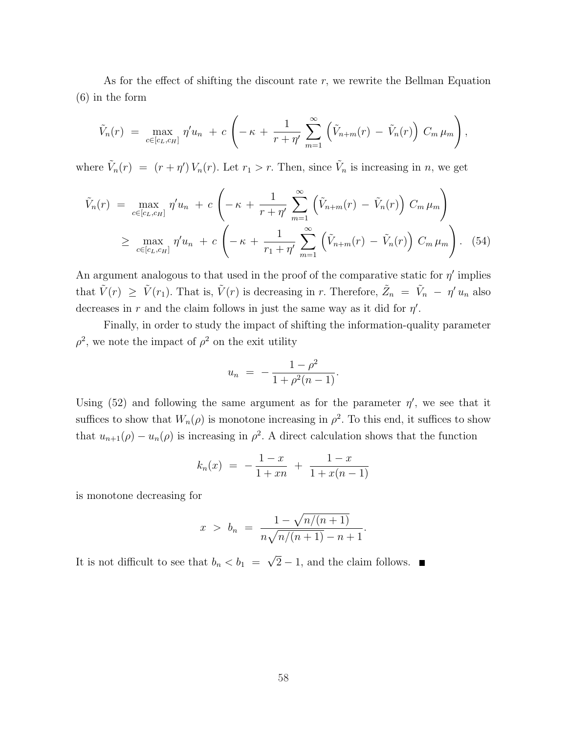As for the effect of shifting the discount rate  $r$ , we rewrite the Bellman Equation (6) in the form

$$
\tilde{V}_n(r) = \max_{c \in [c_L, c_H]} \eta' u_n + c \left( -\kappa + \frac{1}{r + \eta'} \sum_{m=1}^{\infty} \left( \tilde{V}_{n+m}(r) - \tilde{V}_n(r) \right) C_m \mu_m \right),
$$

where  $\tilde{V}_n(r) = (r + \eta') V_n(r)$ . Let  $r_1 > r$ . Then, since  $\tilde{V}_n$  is increasing in n, we get

$$
\tilde{V}_n(r) = \max_{c \in [c_L, c_H]} \eta' u_n + c \left( -\kappa + \frac{1}{r + \eta'} \sum_{m=1}^{\infty} \left( \tilde{V}_{n+m}(r) - \tilde{V}_n(r) \right) C_m \mu_m \right)
$$
\n
$$
\geq \max_{c \in [c_L, c_H]} \eta' u_n + c \left( -\kappa + \frac{1}{r_1 + \eta'} \sum_{m=1}^{\infty} \left( \tilde{V}_{n+m}(r) - \tilde{V}_n(r) \right) C_m \mu_m \right). \tag{54}
$$

An argument analogous to that used in the proof of the comparative static for  $\eta'$  implies that  $\tilde{V}(r) \geq \tilde{V}(r_1)$ . That is,  $\tilde{V}(r)$  is decreasing in r. Therefore,  $\tilde{Z}_n = \tilde{V}_n - \eta' u_n$  also decreases in r and the claim follows in just the same way as it did for  $\eta'$ .

Finally, in order to study the impact of shifting the information-quality parameter  $\rho^2$ , we note the impact of  $\rho^2$  on the exit utility

$$
u_n = -\frac{1-\rho^2}{1+\rho^2(n-1)}.
$$

Using (52) and following the same argument as for the parameter  $\eta'$ , we see that it suffices to show that  $W_n(\rho)$  is monotone increasing in  $\rho^2$ . To this end, it suffices to show that  $u_{n+1}(\rho) - u_n(\rho)$  is increasing in  $\rho^2$ . A direct calculation shows that the function

$$
k_n(x) = -\frac{1-x}{1+xn} + \frac{1-x}{1+x(n-1)}
$$

is monotone decreasing for

$$
x > b_n = \frac{1 - \sqrt{n/(n+1)}}{n\sqrt{n/(n+1)} - n + 1}.
$$

It is not difficult to see that  $b_n < b_1$  = √  $2 - 1$ , and the claim follows.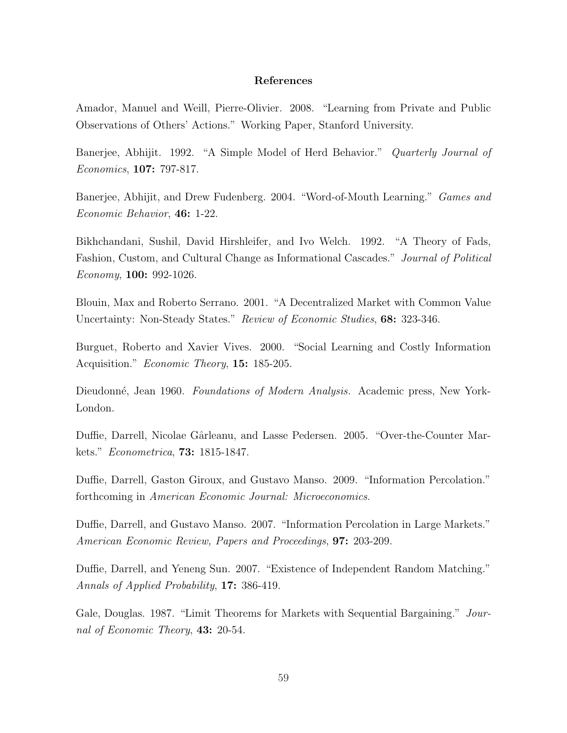#### References

Amador, Manuel and Weill, Pierre-Olivier. 2008. "Learning from Private and Public Observations of Others' Actions." Working Paper, Stanford University.

Banerjee, Abhijit. 1992. "A Simple Model of Herd Behavior." *Quarterly Journal of* Economics, 107: 797-817.

Banerjee, Abhijit, and Drew Fudenberg. 2004. "Word-of-Mouth Learning." Games and Economic Behavior, 46: 1-22.

Bikhchandani, Sushil, David Hirshleifer, and Ivo Welch. 1992. "A Theory of Fads, Fashion, Custom, and Cultural Change as Informational Cascades." Journal of Political Economy, 100: 992-1026.

Blouin, Max and Roberto Serrano. 2001. "A Decentralized Market with Common Value Uncertainty: Non-Steady States." Review of Economic Studies, 68: 323-346.

Burguet, Roberto and Xavier Vives. 2000. "Social Learning and Costly Information Acquisition." *Economic Theory*, **15:** 185-205.

Dieudonné, Jean 1960. Foundations of Modern Analysis. Academic press, New York-London.

Duffie, Darrell, Nicolae Gârleanu, and Lasse Pedersen. 2005. "Over-the-Counter Markets." Econometrica, **73:** 1815-1847.

Duffie, Darrell, Gaston Giroux, and Gustavo Manso. 2009. "Information Percolation." forthcoming in American Economic Journal: Microeconomics.

Duffie, Darrell, and Gustavo Manso. 2007. "Information Percolation in Large Markets." American Economic Review, Papers and Proceedings, 97: 203-209.

Duffie, Darrell, and Yeneng Sun. 2007. "Existence of Independent Random Matching." Annals of Applied Probability, 17: 386-419.

Gale, Douglas. 1987. "Limit Theorems for Markets with Sequential Bargaining." Journal of Economic Theory, 43: 20-54.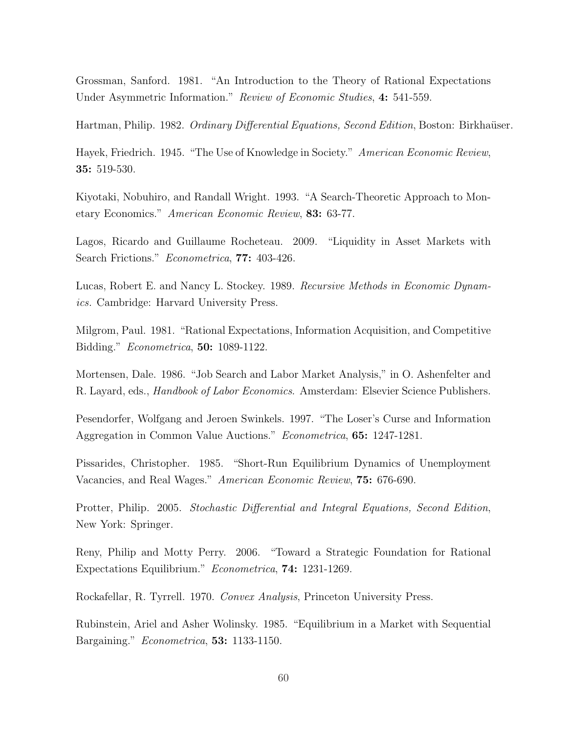Grossman, Sanford. 1981. "An Introduction to the Theory of Rational Expectations Under Asymmetric Information." Review of Economic Studies, 4: 541-559.

Hartman, Philip. 1982. Ordinary Differential Equations, Second Edition, Boston: Birkhaüser.

Hayek, Friedrich. 1945. "The Use of Knowledge in Society." American Economic Review, 35: 519-530.

Kiyotaki, Nobuhiro, and Randall Wright. 1993. "A Search-Theoretic Approach to Monetary Economics." American Economic Review, 83: 63-77.

Lagos, Ricardo and Guillaume Rocheteau. 2009. "Liquidity in Asset Markets with Search Frictions." *Econometrica*, **77:** 403-426.

Lucas, Robert E. and Nancy L. Stockey. 1989. Recursive Methods in Economic Dynamics. Cambridge: Harvard University Press.

Milgrom, Paul. 1981. "Rational Expectations, Information Acquisition, and Competitive Bidding." Econometrica, 50: 1089-1122.

Mortensen, Dale. 1986. "Job Search and Labor Market Analysis," in O. Ashenfelter and R. Layard, eds., Handbook of Labor Economics. Amsterdam: Elsevier Science Publishers.

Pesendorfer, Wolfgang and Jeroen Swinkels. 1997. "The Loser's Curse and Information Aggregation in Common Value Auctions." Econometrica, 65: 1247-1281.

Pissarides, Christopher. 1985. "Short-Run Equilibrium Dynamics of Unemployment Vacancies, and Real Wages." American Economic Review, 75: 676-690.

Protter, Philip. 2005. Stochastic Differential and Integral Equations, Second Edition, New York: Springer.

Reny, Philip and Motty Perry. 2006. "Toward a Strategic Foundation for Rational Expectations Equilibrium." Econometrica, 74: 1231-1269.

Rockafellar, R. Tyrrell. 1970. Convex Analysis, Princeton University Press.

Rubinstein, Ariel and Asher Wolinsky. 1985. "Equilibrium in a Market with Sequential Bargaining." Econometrica, 53: 1133-1150.